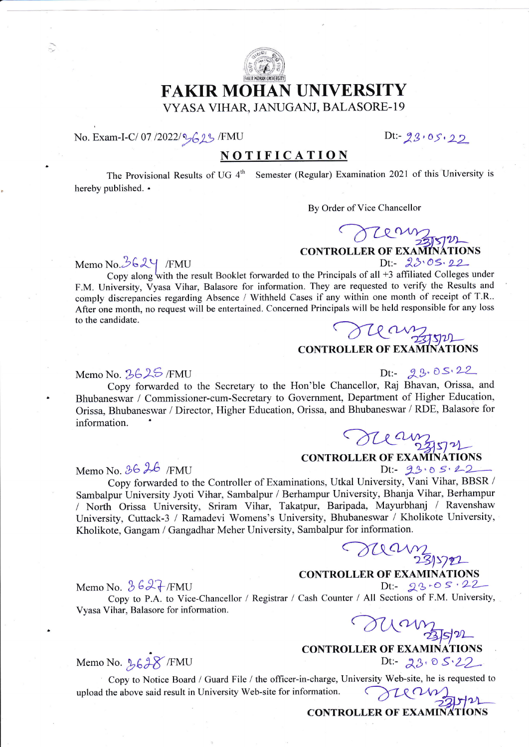

### FAKIR MOHAN UNIVERSITY VYASA VIHAR, JANUGANJ, BALASORE-19

#### No. Exam-I-C/ 07/2022/2623/FMU Dt:-23,05,22

#### NOTIFICATION

The Provisional Results of UG  $4<sup>th</sup>$  Semester (Regular) Examination 2021 of this University is hereby published. .

By Order of Vice Chancellor

CONTROLLER OF EXAMINATION

Memo No.3624 /FMU

F.M. University, Vyasa Vihar, Balasore for information. They are requested to verify the Results and comply discrepancies regarding Absence / Withheld Cases if any within one month of receipt of T.R. After one month, no request will be entertained. Concerned Principals will be held responsible for any loss to the candidate. Copy along with the result Booklet forwarded to the Principals of all  $+3$  affiliated Colleges under

CONTROLLER OF EXAMINATI **TATIONS** 

CONTROLLER OF EXAMINATIONS

Memo No. 3625/FMU

Copy forwarded to the Secretary to the Hon'ble Chancellor, Raj Bhavan, Orissa, and<br>cover / Commissioner cum Secretary to Government, Department of Higher Education  $Dt: 29.05.22$ Bhubaneswar / Commissioner-cum-Secretary to Government, Department of Higher Education, Orissa, Bhubaneswar / Director, Higher Education, Orissa, and Bhubaneswar / RDE, Balasore for information. man

Memo No.  $86h$  /FMU Dt:-  $23.051$ 

Copy forwarded to the Controller of Examinations, Utkal University, Vani Vihar, BBSR / Sambalpur University Jyoti Vihar, Sambalpur / Berhampur University, Bhanja Vihar, Berhampur I North Orissa University. Sriram Vihar. Takatpur. Baripada, Mayurbhanj / Ravenshaw' University, Cuttack-3 / Ramadevi Womens's University, Bhubaneswar / Kholikote University, Kholikote, Gangam / Gangadhar Meher University, Sambalpur for information.

OUCUM 23/5721

Memo No.  $3627$ /FMU

 $Dt: = 23.05.22$ Copy to P.A. to Vice-Chancellor / Registrar / Cash Counter / All Sections of F.M. University<br>
ihar, Balasore for information.<br>
COMPLED Vyasa Vihar, Balasore for information.

CONTROLLER OF EXAMINATIONS

# $Dt: = 23.05.22$

Memo No. 2628/FMU

Copy to Notice Board / Guard File / the officer-in-charge, University Web-site, he is requested to University Web-site for information. upload the above said result in University Web-site for information.

FILE-UVER OF LIBRARY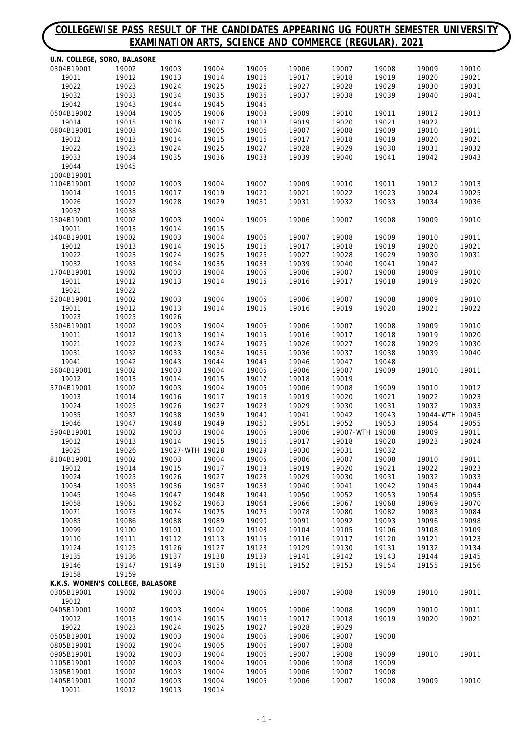#### **COLLEGEWISE PASS RESULT OF THE CANDIDATES APPEARING UG FOURTH SEMESTER UNIVERSITY EXAMINATION ARTS, SCIENCE AND COMMERCE (REGULAR), 2021**

|                          | U.N. COLLEGE, SORO, BALASORE     |                 |                |                |                |                 |                |                 |                |
|--------------------------|----------------------------------|-----------------|----------------|----------------|----------------|-----------------|----------------|-----------------|----------------|
| 0304B19001               | 19002                            | 19003           | 19004          | 19005          | 19006          | 19007           | 19008          | 19009           | 19010          |
| 19011                    | 19012                            | 19013           | 19014          | 19016          | 19017          | 19018           | 19019          | 19020           | 19021          |
| 19022<br>19032           | 19023<br>19033                   | 19024<br>19034  | 19025<br>19035 | 19026<br>19036 | 19027<br>19037 | 19028<br>19038  | 19029<br>19039 | 19030<br>19040  | 19031<br>19041 |
| 19042                    | 19043                            | 19044           | 19045          | 19046          |                |                 |                |                 |                |
| 0504B19002               | 19004                            | 19005           | 19006          | 19008          | 19009          | 19010           | 19011          | 19012           | 19013          |
| 19014                    | 19015                            | 19016           | 19017          | 19018          | 19019          | 19020           | 19021          | 19022           |                |
| 0804B19001               | 19003                            | 19004           | 19005          | 19006          | 19007          | 19008           | 19009          | 19010           | 19011          |
| 19012                    | 19013                            | 19014           | 19015          | 19016          | 19017          | 19018           | 19019          | 19020           | 19021          |
| 19022                    | 19023                            | 19024           | 19025          | 19027          | 19028          | 19029           | 19030          | 19031           | 19032          |
| 19033                    | 19034                            | 19035           | 19036          | 19038          | 19039          | 19040           | 19041          | 19042           | 19043          |
| 19044                    | 19045                            |                 |                |                |                |                 |                |                 |                |
| 1004B19001<br>1104B19001 | 19002                            | 19003           | 19004          | 19007          | 19009          | 19010           | 19011          | 19012           | 19013          |
| 19014                    | 19015                            | 19017           | 19019          | 19020          | 19021          | 19022           | 19023          | 19024           | 19025          |
| 19026                    | 19027                            | 19028           | 19029          | 19030          | 19031          | 19032           | 19033          | 19034           | 19036          |
| 19037                    | 19038                            |                 |                |                |                |                 |                |                 |                |
| 1304B19001               | 19002                            | 19003           | 19004          | 19005          | 19006          | 19007           | 19008          | 19009           | 19010          |
| 19011                    | 19013                            | 19014           | 19015          |                |                |                 |                |                 |                |
| 1404B19001               | 19002                            | 19003           | 19004          | 19006          | 19007          | 19008           | 19009          | 19010           | 19011          |
| 19012                    | 19013                            | 19014           | 19015          | 19016          | 19017          | 19018           | 19019          | 19020           | 19021          |
| 19022                    | 19023                            | 19024           | 19025          | 19026          | 19027          | 19028           | 19029          | 19030           | 19031          |
| 19032                    | 19033                            | 19034           | 19035          | 19038          | 19039          | 19040           | 19041          | 19042           |                |
| 1704B19001<br>19011      | 19002<br>19012                   | 19003<br>19013  | 19004<br>19014 | 19005<br>19015 | 19006<br>19016 | 19007<br>19017  | 19008<br>19018 | 19009<br>19019  | 19010<br>19020 |
| 19021                    | 19022                            |                 |                |                |                |                 |                |                 |                |
| 5204B19001               | 19002                            | 19003           | 19004          | 19005          | 19006          | 19007           | 19008          | 19009           | 19010          |
| 19011                    | 19012                            | 19013           | 19014          | 19015          | 19016          | 19019           | 19020          | 19021           | 19022          |
| 19023                    | 19025                            | 19026           |                |                |                |                 |                |                 |                |
| 5304B19001               | 19002                            | 19003           | 19004          | 19005          | 19006          | 19007           | 19008          | 19009           | 19010          |
| 19011                    | 19012                            | 19013           | 19014          | 19015          | 19016          | 19017           | 19018          | 19019           | 19020          |
| 19021                    | 19022                            | 19023           | 19024          | 19025          | 19026          | 19027           | 19028          | 19029           | 19030          |
| 19031                    | 19032                            | 19033           | 19034          | 19035          | 19036          | 19037           | 19038          | 19039           | 19040          |
| 19041                    | 19042                            | 19043           | 19044          | 19045          | 19046          | 19047           | 19048          |                 |                |
| 5604B19001<br>19012      | 19002                            | 19003<br>19014  | 19004          | 19005          | 19006<br>19018 | 19007<br>19019  | 19009          | 19010           | 19011          |
| 5704B19001               | 19013<br>19002                   | 19003           | 19015<br>19004 | 19017<br>19005 | 19006          | 19008           | 19009          | 19010           | 19012          |
| 19013                    | 19014                            | 19016           | 19017          | 19018          | 19019          | 19020           | 19021          | 19022           | 19023          |
| 19024                    | 19025                            | 19026           | 19027          | 19028          | 19029          | 19030           | 19031          | 19032           | 19033          |
| 19035                    | 19037                            | 19038           | 19039          | 19040          | 19041          | 19042           | 19043          | 19044-WTH 19045 |                |
| 19046                    | 19047                            | 19048           | 19049          | 19050          | 19051          | 19052           | 19053          | 19054           | 19055          |
| 5904B19001               | 19002                            | 19003           | 19004          | 19005          | 19006          | 19007-WTH 19008 |                | 19009           | 19011          |
| 19012                    | 19013                            | 19014           | 19015          | 19016          | 19017          | 19018           | 19020          | 19023           | 19024          |
| 19025                    | 19026                            | 19027-WTH 19028 |                | 19029          | 19030          | 19031           | 19032          |                 |                |
| 8104B19001<br>19012      | 19002                            | 19003           | 19004<br>19017 | 19005          | 19006<br>19019 | 19007<br>19020  | 19008          | 19010<br>19022  | 19011<br>19023 |
| 19024                    | 19014<br>19025                   | 19015<br>19026  | 19027          | 19018<br>19028 | 19029          | 19030           | 19021<br>19031 | 19032           | 19033          |
| 19034                    | 19035                            | 19036           | 19037          | 19038          | 19040          | 19041           | 19042          | 19043           | 19044          |
| 19045                    | 19046                            | 19047           | 19048          | 19049          | 19050          | 19052           | 19053          | 19054           | 19055          |
| 19058                    | 19061                            | 19062           | 19063          | 19064          | 19066          | 19067           | 19068          | 19069           | 19070          |
| 19071                    | 19073                            | 19074           | 19075          | 19076          | 19078          | 19080           | 19082          | 19083           | 19084          |
| 19085                    | 19086                            | 19088           | 19089          | 19090          | 19091          | 19092           | 19093          | 19096           | 19098          |
| 19099                    | 19100                            | 19101           | 19102          | 19103          | 19104          | 19105           | 19106          | 19108           | 19109          |
| 19110                    | 19111                            | 19112           | 19113          | 19115          | 19116          | 19117           | 19120          | 19121           | 19123          |
| 19124                    | 19125                            | 19126           | 19127          | 19128          | 19129          | 19130           | 19131          | 19132           | 19134          |
| 19135<br>19146           | 19136<br>19147                   | 19137<br>19149  | 19138<br>19150 | 19139<br>19151 | 19141<br>19152 | 19142<br>19153  | 19143<br>19154 | 19144<br>19155  | 19145<br>19156 |
| 19158                    | 19159                            |                 |                |                |                |                 |                |                 |                |
|                          | K.K.S. WOMEN'S COLLEGE, BALASORE |                 |                |                |                |                 |                |                 |                |
| 0305B19001               | 19002                            | 19003           | 19004          | 19005          | 19007          | 19008           | 19009          | 19010           | 19011          |
| 19012                    |                                  |                 |                |                |                |                 |                |                 |                |
| 0405B19001               | 19002                            | 19003           | 19004          | 19005          | 19006          | 19008           | 19009          | 19010           | 19011          |
| 19012                    | 19013                            | 19014           | 19015          | 19016          | 19017          | 19018           | 19019          | 19020           | 19021          |
| 19022                    | 19023                            | 19024           | 19025          | 19027          | 19028          | 19029           |                |                 |                |
| 0505B19001               | 19002                            | 19003           | 19004          | 19005          | 19006          | 19007           | 19008          |                 |                |
| 0805B19001               | 19002                            | 19004           | 19005          | 19006          | 19007          | 19008           |                |                 |                |
| 0905B19001<br>1105B19001 | 19002<br>19002                   | 19003<br>19003  | 19004<br>19004 | 19006<br>19005 | 19007<br>19006 | 19008<br>19008  | 19009<br>19009 | 19010           | 19011          |
| 1305B19001               | 19002                            | 19003           | 19004          | 19005          | 19006          | 19007           | 19008          |                 |                |
| 1405B19001               | 19002                            | 19003           | 19004          | 19005          | 19006          | 19007           | 19008          | 19009           | 19010          |
| 19011                    | 19012                            | 19013           | 19014          |                |                |                 |                |                 |                |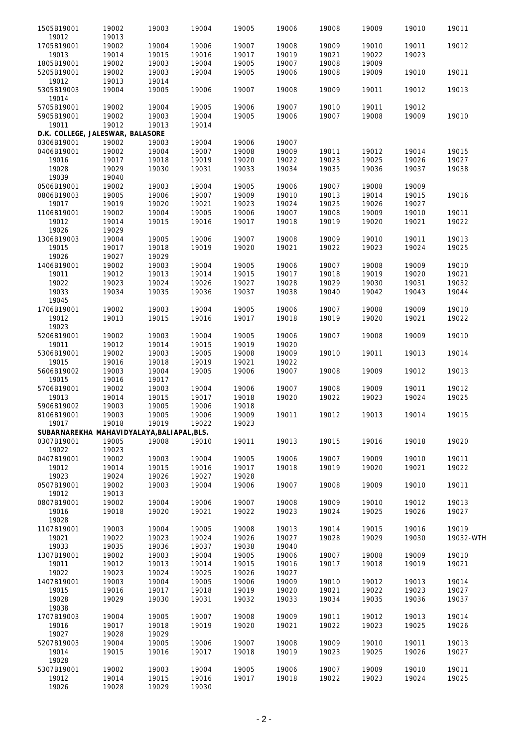| 1505B19001                       | 19002 | 19003                                      | 19004 | 19005 | 19006 | 19008 | 19009 | 19010 | 19011     |
|----------------------------------|-------|--------------------------------------------|-------|-------|-------|-------|-------|-------|-----------|
| 19012                            | 19013 |                                            |       |       |       |       |       |       |           |
| 1705B19001                       | 19002 | 19004                                      | 19006 | 19007 | 19008 | 19009 | 19010 | 19011 | 19012     |
| 19013                            | 19014 | 19015                                      | 19016 | 19017 | 19019 | 19021 | 19022 | 19023 |           |
| 1805B19001                       | 19002 | 19003                                      | 19004 | 19005 | 19007 | 19008 | 19009 |       |           |
| 5205B19001                       | 19002 | 19003                                      | 19004 | 19005 | 19006 | 19008 | 19009 | 19010 | 19011     |
| 19012                            | 19013 | 19014                                      |       |       |       |       |       |       |           |
| 5305B19003<br>19014              | 19004 | 19005                                      | 19006 | 19007 | 19008 | 19009 | 19011 | 19012 | 19013     |
| 5705B19001                       | 19002 | 19004                                      | 19005 | 19006 | 19007 | 19010 | 19011 | 19012 |           |
| 5905B19001                       | 19002 | 19003                                      | 19004 | 19005 | 19006 | 19007 | 19008 | 19009 | 19010     |
| 19011                            | 19012 | 19013                                      | 19014 |       |       |       |       |       |           |
|                                  |       |                                            |       |       |       |       |       |       |           |
| D.K. COLLEGE, JALESWAR, BALASORE |       |                                            |       |       |       |       |       |       |           |
| 0306B19001                       | 19002 | 19003                                      | 19004 | 19006 | 19007 |       |       |       |           |
| 0406B19001                       | 19002 | 19004                                      | 19007 | 19008 | 19009 | 19011 | 19012 | 19014 | 19015     |
| 19016                            | 19017 | 19018                                      | 19019 | 19020 | 19022 | 19023 | 19025 | 19026 | 19027     |
| 19028                            | 19029 | 19030                                      | 19031 | 19033 | 19034 | 19035 | 19036 | 19037 | 19038     |
| 19039                            | 19040 |                                            |       |       |       |       |       |       |           |
| 0506B19001                       | 19002 | 19003                                      | 19004 | 19005 | 19006 | 19007 | 19008 | 19009 |           |
| 0806B19003                       | 19005 | 19006                                      | 19007 | 19009 | 19010 | 19013 | 19014 | 19015 | 19016     |
| 19017                            | 19019 | 19020                                      | 19021 | 19023 | 19024 | 19025 | 19026 | 19027 |           |
| 1106B19001                       | 19002 | 19004                                      | 19005 | 19006 | 19007 | 19008 | 19009 | 19010 | 19011     |
| 19012                            | 19014 | 19015                                      | 19016 | 19017 | 19018 | 19019 | 19020 | 19021 | 19022     |
|                                  |       |                                            |       |       |       |       |       |       |           |
| 19026                            | 19029 |                                            |       |       |       |       |       |       |           |
| 1306B19003                       | 19004 | 19005                                      | 19006 | 19007 | 19008 | 19009 | 19010 | 19011 | 19013     |
| 19015                            | 19017 | 19018                                      | 19019 | 19020 | 19021 | 19022 | 19023 | 19024 | 19025     |
| 19026                            | 19027 | 19029                                      |       |       |       |       |       |       |           |
| 1406B19001                       | 19002 | 19003                                      | 19004 | 19005 | 19006 | 19007 | 19008 | 19009 | 19010     |
| 19011                            | 19012 | 19013                                      | 19014 | 19015 | 19017 | 19018 | 19019 | 19020 | 19021     |
| 19022                            | 19023 | 19024                                      | 19026 | 19027 | 19028 | 19029 | 19030 | 19031 | 19032     |
| 19033                            | 19034 | 19035                                      | 19036 | 19037 | 19038 | 19040 | 19042 | 19043 | 19044     |
|                                  |       |                                            |       |       |       |       |       |       |           |
| 19045                            |       |                                            |       |       |       |       |       |       |           |
| 1706B19001                       | 19002 | 19003                                      | 19004 | 19005 | 19006 | 19007 | 19008 | 19009 | 19010     |
| 19012                            | 19013 | 19015                                      | 19016 | 19017 | 19018 | 19019 | 19020 | 19021 | 19022     |
| 19023                            |       |                                            |       |       |       |       |       |       |           |
| 5206B19001                       | 19002 | 19003                                      | 19004 | 19005 | 19006 | 19007 | 19008 | 19009 | 19010     |
| 19011                            | 19012 | 19014                                      | 19015 | 19019 | 19020 |       |       |       |           |
| 5306B19001                       | 19002 | 19003                                      | 19005 | 19008 | 19009 | 19010 | 19011 | 19013 | 19014     |
| 19015                            | 19016 | 19018                                      | 19019 | 19021 | 19022 |       |       |       |           |
|                                  |       |                                            |       |       |       |       |       |       |           |
| 5606B19002                       | 19003 | 19004                                      | 19005 | 19006 | 19007 | 19008 | 19009 | 19012 | 19013     |
| 19015                            | 19016 | 19017                                      |       |       |       |       |       |       |           |
| 5706B19001                       | 19002 | 19003                                      | 19004 | 19006 | 19007 | 19008 | 19009 | 19011 | 19012     |
| 19013                            | 19014 | 19015                                      | 19017 | 19018 | 19020 | 19022 | 19023 | 19024 | 19025     |
| 5906B19002                       | 19003 | 19005                                      | 19006 | 19018 |       |       |       |       |           |
| 8106B19001                       | 19003 | 19005                                      | 19006 | 19009 | 19011 | 19012 | 19013 | 19014 | 19015     |
| 19017                            | 19018 | 19019                                      | 19022 | 19023 |       |       |       |       |           |
|                                  |       | SUBARNAREKHA MAHAVIDYALAYA, BALIAPAL, BLS. |       |       |       |       |       |       |           |
| 0307B19001                       | 19005 | 19008                                      | 19010 | 19011 | 19013 | 19015 | 19016 | 19018 | 19020     |
|                                  |       |                                            |       |       |       |       |       |       |           |
| 19022                            | 19023 |                                            |       |       |       |       |       |       |           |
| 0407B19001                       | 19002 | 19003                                      | 19004 | 19005 | 19006 | 19007 | 19009 | 19010 | 19011     |
| 19012                            | 19014 | 19015                                      | 19016 | 19017 | 19018 | 19019 | 19020 | 19021 | 19022     |
| 19023                            | 19024 | 19026                                      | 19027 | 19028 |       |       |       |       |           |
| 0507B19001                       | 19002 | 19003                                      | 19004 | 19006 | 19007 | 19008 | 19009 | 19010 | 19011     |
| 19012                            | 19013 |                                            |       |       |       |       |       |       |           |
| 0807B19001                       | 19002 | 19004                                      | 19006 | 19007 | 19008 | 19009 | 19010 | 19012 | 19013     |
| 19016                            | 19018 | 19020                                      | 19021 | 19022 | 19023 | 19024 | 19025 | 19026 | 19027     |
| 19028                            |       |                                            |       |       |       |       |       |       |           |
| 1107B19001                       | 19003 | 19004                                      | 19005 | 19008 | 19013 | 19014 | 19015 | 19016 | 19019     |
|                                  |       |                                            |       |       |       |       |       |       |           |
| 19021                            | 19022 | 19023                                      | 19024 | 19026 | 19027 | 19028 | 19029 | 19030 | 19032-WTH |
| 19033                            | 19035 | 19036                                      | 19037 | 19038 | 19040 |       |       |       |           |
| 1307B19001                       | 19002 | 19003                                      | 19004 | 19005 | 19006 | 19007 | 19008 | 19009 | 19010     |
| 19011                            | 19012 | 19013                                      | 19014 | 19015 | 19016 | 19017 | 19018 | 19019 | 19021     |
| 19022                            | 19023 | 19024                                      | 19025 | 19026 | 19027 |       |       |       |           |
| 1407B19001                       | 19003 | 19004                                      | 19005 | 19006 | 19009 | 19010 | 19012 | 19013 | 19014     |
| 19015                            | 19016 | 19017                                      | 19018 | 19019 | 19020 | 19021 | 19022 | 19023 | 19027     |
| 19028                            | 19029 | 19030                                      | 19031 | 19032 | 19033 | 19034 | 19035 | 19036 | 19037     |
|                                  |       |                                            |       |       |       |       |       |       |           |
| 19038                            |       |                                            |       |       |       |       |       |       |           |
| 1707B19003                       | 19004 | 19005                                      | 19007 | 19008 | 19009 | 19011 | 19012 | 19013 | 19014     |
| 19016                            | 19017 | 19018                                      | 19019 | 19020 | 19021 | 19022 | 19023 | 19025 | 19026     |
| 19027                            | 19028 | 19029                                      |       |       |       |       |       |       |           |
| 5207B19003                       | 19004 | 19005                                      | 19006 | 19007 | 19008 | 19009 | 19010 | 19011 | 19013     |
| 19014                            | 19015 | 19016                                      | 19017 | 19018 | 19019 | 19023 | 19025 | 19026 | 19027     |
| 19028                            |       |                                            |       |       |       |       |       |       |           |
| 5307B19001                       | 19002 | 19003                                      | 19004 | 19005 | 19006 | 19007 | 19009 | 19010 | 19011     |
| 19012                            | 19014 | 19015                                      | 19016 | 19017 | 19018 | 19022 | 19023 | 19024 | 19025     |
|                                  |       |                                            |       |       |       |       |       |       |           |
| 19026                            | 19028 | 19029                                      | 19030 |       |       |       |       |       |           |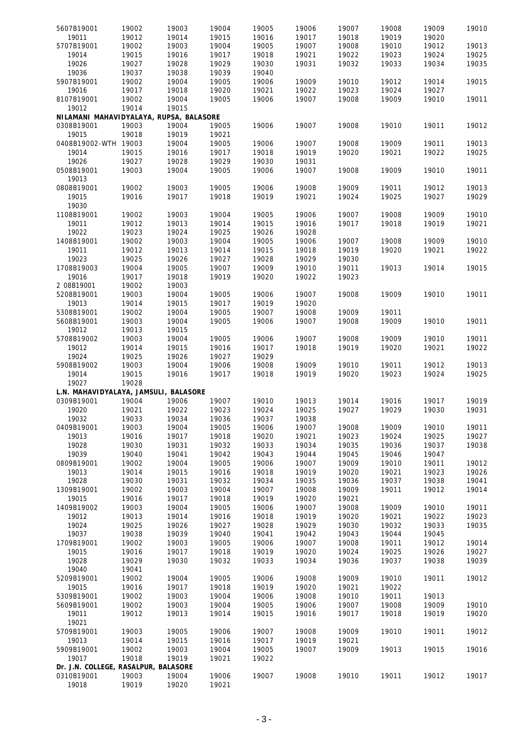| 5607B19001                              | 19002 | 19003 | 19004 | 19005 | 19006 | 19007 | 19008 | 19009 | 19010 |
|-----------------------------------------|-------|-------|-------|-------|-------|-------|-------|-------|-------|
| 19011                                   | 19012 | 19014 | 19015 | 19016 | 19017 | 19018 | 19019 | 19020 |       |
| 5707B19001                              | 19002 | 19003 | 19004 | 19005 | 19007 | 19008 | 19010 | 19012 | 19013 |
| 19014                                   | 19015 | 19016 | 19017 | 19018 | 19021 | 19022 | 19023 | 19024 | 19025 |
|                                         |       |       |       |       |       |       |       |       |       |
| 19026                                   | 19027 | 19028 | 19029 | 19030 | 19031 | 19032 | 19033 | 19034 | 19035 |
| 19036                                   | 19037 | 19038 | 19039 | 19040 |       |       |       |       |       |
| 5907B19001                              | 19002 | 19004 | 19005 | 19006 | 19009 | 19010 | 19012 | 19014 | 19015 |
| 19016                                   | 19017 | 19018 | 19020 | 19021 | 19022 | 19023 | 19024 | 19027 |       |
| 8107B19001                              | 19002 | 19004 | 19005 | 19006 | 19007 | 19008 | 19009 | 19010 | 19011 |
| 19012                                   | 19014 | 19015 |       |       |       |       |       |       |       |
| NILAMANI MAHAVIDYALAYA, RUPSA, BALASORE |       |       |       |       |       |       |       |       |       |
| 0308B19001                              | 19003 | 19004 | 19005 | 19006 | 19007 | 19008 | 19010 | 19011 | 19012 |
| 19015                                   | 19018 | 19019 | 19021 |       |       |       |       |       |       |
| 0408B19002-WTH 19003                    |       | 19004 | 19005 | 19006 | 19007 | 19008 | 19009 | 19011 | 19013 |
| 19014                                   |       |       | 19017 |       |       |       |       |       |       |
|                                         | 19015 | 19016 |       | 19018 | 19019 | 19020 | 19021 | 19022 | 19025 |
| 19026                                   | 19027 | 19028 | 19029 | 19030 | 19031 |       |       |       |       |
| 0508B19001                              | 19003 | 19004 | 19005 | 19006 | 19007 | 19008 | 19009 | 19010 | 19011 |
| 19013                                   |       |       |       |       |       |       |       |       |       |
| 0808B19001                              | 19002 | 19003 | 19005 | 19006 | 19008 | 19009 | 19011 | 19012 | 19013 |
| 19015                                   | 19016 | 19017 | 19018 | 19019 | 19021 | 19024 | 19025 | 19027 | 19029 |
| 19030                                   |       |       |       |       |       |       |       |       |       |
| 1108B19001                              | 19002 | 19003 | 19004 | 19005 | 19006 | 19007 | 19008 | 19009 | 19010 |
| 19011                                   | 19012 | 19013 | 19014 | 19015 | 19016 | 19017 | 19018 | 19019 | 19021 |
| 19022                                   | 19023 | 19024 | 19025 | 19026 | 19028 |       |       |       |       |
|                                         |       |       |       |       |       |       |       |       |       |
| 1408B19001                              | 19002 | 19003 | 19004 | 19005 | 19006 | 19007 | 19008 | 19009 | 19010 |
| 19011                                   | 19012 | 19013 | 19014 | 19015 | 19018 | 19019 | 19020 | 19021 | 19022 |
| 19023                                   | 19025 | 19026 | 19027 | 19028 | 19029 | 19030 |       |       |       |
| 1708B19003                              | 19004 | 19005 | 19007 | 19009 | 19010 | 19011 | 19013 | 19014 | 19015 |
| 19016                                   | 19017 | 19018 | 19019 | 19020 | 19022 | 19023 |       |       |       |
| 2 08B19001                              | 19002 | 19003 |       |       |       |       |       |       |       |
| 5208B19001                              | 19003 | 19004 | 19005 | 19006 | 19007 | 19008 | 19009 | 19010 | 19011 |
| 19013                                   | 19014 | 19015 | 19017 | 19019 | 19020 |       |       |       |       |
| 5308B19001                              | 19002 | 19004 | 19005 | 19007 | 19008 | 19009 | 19011 |       |       |
| 5608B19001                              | 19003 | 19004 | 19005 | 19006 | 19007 | 19008 | 19009 | 19010 | 19011 |
|                                         |       | 19015 |       |       |       |       |       |       |       |
| 19012                                   | 19013 |       |       |       |       |       |       |       |       |
| 5708B19002                              | 19003 | 19004 | 19005 | 19006 | 19007 | 19008 | 19009 | 19010 | 19011 |
| 19012                                   | 19014 | 19015 | 19016 | 19017 | 19018 | 19019 | 19020 | 19021 | 19022 |
| 19024                                   | 19025 | 19026 | 19027 | 19029 |       |       |       |       |       |
| 5908B19002                              | 19003 | 19004 | 19006 | 19008 | 19009 | 19010 | 19011 | 19012 | 19013 |
| 19014                                   | 19015 | 19016 | 19017 | 19018 | 19019 | 19020 | 19023 | 19024 | 19025 |
| 19027                                   | 19028 |       |       |       |       |       |       |       |       |
| L.N. MAHAVIDYALAYA, JAMSULI, BALASORE   |       |       |       |       |       |       |       |       |       |
| 0309B19001                              | 19004 | 19006 | 19007 | 19010 | 19013 | 19014 | 19016 | 19017 | 19019 |
| 19020                                   | 19021 | 19022 | 19023 | 19024 | 19025 | 19027 | 19029 | 19030 | 19031 |
| 19032                                   | 19033 | 19034 | 19036 | 19037 | 19038 |       |       |       |       |
|                                         |       |       | 19005 | 19006 |       |       |       | 19010 |       |
| 0409B19001                              | 19003 | 19004 |       |       | 19007 | 19008 | 19009 |       | 19011 |
| 19013                                   | 19016 | 19017 | 19018 | 19020 | 19021 | 19023 | 19024 | 19025 | 19027 |
| 19028                                   | 19030 | 19031 | 19032 | 19033 | 19034 | 19035 | 19036 | 19037 | 19038 |
| 19039                                   | 19040 | 19041 | 19042 | 19043 | 19044 | 19045 | 19046 | 19047 |       |
| 0809B19001                              | 19002 | 19004 | 19005 | 19006 | 19007 | 19009 | 19010 | 19011 | 19012 |
| 19013                                   | 19014 | 19015 | 19016 | 19018 | 19019 | 19020 | 19021 | 19023 | 19026 |
| 19028                                   | 19030 | 19031 | 19032 | 19034 | 19035 | 19036 | 19037 | 19038 | 19041 |
| 1309B19001                              | 19002 | 19003 | 19004 | 19007 | 19008 | 19009 | 19011 | 19012 | 19014 |
| 19015                                   | 19016 | 19017 | 19018 | 19019 | 19020 | 19021 |       |       |       |
| 1409B19002                              | 19003 | 19004 | 19005 | 19006 | 19007 | 19008 | 19009 | 19010 | 19011 |
|                                         |       |       |       |       |       |       |       |       | 19023 |
| 19012                                   | 19013 | 19014 | 19016 | 19018 | 19019 | 19020 | 19021 | 19022 |       |
| 19024                                   | 19025 | 19026 | 19027 | 19028 | 19029 | 19030 | 19032 | 19033 | 19035 |
| 19037                                   | 19038 | 19039 | 19040 | 19041 | 19042 | 19043 | 19044 | 19045 |       |
| 1709B19001                              | 19002 | 19003 | 19005 | 19006 | 19007 | 19008 | 19011 | 19012 | 19014 |
| 19015                                   | 19016 | 19017 | 19018 | 19019 | 19020 | 19024 | 19025 | 19026 | 19027 |
| 19028                                   | 19029 | 19030 | 19032 | 19033 | 19034 | 19036 | 19037 | 19038 | 19039 |
| 19040                                   | 19041 |       |       |       |       |       |       |       |       |
| 5209B19001                              | 19002 | 19004 | 19005 | 19006 | 19008 | 19009 | 19010 | 19011 | 19012 |
| 19015                                   | 19016 | 19017 | 19018 | 19019 | 19020 | 19021 | 19022 |       |       |
| 5309B19001                              | 19002 | 19003 | 19004 | 19006 | 19008 | 19010 | 19011 | 19013 |       |
|                                         |       |       |       |       |       |       |       |       |       |
| 5609B19001                              | 19002 | 19003 | 19004 | 19005 | 19006 | 19007 | 19008 | 19009 | 19010 |
| 19011                                   | 19012 | 19013 | 19014 | 19015 | 19016 | 19017 | 19018 | 19019 | 19020 |
| 19021                                   |       |       |       |       |       |       |       |       |       |
| 5709B19001                              | 19003 | 19005 | 19006 | 19007 | 19008 | 19009 | 19010 | 19011 | 19012 |
| 19013                                   | 19014 | 19015 | 19016 | 19017 | 19019 | 19021 |       |       |       |
| 5909B19001                              | 19002 | 19003 | 19004 | 19005 | 19007 | 19009 | 19013 | 19015 | 19016 |
| 19017                                   | 19018 | 19019 | 19021 | 19022 |       |       |       |       |       |
| Dr. J.N. COLLEGE, RASALPUR, BALASORE    |       |       |       |       |       |       |       |       |       |
| 0310B19001                              | 19003 | 19004 | 19006 | 19007 | 19008 | 19010 | 19011 | 19012 | 19017 |
| 19018                                   | 19019 | 19020 | 19021 |       |       |       |       |       |       |
|                                         |       |       |       |       |       |       |       |       |       |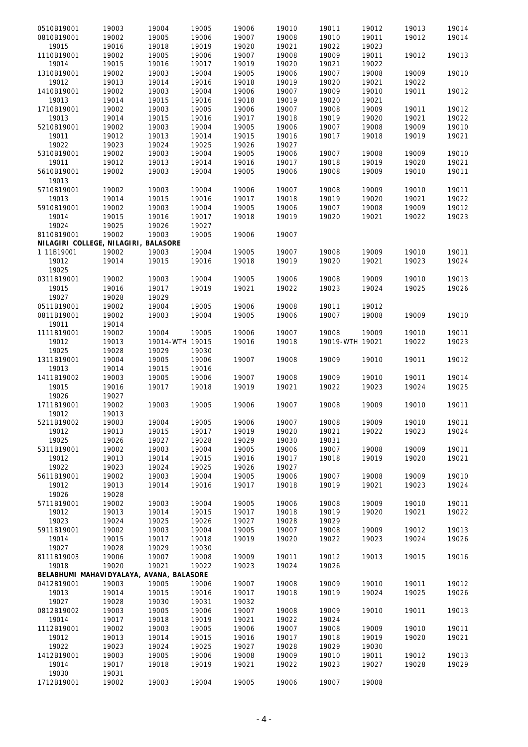| 0510B19001                               | 19003 | 19004           | 19005 | 19006 | 19010 | 19011           | 19012 | 19013 | 19014 |
|------------------------------------------|-------|-----------------|-------|-------|-------|-----------------|-------|-------|-------|
|                                          |       |                 |       |       |       |                 |       |       |       |
| 0810B19001                               | 19002 | 19005           | 19006 | 19007 | 19008 | 19010           | 19011 | 19012 | 19014 |
| 19015                                    | 19016 | 19018           | 19019 | 19020 | 19021 | 19022           | 19023 |       |       |
| 1110B19001                               | 19002 | 19005           | 19006 | 19007 | 19008 | 19009           | 19011 | 19012 | 19013 |
| 19014                                    | 19015 | 19016           | 19017 | 19019 | 19020 | 19021           | 19022 |       |       |
| 1310B19001                               | 19002 | 19003           | 19004 | 19005 | 19006 | 19007           | 19008 | 19009 | 19010 |
| 19012                                    | 19013 | 19014           | 19016 | 19018 | 19019 | 19020           | 19021 | 19022 |       |
|                                          |       |                 |       |       |       |                 |       |       |       |
| 1410B19001                               | 19002 | 19003           | 19004 | 19006 | 19007 | 19009           | 19010 | 19011 | 19012 |
| 19013                                    | 19014 | 19015           | 19016 | 19018 | 19019 | 19020           | 19021 |       |       |
| 1710B19001                               | 19002 | 19003           | 19005 | 19006 | 19007 | 19008           | 19009 | 19011 | 19012 |
| 19013                                    | 19014 | 19015           | 19016 | 19017 | 19018 | 19019           | 19020 | 19021 | 19022 |
| 5210B19001                               | 19002 | 19003           | 19004 | 19005 | 19006 | 19007           | 19008 | 19009 | 19010 |
| 19011                                    | 19012 | 19013           | 19014 | 19015 | 19016 | 19017           | 19018 | 19019 | 19021 |
|                                          |       |                 |       |       |       |                 |       |       |       |
| 19022                                    | 19023 | 19024           | 19025 | 19026 | 19027 |                 |       |       |       |
| 5310B19001                               | 19002 | 19003           | 19004 | 19005 | 19006 | 19007           | 19008 | 19009 | 19010 |
| 19011                                    | 19012 | 19013           | 19014 | 19016 | 19017 | 19018           | 19019 | 19020 | 19021 |
| 5610B19001                               | 19002 | 19003           | 19004 | 19005 | 19006 | 19008           | 19009 | 19010 | 19011 |
| 19013                                    |       |                 |       |       |       |                 |       |       |       |
| 5710B19001                               | 19002 | 19003           | 19004 | 19006 | 19007 | 19008           | 19009 | 19010 | 19011 |
|                                          |       |                 |       |       |       |                 |       |       |       |
| 19013                                    | 19014 | 19015           | 19016 | 19017 | 19018 | 19019           | 19020 | 19021 | 19022 |
| 5910B19001                               | 19002 | 19003           | 19004 | 19005 | 19006 | 19007           | 19008 | 19009 | 19012 |
| 19014                                    | 19015 | 19016           | 19017 | 19018 | 19019 | 19020           | 19021 | 19022 | 19023 |
| 19024                                    | 19025 | 19026           | 19027 |       |       |                 |       |       |       |
| 8110B19001                               | 19002 | 19003           | 19005 | 19006 | 19007 |                 |       |       |       |
| NILAGIRI COLLEGE, NILAGIRI, BALASORE     |       |                 |       |       |       |                 |       |       |       |
|                                          |       |                 |       |       |       |                 |       |       |       |
| 1 11B19001                               | 19002 | 19003           | 19004 | 19005 | 19007 | 19008           | 19009 | 19010 | 19011 |
| 19012                                    | 19014 | 19015           | 19016 | 19018 | 19019 | 19020           | 19021 | 19023 | 19024 |
| 19025                                    |       |                 |       |       |       |                 |       |       |       |
| 0311B19001                               | 19002 | 19003           | 19004 | 19005 | 19006 | 19008           | 19009 | 19010 | 19013 |
| 19015                                    | 19016 | 19017           | 19019 | 19021 | 19022 | 19023           | 19024 | 19025 | 19026 |
|                                          |       |                 |       |       |       |                 |       |       |       |
| 19027                                    | 19028 | 19029           |       |       |       |                 |       |       |       |
| 0511B19001                               | 19002 | 19004           | 19005 | 19006 | 19008 | 19011           | 19012 |       |       |
| 0811B19001                               | 19002 | 19003           | 19004 | 19005 | 19006 | 19007           | 19008 | 19009 | 19010 |
| 19011                                    | 19014 |                 |       |       |       |                 |       |       |       |
| 1111B19001                               | 19002 | 19004           | 19005 | 19006 | 19007 | 19008           | 19009 | 19010 | 19011 |
| 19012                                    | 19013 | 19014-WTH 19015 |       | 19016 | 19018 | 19019-WTH 19021 |       | 19022 | 19023 |
|                                          |       |                 | 19030 |       |       |                 |       |       |       |
| 19025                                    | 19028 | 19029           |       |       |       |                 |       |       |       |
| 1311B19001                               | 19004 | 19005           | 19006 | 19007 | 19008 | 19009           | 19010 | 19011 | 19012 |
| 19013                                    | 19014 | 19015           | 19016 |       |       |                 |       |       |       |
| 1411B19002                               | 19003 | 19005           | 19006 | 19007 | 19008 | 19009           | 19010 | 19011 | 19014 |
| 19015                                    | 19016 | 19017           | 19018 | 19019 | 19021 | 19022           | 19023 | 19024 | 19025 |
| 19026                                    | 19027 |                 |       |       |       |                 |       |       |       |
|                                          |       |                 |       |       |       |                 |       |       |       |
| 1711B19001                               | 19002 | 19003           | 19005 | 19006 | 19007 | 19008           | 19009 | 19010 | 19011 |
| 19012                                    | 19013 |                 |       |       |       |                 |       |       |       |
| 5211B19002                               | 19003 | 19004           | 19005 | 19006 | 19007 | 19008           | 19009 | 19010 | 19011 |
| 19012                                    | 19013 | 19015           | 19017 | 19019 | 19020 | 19021           | 19022 | 19023 | 19024 |
| 19025                                    | 19026 | 19027           | 19028 | 19029 | 19030 | 19031           |       |       |       |
| 5311B19001                               | 19002 | 19003           | 19004 | 19005 | 19006 | 19007           | 19008 | 19009 | 19011 |
| 19012                                    | 19013 | 19014           | 19015 | 19016 | 19017 | 19018           | 19019 | 19020 | 19021 |
|                                          |       |                 |       |       |       |                 |       |       |       |
| 19022                                    | 19023 | 19024           | 19025 | 19026 | 19027 |                 |       |       |       |
| 5611B19001                               | 19002 | 19003           | 19004 | 19005 | 19006 | 19007           | 19008 | 19009 | 19010 |
| 19012                                    | 19013 | 19014           | 19016 | 19017 | 19018 | 19019           | 19021 | 19023 | 19024 |
| 19026                                    | 19028 |                 |       |       |       |                 |       |       |       |
| 5711B19001                               | 19002 | 19003           | 19004 | 19005 | 19006 | 19008           | 19009 | 19010 | 19011 |
|                                          |       |                 |       |       |       |                 |       |       |       |
| 19012                                    | 19013 | 19014           | 19015 | 19017 | 19018 | 19019           | 19020 | 19021 | 19022 |
| 19023                                    | 19024 | 19025           | 19026 | 19027 | 19028 | 19029           |       |       |       |
| 5911B19001                               | 19002 | 19003           | 19004 | 19005 | 19007 | 19008           | 19009 | 19012 | 19013 |
| 19014                                    | 19015 | 19017           | 19018 | 19019 | 19020 | 19022           | 19023 | 19024 | 19026 |
| 19027                                    | 19028 | 19029           | 19030 |       |       |                 |       |       |       |
| 8111B19003                               | 19006 | 19007           | 19008 | 19009 | 19011 | 19012           | 19013 | 19015 | 19016 |
| 19018                                    | 19020 | 19021           | 19022 | 19023 | 19024 | 19026           |       |       |       |
|                                          |       |                 |       |       |       |                 |       |       |       |
| BELABHUMI MAHAVIDYALAYA, AVANA, BALASORE |       |                 |       |       |       |                 |       |       |       |
| 0412B19001                               | 19003 | 19005           | 19006 | 19007 | 19008 | 19009           | 19010 | 19011 | 19012 |
| 19013                                    | 19014 | 19015           | 19016 | 19017 | 19018 | 19019           | 19024 | 19025 | 19026 |
| 19027                                    | 19028 | 19030           | 19031 | 19032 |       |                 |       |       |       |
| 0812B19002                               | 19003 | 19005           | 19006 | 19007 | 19008 | 19009           | 19010 | 19011 | 19013 |
| 19014                                    | 19017 | 19018           | 19019 | 19021 | 19022 | 19024           |       |       |       |
|                                          |       |                 |       |       |       |                 |       |       |       |
| 1112B19001                               | 19002 | 19003           | 19005 | 19006 | 19007 | 19008           | 19009 | 19010 | 19011 |
| 19012                                    | 19013 | 19014           | 19015 | 19016 | 19017 | 19018           | 19019 | 19020 | 19021 |
| 19022                                    | 19023 | 19024           | 19025 | 19027 | 19028 | 19029           | 19030 |       |       |
| 1412B19001                               | 19003 | 19005           | 19006 | 19008 | 19009 | 19010           | 19011 | 19012 | 19013 |
| 19014                                    | 19017 | 19018           | 19019 | 19021 | 19022 | 19023           | 19027 | 19028 | 19029 |
| 19030                                    | 19031 |                 |       |       |       |                 |       |       |       |
|                                          |       |                 |       |       |       | 19007           |       |       |       |
| 1712B19001                               | 19002 | 19003           | 19004 | 19005 | 19006 |                 | 19008 |       |       |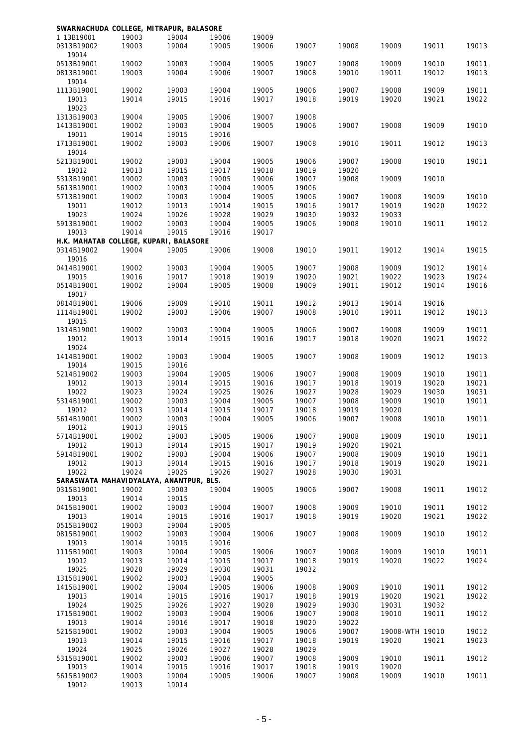| SWARNACHUDA COLLEGE, MITRAPUR, BALASORE |       |       |       |       |       |       |                 |       |       |
|-----------------------------------------|-------|-------|-------|-------|-------|-------|-----------------|-------|-------|
| 1 13B19001                              | 19003 | 19004 | 19006 | 19009 |       |       |                 |       |       |
| 0313B19002                              | 19003 | 19004 | 19005 | 19006 | 19007 | 19008 | 19009           | 19011 | 19013 |
| 19014                                   |       |       |       |       |       |       |                 |       |       |
| 0513B19001                              | 19002 | 19003 | 19004 | 19005 | 19007 | 19008 | 19009           | 19010 | 19011 |
| 0813B19001                              | 19003 | 19004 | 19006 | 19007 | 19008 | 19010 | 19011           | 19012 | 19013 |
| 19014                                   |       |       |       |       |       |       |                 |       |       |
| 1113B19001                              | 19002 | 19003 | 19004 | 19005 | 19006 | 19007 | 19008           | 19009 | 19011 |
| 19013                                   | 19014 | 19015 | 19016 | 19017 | 19018 | 19019 | 19020           | 19021 | 19022 |
| 19023                                   |       |       |       |       |       |       |                 |       |       |
| 1313B19003                              | 19004 | 19005 | 19006 | 19007 | 19008 |       |                 |       |       |
| 1413B19001                              | 19002 | 19003 | 19004 | 19005 | 19006 | 19007 | 19008           | 19009 | 19010 |
| 19011                                   | 19014 | 19015 | 19016 |       |       |       |                 |       |       |
| 1713B19001                              | 19002 | 19003 | 19006 | 19007 | 19008 | 19010 | 19011           | 19012 | 19013 |
| 19014                                   |       |       |       |       |       |       |                 |       |       |
|                                         |       |       |       |       |       |       |                 |       |       |
| 5213B19001                              | 19002 | 19003 | 19004 | 19005 | 19006 | 19007 | 19008           | 19010 | 19011 |
| 19012                                   | 19013 | 19015 | 19017 | 19018 | 19019 | 19020 |                 |       |       |
| 5313B19001                              | 19002 | 19003 | 19005 | 19006 | 19007 | 19008 | 19009           | 19010 |       |
| 5613B19001                              | 19002 | 19003 | 19004 | 19005 | 19006 |       |                 |       |       |
| 5713B19001                              | 19002 | 19003 | 19004 | 19005 | 19006 | 19007 | 19008           | 19009 | 19010 |
| 19011                                   | 19012 | 19013 | 19014 | 19015 | 19016 | 19017 | 19019           | 19020 | 19022 |
| 19023                                   | 19024 | 19026 | 19028 | 19029 | 19030 | 19032 | 19033           |       |       |
| 5913B19001                              | 19002 | 19003 | 19004 | 19005 | 19006 | 19008 | 19010           | 19011 | 19012 |
| 19013                                   | 19014 | 19015 | 19016 | 19017 |       |       |                 |       |       |
| H.K. MAHATAB COLLEGE, KUPARI, BALASORE  |       |       |       |       |       |       |                 |       |       |
| 0314B19002                              | 19004 | 19005 | 19006 | 19008 | 19010 | 19011 | 19012           | 19014 | 19015 |
| 19016                                   |       |       |       |       |       |       |                 |       |       |
| 0414B19001                              | 19002 | 19003 | 19004 | 19005 | 19007 | 19008 | 19009           | 19012 | 19014 |
| 19015                                   | 19016 | 19017 | 19018 | 19019 | 19020 | 19021 | 19022           | 19023 | 19024 |
| 0514B19001                              | 19002 | 19004 | 19005 | 19008 | 19009 | 19011 | 19012           | 19014 | 19016 |
|                                         |       |       |       |       |       |       |                 |       |       |
| 19017                                   |       |       |       |       |       |       |                 |       |       |
| 0814B19001                              | 19006 | 19009 | 19010 | 19011 | 19012 | 19013 | 19014           | 19016 |       |
| 1114B19001                              | 19002 | 19003 | 19006 | 19007 | 19008 | 19010 | 19011           | 19012 | 19013 |
| 19015                                   |       |       |       |       |       |       |                 |       |       |
| 1314B19001                              | 19002 | 19003 | 19004 | 19005 | 19006 | 19007 | 19008           | 19009 | 19011 |
| 19012                                   | 19013 | 19014 | 19015 | 19016 | 19017 | 19018 | 19020           | 19021 | 19022 |
| 19024                                   |       |       |       |       |       |       |                 |       |       |
| 1414B19001                              | 19002 | 19003 | 19004 | 19005 | 19007 | 19008 | 19009           | 19012 | 19013 |
| 19014                                   | 19015 | 19016 |       |       |       |       |                 |       |       |
| 5214B19002                              | 19003 | 19004 | 19005 | 19006 | 19007 | 19008 | 19009           | 19010 | 19011 |
| 19012                                   | 19013 | 19014 | 19015 | 19016 | 19017 | 19018 | 19019           | 19020 | 19021 |
| 19022                                   | 19023 | 19024 | 19025 | 19026 | 19027 | 19028 | 19029           | 19030 | 19031 |
| 5314B19001                              | 19002 | 19003 | 19004 | 19005 | 19007 | 19008 | 19009           | 19010 | 19011 |
| 19012                                   | 19013 | 19014 | 19015 | 19017 | 19018 | 19019 | 19020           |       |       |
|                                         |       |       |       |       |       |       |                 |       |       |
| 5614B19001                              | 19002 | 19003 | 19004 | 19005 | 19006 | 19007 | 19008           | 19010 | 19011 |
| 19012                                   | 19013 | 19015 |       |       |       |       |                 |       |       |
| 5714B19001                              | 19002 | 19003 | 19005 | 19006 | 19007 | 19008 | 19009           | 19010 | 19011 |
| 19012                                   | 19013 | 19014 | 19015 | 19017 | 19019 | 19020 | 19021           |       |       |
| 5914B19001                              | 19002 | 19003 | 19004 | 19006 | 19007 | 19008 | 19009           | 19010 | 19011 |
| 19012                                   | 19013 | 19014 | 19015 | 19016 | 19017 | 19018 | 19019           | 19020 | 19021 |
| 19022                                   | 19024 | 19025 | 19026 | 19027 | 19028 | 19030 | 19031           |       |       |
| SARASWATA MAHAVIDYALAYA, ANANTPUR, BLS. |       |       |       |       |       |       |                 |       |       |
| 0315B19001                              | 19002 | 19003 | 19004 | 19005 | 19006 | 19007 | 19008           | 19011 | 19012 |
| 19013                                   | 19014 | 19015 |       |       |       |       |                 |       |       |
| 0415B19001                              | 19002 | 19003 | 19004 | 19007 | 19008 | 19009 | 19010           | 19011 | 19012 |
| 19013                                   | 19014 | 19015 | 19016 | 19017 | 19018 | 19019 | 19020           | 19021 | 19022 |
| 0515B19002                              | 19003 | 19004 | 19005 |       |       |       |                 |       |       |
| 0815B19001                              | 19002 | 19003 | 19004 | 19006 | 19007 | 19008 | 19009           | 19010 | 19012 |
|                                         |       |       |       |       |       |       |                 |       |       |
| 19013                                   | 19014 | 19015 | 19016 |       |       |       |                 |       |       |
| 1115B19001                              | 19003 | 19004 | 19005 | 19006 | 19007 | 19008 | 19009           | 19010 | 19011 |
| 19012                                   | 19013 | 19014 | 19015 | 19017 | 19018 | 19019 | 19020           | 19022 | 19024 |
| 19025                                   | 19028 | 19029 | 19030 | 19031 | 19032 |       |                 |       |       |
| 1315B19001                              | 19002 | 19003 | 19004 | 19005 |       |       |                 |       |       |
| 1415B19001                              | 19002 | 19004 | 19005 | 19006 | 19008 | 19009 | 19010           | 19011 | 19012 |
| 19013                                   | 19014 | 19015 | 19016 | 19017 | 19018 | 19019 | 19020           | 19021 | 19022 |
| 19024                                   | 19025 | 19026 | 19027 | 19028 | 19029 | 19030 | 19031           | 19032 |       |
| 1715B19001                              | 19002 | 19003 | 19004 | 19006 | 19007 | 19008 | 19010           | 19011 | 19012 |
| 19013                                   | 19014 | 19016 | 19017 | 19018 | 19020 | 19022 |                 |       |       |
| 5215B19001                              | 19002 | 19003 | 19004 | 19005 | 19006 | 19007 | 19008-WTH 19010 |       | 19012 |
| 19013                                   | 19014 | 19015 | 19016 | 19017 | 19018 | 19019 | 19020           | 19021 | 19023 |
| 19024                                   | 19025 | 19026 | 19027 | 19028 | 19029 |       |                 |       |       |
| 5315B19001                              | 19002 | 19003 | 19006 | 19007 | 19008 | 19009 | 19010           | 19011 | 19012 |
|                                         |       |       |       |       |       |       |                 |       |       |
| 19013                                   | 19014 | 19015 | 19016 | 19017 | 19018 | 19019 | 19020           |       |       |
| 5615B19002                              | 19003 | 19004 | 19005 | 19006 | 19007 | 19008 | 19009           | 19010 | 19011 |
| 19012                                   | 19013 | 19014 |       |       |       |       |                 |       |       |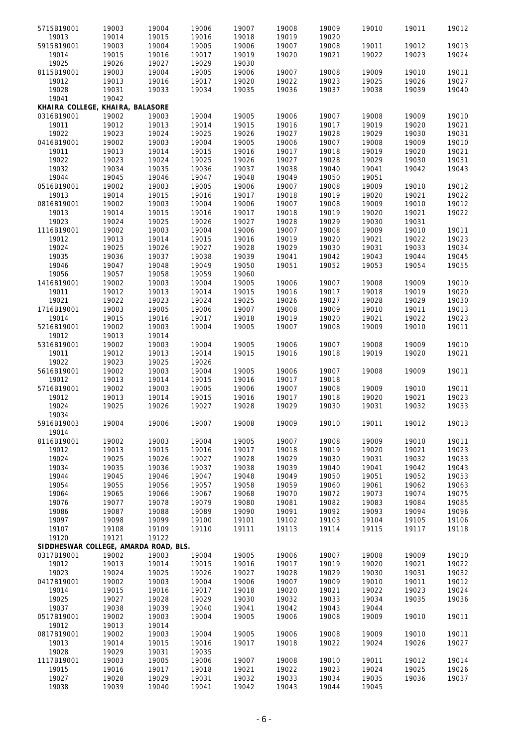| 5715B19001                            | 19003 | 19004 | 19006 | 19007 | 19008 | 19009 | 19010 | 19011 | 19012 |
|---------------------------------------|-------|-------|-------|-------|-------|-------|-------|-------|-------|
|                                       | 19014 | 19015 |       | 19018 | 19019 | 19020 |       |       |       |
| 19013                                 |       |       | 19016 |       |       |       |       |       |       |
| 5915B19001                            | 19003 | 19004 | 19005 | 19006 | 19007 | 19008 | 19011 | 19012 | 19013 |
| 19014                                 | 19015 | 19016 | 19017 | 19019 | 19020 | 19021 | 19022 | 19023 | 19024 |
| 19025                                 | 19026 | 19027 | 19029 | 19030 |       |       |       |       |       |
| 8115B19001                            | 19003 | 19004 | 19005 | 19006 | 19007 | 19008 | 19009 | 19010 | 19011 |
| 19012                                 | 19013 | 19016 | 19017 | 19020 | 19022 | 19023 | 19025 | 19026 | 19027 |
|                                       |       |       |       |       |       |       |       |       |       |
| 19028                                 | 19031 | 19033 | 19034 | 19035 | 19036 | 19037 | 19038 | 19039 | 19040 |
| 19041                                 | 19042 |       |       |       |       |       |       |       |       |
| KHAIRA COLLEGE, KHAIRA, BALASORE      |       |       |       |       |       |       |       |       |       |
| 0316B19001                            | 19002 | 19003 | 19004 | 19005 | 19006 | 19007 | 19008 | 19009 | 19010 |
| 19011                                 | 19012 | 19013 | 19014 | 19015 | 19016 | 19017 | 19019 | 19020 | 19021 |
| 19022                                 |       | 19024 | 19025 |       | 19027 | 19028 | 19029 | 19030 |       |
|                                       | 19023 |       |       | 19026 |       |       |       |       | 19031 |
| 0416B19001                            | 19002 | 19003 | 19004 | 19005 | 19006 | 19007 | 19008 | 19009 | 19010 |
| 19011                                 | 19013 | 19014 | 19015 | 19016 | 19017 | 19018 | 19019 | 19020 | 19021 |
| 19022                                 | 19023 | 19024 | 19025 | 19026 | 19027 | 19028 | 19029 | 19030 | 19031 |
| 19032                                 | 19034 | 19035 | 19036 | 19037 | 19038 | 19040 | 19041 | 19042 | 19043 |
| 19044                                 | 19045 | 19046 | 19047 | 19048 | 19049 | 19050 | 19051 |       |       |
|                                       |       |       |       |       |       |       |       |       |       |
| 0516B19001                            | 19002 | 19003 | 19005 | 19006 | 19007 | 19008 | 19009 | 19010 | 19012 |
| 19013                                 | 19014 | 19015 | 19016 | 19017 | 19018 | 19019 | 19020 | 19021 | 19022 |
| 0816B19001                            | 19002 | 19003 | 19004 | 19006 | 19007 | 19008 | 19009 | 19010 | 19012 |
| 19013                                 | 19014 | 19015 | 19016 | 19017 | 19018 | 19019 | 19020 | 19021 | 19022 |
| 19023                                 | 19024 | 19025 | 19026 | 19027 | 19028 | 19029 | 19030 | 19031 |       |
|                                       |       |       |       |       |       |       |       |       |       |
| 1116B19001                            | 19002 | 19003 | 19004 | 19006 | 19007 | 19008 | 19009 | 19010 | 19011 |
| 19012                                 | 19013 | 19014 | 19015 | 19016 | 19019 | 19020 | 19021 | 19022 | 19023 |
| 19024                                 | 19025 | 19026 | 19027 | 19028 | 19029 | 19030 | 19031 | 19033 | 19034 |
| 19035                                 | 19036 | 19037 | 19038 | 19039 | 19041 | 19042 | 19043 | 19044 | 19045 |
| 19046                                 | 19047 |       | 19049 | 19050 | 19051 |       |       | 19054 |       |
|                                       |       | 19048 |       |       |       | 19052 | 19053 |       | 19055 |
| 19056                                 | 19057 | 19058 | 19059 | 19060 |       |       |       |       |       |
| 1416B19001                            | 19002 | 19003 | 19004 | 19005 | 19006 | 19007 | 19008 | 19009 | 19010 |
| 19011                                 | 19012 | 19013 | 19014 | 19015 | 19016 | 19017 | 19018 | 19019 | 19020 |
| 19021                                 | 19022 | 19023 | 19024 | 19025 | 19026 | 19027 | 19028 | 19029 | 19030 |
|                                       |       |       |       |       |       |       |       |       |       |
| 1716B19001                            | 19003 | 19005 | 19006 | 19007 | 19008 | 19009 | 19010 | 19011 | 19013 |
| 19014                                 | 19015 | 19016 | 19017 | 19018 | 19019 | 19020 | 19021 | 19022 | 19023 |
| 5216B19001                            | 19002 | 19003 | 19004 | 19005 | 19007 | 19008 | 19009 | 19010 | 19011 |
| 19012                                 | 19013 | 19014 |       |       |       |       |       |       |       |
| 5316B19001                            | 19002 | 19003 | 19004 | 19005 | 19006 | 19007 | 19008 | 19009 | 19010 |
|                                       |       |       |       |       |       |       |       |       |       |
| 19011                                 | 19012 | 19013 | 19014 | 19015 | 19016 | 19018 | 19019 | 19020 | 19021 |
| 19022                                 | 19023 | 19025 | 19026 |       |       |       |       |       |       |
| 5616B19001                            | 19002 | 19003 | 19004 | 19005 | 19006 | 19007 | 19008 | 19009 | 19011 |
| 19012                                 | 19013 | 19014 | 19015 | 19016 | 19017 | 19018 |       |       |       |
| 5716B19001                            | 19002 | 19003 | 19005 | 19006 | 19007 | 19008 | 19009 | 19010 | 19011 |
|                                       |       |       |       |       |       |       |       |       |       |
| 19012                                 | 19013 | 19014 | 19015 | 19016 | 19017 | 19018 | 19020 | 19021 | 19023 |
| 19024                                 | 19025 | 19026 | 19027 | 19028 | 19029 | 19030 | 19031 | 19032 | 19033 |
| 19034                                 |       |       |       |       |       |       |       |       |       |
| 5916B19003                            | 19004 | 19006 | 19007 | 19008 | 19009 | 19010 | 19011 | 19012 | 19013 |
| 19014                                 |       |       |       |       |       |       |       |       |       |
|                                       |       |       |       |       |       |       |       |       |       |
| 8116B19001                            | 19002 | 19003 | 19004 | 19005 | 19007 | 19008 | 19009 | 19010 | 19011 |
| 19012                                 | 19013 | 19015 | 19016 | 19017 | 19018 | 19019 | 19020 | 19021 | 19023 |
| 19024                                 | 19025 | 19026 | 19027 | 19028 | 19029 | 19030 | 19031 | 19032 | 19033 |
| 19034                                 | 19035 | 19036 | 19037 | 19038 | 19039 | 19040 | 19041 | 19042 | 19043 |
| 19044                                 | 19045 | 19046 | 19047 | 19048 | 19049 | 19050 | 19051 | 19052 | 19053 |
|                                       |       |       |       |       |       |       |       |       |       |
| 19054                                 | 19055 | 19056 | 19057 | 19058 | 19059 | 19060 | 19061 | 19062 | 19063 |
| 19064                                 | 19065 | 19066 | 19067 | 19068 | 19070 | 19072 | 19073 | 19074 | 19075 |
| 19076                                 | 19077 | 19078 | 19079 | 19080 | 19081 | 19082 | 19083 | 19084 | 19085 |
| 19086                                 | 19087 | 19088 | 19089 | 19090 | 19091 | 19092 | 19093 | 19094 | 19096 |
| 19097                                 | 19098 | 19099 | 19100 | 19101 | 19102 | 19103 | 19104 | 19105 | 19106 |
|                                       |       |       |       |       |       |       |       |       |       |
| 19107                                 | 19108 | 19109 | 19110 | 19111 | 19113 | 19114 | 19115 | 19117 | 19118 |
| 19120                                 | 19121 | 19122 |       |       |       |       |       |       |       |
| SIDDHESWAR COLLEGE, AMARDA ROAD, BLS. |       |       |       |       |       |       |       |       |       |
| 0317B19001                            | 19002 | 19003 | 19004 | 19005 | 19006 | 19007 | 19008 | 19009 | 19010 |
| 19012                                 | 19013 | 19014 | 19015 | 19016 | 19017 | 19019 | 19020 | 19021 | 19022 |
|                                       |       |       |       |       |       |       |       |       |       |
| 19023                                 | 19024 | 19025 | 19026 | 19027 | 19028 | 19029 | 19030 | 19031 | 19032 |
| 0417B19001                            | 19002 | 19003 | 19004 | 19006 | 19007 | 19009 | 19010 | 19011 | 19012 |
| 19014                                 | 19015 | 19016 | 19017 | 19018 | 19020 | 19021 | 19022 | 19023 | 19024 |
| 19025                                 | 19027 | 19028 | 19029 | 19030 | 19032 | 19033 | 19034 | 19035 | 19036 |
| 19037                                 | 19038 | 19039 | 19040 | 19041 | 19042 | 19043 | 19044 |       |       |
|                                       |       |       |       |       |       |       |       |       |       |
| 0517B19001                            | 19002 | 19003 | 19004 | 19005 | 19006 | 19008 | 19009 | 19010 | 19011 |
| 19012                                 | 19013 | 19014 |       |       |       |       |       |       |       |
| 0817B19001                            | 19002 | 19003 | 19004 | 19005 | 19006 | 19008 | 19009 | 19010 | 19011 |
| 19013                                 | 19014 | 19015 | 19016 | 19017 | 19018 | 19022 | 19024 | 19026 | 19027 |
| 19028                                 | 19029 | 19031 | 19035 |       |       |       |       |       |       |
|                                       |       |       |       |       |       |       |       |       |       |
| 1117B19001                            | 19003 | 19005 | 19006 | 19007 | 19008 | 19010 | 19011 | 19012 | 19014 |
| 19015                                 | 19016 | 19017 | 19018 | 19021 | 19022 | 19023 | 19024 | 19025 | 19026 |
| 19027                                 | 19028 | 19029 | 19031 | 19032 | 19033 | 19034 | 19035 | 19036 | 19037 |
| 19038                                 | 19039 | 19040 | 19041 | 19042 | 19043 | 19044 | 19045 |       |       |
|                                       |       |       |       |       |       |       |       |       |       |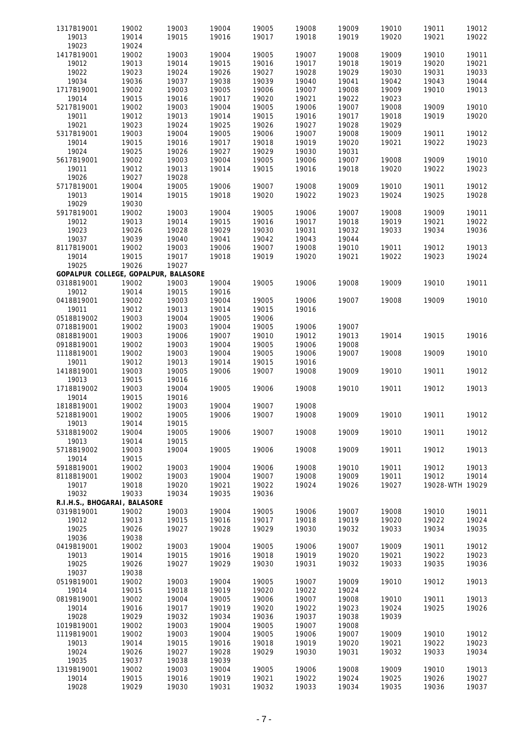| 1317B19001                           | 19002 | 19003 | 19004 | 19005 | 19008 | 19009 | 19010 | 19011           | 19012 |
|--------------------------------------|-------|-------|-------|-------|-------|-------|-------|-----------------|-------|
| 19013                                | 19014 | 19015 | 19016 | 19017 | 19018 | 19019 | 19020 | 19021           | 19022 |
| 19023                                | 19024 |       |       |       |       |       |       |                 |       |
| 1417B19001                           | 19002 | 19003 | 19004 | 19005 | 19007 | 19008 | 19009 | 19010           | 19011 |
|                                      |       |       |       |       |       |       |       |                 |       |
| 19012                                | 19013 | 19014 | 19015 | 19016 | 19017 | 19018 | 19019 | 19020           | 19021 |
| 19022                                | 19023 | 19024 | 19026 | 19027 | 19028 | 19029 | 19030 | 19031           | 19033 |
| 19034                                | 19036 | 19037 | 19038 | 19039 | 19040 | 19041 | 19042 | 19043           | 19044 |
|                                      |       |       |       |       |       |       |       |                 |       |
| 1717B19001                           | 19002 | 19003 | 19005 | 19006 | 19007 | 19008 | 19009 | 19010           | 19013 |
| 19014                                | 19015 | 19016 | 19017 | 19020 | 19021 | 19022 | 19023 |                 |       |
| 5217B19001                           | 19002 | 19003 | 19004 | 19005 | 19006 | 19007 | 19008 | 19009           | 19010 |
|                                      |       |       |       |       |       |       |       |                 |       |
| 19011                                | 19012 | 19013 | 19014 | 19015 | 19016 | 19017 | 19018 | 19019           | 19020 |
| 19021                                | 19023 | 19024 | 19025 | 19026 | 19027 | 19028 | 19029 |                 |       |
| 5317B19001                           | 19003 | 19004 | 19005 | 19006 | 19007 | 19008 | 19009 | 19011           | 19012 |
|                                      |       |       |       |       |       |       |       |                 |       |
| 19014                                | 19015 | 19016 | 19017 | 19018 | 19019 | 19020 | 19021 | 19022           | 19023 |
| 19024                                | 19025 | 19026 | 19027 | 19029 | 19030 | 19031 |       |                 |       |
|                                      |       |       |       |       |       |       |       |                 | 19010 |
| 5617B19001                           | 19002 | 19003 | 19004 | 19005 | 19006 | 19007 | 19008 | 19009           |       |
| 19011                                | 19012 | 19013 | 19014 | 19015 | 19016 | 19018 | 19020 | 19022           | 19023 |
| 19026                                | 19027 | 19028 |       |       |       |       |       |                 |       |
|                                      |       |       |       |       |       |       |       |                 |       |
| 5717B19001                           | 19004 | 19005 | 19006 | 19007 | 19008 | 19009 | 19010 | 19011           | 19012 |
| 19013                                | 19014 | 19015 | 19018 | 19020 | 19022 | 19023 | 19024 | 19025           | 19028 |
| 19029                                | 19030 |       |       |       |       |       |       |                 |       |
|                                      |       |       |       |       |       |       |       |                 |       |
| 5917B19001                           | 19002 | 19003 | 19004 | 19005 | 19006 | 19007 | 19008 | 19009           | 19011 |
| 19012                                | 19013 | 19014 | 19015 | 19016 | 19017 | 19018 | 19019 | 19021           | 19022 |
| 19023                                | 19026 | 19028 | 19029 | 19030 | 19031 | 19032 | 19033 | 19034           | 19036 |
|                                      |       |       |       |       |       |       |       |                 |       |
| 19037                                | 19039 | 19040 | 19041 | 19042 | 19043 | 19044 |       |                 |       |
| 8117B19001                           | 19002 | 19003 | 19006 | 19007 | 19008 | 19010 | 19011 | 19012           | 19013 |
| 19014                                | 19015 | 19017 | 19018 | 19019 | 19020 | 19021 | 19022 | 19023           | 19024 |
|                                      |       |       |       |       |       |       |       |                 |       |
| 19025                                | 19026 | 19027 |       |       |       |       |       |                 |       |
| GOPALPUR COLLEGE, GOPALPUR, BALASORE |       |       |       |       |       |       |       |                 |       |
| 0318B19001                           | 19002 | 19003 | 19004 | 19005 | 19006 | 19008 | 19009 | 19010           | 19011 |
|                                      |       |       |       |       |       |       |       |                 |       |
| 19012                                | 19014 | 19015 | 19016 |       |       |       |       |                 |       |
| 0418B19001                           | 19002 | 19003 | 19004 | 19005 | 19006 | 19007 | 19008 | 19009           | 19010 |
|                                      |       |       | 19014 |       |       |       |       |                 |       |
| 19011                                | 19012 | 19013 |       | 19015 | 19016 |       |       |                 |       |
| 0518B19002                           | 19003 | 19004 | 19005 | 19006 |       |       |       |                 |       |
| 0718B19001                           | 19002 | 19003 | 19004 | 19005 | 19006 | 19007 |       |                 |       |
|                                      |       |       |       |       |       |       |       |                 |       |
| 0818B19001                           | 19003 | 19006 | 19007 | 19010 | 19012 | 19013 | 19014 | 19015           | 19016 |
| 0918B19001                           | 19002 | 19003 | 19004 | 19005 | 19006 | 19008 |       |                 |       |
| 1118B19001                           | 19002 | 19003 | 19004 | 19005 | 19006 | 19007 | 19008 | 19009           | 19010 |
|                                      |       |       |       |       |       |       |       |                 |       |
| 19011                                | 19012 | 19013 | 19014 | 19015 | 19016 |       |       |                 |       |
| 1418B19001                           | 19003 | 19005 | 19006 | 19007 | 19008 | 19009 | 19010 | 19011           | 19012 |
|                                      |       |       |       |       |       |       |       |                 |       |
| 19013                                | 19015 | 19016 |       |       |       |       |       |                 |       |
| 1718B19002                           | 19003 | 19004 | 19005 | 19006 | 19008 | 19010 | 19011 | 19012           | 19013 |
| 19014                                | 19015 | 19016 |       |       |       |       |       |                 |       |
|                                      |       |       |       |       |       |       |       |                 |       |
| 1818B19001                           | 19002 | 19003 | 19004 | 19007 | 19008 |       |       |                 |       |
| 5218B19001                           | 19002 | 19005 | 19006 | 19007 | 19008 | 19009 | 19010 | 19011           | 19012 |
| 19013                                | 19014 | 19015 |       |       |       |       |       |                 |       |
|                                      |       |       |       |       |       |       |       |                 |       |
| 5318B19002                           | 19004 | 19005 | 19006 | 19007 | 19008 | 19009 | 19010 | 19011           | 19012 |
| 19013                                | 19014 | 19015 |       |       |       |       |       |                 |       |
|                                      |       |       |       |       |       |       |       |                 |       |
| 5718B19002                           | 19003 | 19004 | 19005 | 19006 | 19008 | 19009 | 19011 | 19012           | 19013 |
| 19014                                | 19015 |       |       |       |       |       |       |                 |       |
| 5918B19001                           | 19002 | 19003 | 19004 | 19006 | 19008 | 19010 | 19011 | 19012           | 19013 |
|                                      |       |       |       |       |       |       |       |                 |       |
| 8118B19001                           | 19002 | 19003 | 19004 | 19007 | 19008 | 19009 | 19011 | 19012           | 19014 |
| 19017                                | 19018 | 19020 | 19021 | 19022 | 19024 | 19026 | 19027 | 19028-WTH 19029 |       |
| 19032                                | 19033 | 19034 | 19035 | 19036 |       |       |       |                 |       |
|                                      |       |       |       |       |       |       |       |                 |       |
| R.I.H.S., BHOGARAI, BALASORE         |       |       |       |       |       |       |       |                 |       |
| 0319B19001                           | 19002 | 19003 | 19004 | 19005 | 19006 | 19007 | 19008 | 19010           | 19011 |
| 19012                                | 19013 | 19015 | 19016 | 19017 | 19018 | 19019 | 19020 | 19022           | 19024 |
|                                      |       |       |       |       |       |       |       |                 |       |
| 19025                                | 19026 | 19027 | 19028 | 19029 | 19030 | 19032 | 19033 | 19034           | 19035 |
| 19036                                | 19038 |       |       |       |       |       |       |                 |       |
| 0419B19001                           | 19002 | 19003 | 19004 | 19005 | 19006 | 19007 | 19009 | 19011           | 19012 |
|                                      |       |       |       |       |       |       |       |                 |       |
| 19013                                | 19014 | 19015 | 19016 | 19018 | 19019 | 19020 | 19021 | 19022           | 19023 |
| 19025                                | 19026 | 19027 | 19029 | 19030 | 19031 | 19032 | 19033 | 19035           | 19036 |
| 19037                                | 19038 |       |       |       |       |       |       |                 |       |
|                                      |       |       |       |       |       |       |       |                 |       |
| 0519B19001                           | 19002 | 19003 | 19004 | 19005 | 19007 | 19009 | 19010 | 19012           | 19013 |
| 19014                                | 19015 | 19018 | 19019 | 19020 | 19022 | 19024 |       |                 |       |
|                                      |       |       |       |       |       |       |       |                 | 19013 |
| 0819B19001                           | 19002 | 19004 | 19005 | 19006 | 19007 | 19008 | 19010 | 19011           |       |
| 19014                                | 19016 | 19017 | 19019 | 19020 | 19022 | 19023 | 19024 | 19025           | 19026 |
| 19028                                | 19029 | 19032 | 19034 | 19036 | 19037 | 19038 | 19039 |                 |       |
|                                      |       |       |       |       |       |       |       |                 |       |
| 1019B19001                           | 19002 | 19003 | 19004 | 19005 | 19007 | 19008 |       |                 |       |
| 1119B19001                           | 19002 | 19003 | 19004 | 19005 | 19006 | 19007 | 19009 | 19010           | 19012 |
| 19013                                | 19014 | 19015 | 19016 | 19018 | 19019 | 19020 | 19021 | 19022           | 19023 |
|                                      |       |       |       |       |       |       |       |                 |       |
| 19024                                | 19026 | 19027 | 19028 | 19029 | 19030 | 19031 | 19032 | 19033           | 19034 |
| 19035                                | 19037 | 19038 | 19039 |       |       |       |       |                 |       |
|                                      |       |       |       |       |       |       |       |                 |       |
| 1319B19001                           | 19002 | 19003 | 19004 | 19005 | 19006 | 19008 | 19009 | 19010           | 19013 |
| 19014                                | 19015 | 19016 | 19019 | 19021 | 19022 | 19024 | 19025 | 19026           | 19027 |
| 19028                                | 19029 | 19030 | 19031 | 19032 | 19033 | 19034 | 19035 | 19036           | 19037 |
|                                      |       |       |       |       |       |       |       |                 |       |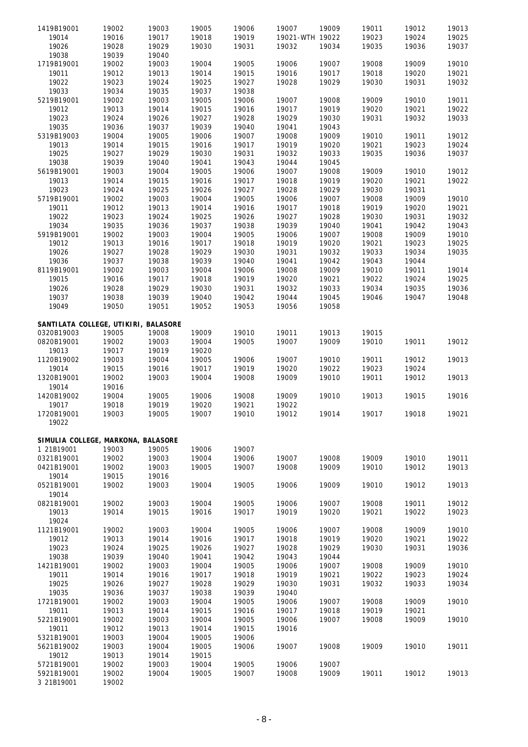| 1419B19001                           | 19002 | 19003 | 19005 | 19006 | 19007           | 19009 | 19011 | 19012 | 19013 |
|--------------------------------------|-------|-------|-------|-------|-----------------|-------|-------|-------|-------|
| 19014                                | 19016 | 19017 | 19018 | 19019 | 19021-WTH 19022 |       | 19023 | 19024 | 19025 |
| 19026                                | 19028 | 19029 | 19030 | 19031 | 19032           | 19034 | 19035 | 19036 | 19037 |
| 19038                                | 19039 | 19040 |       |       |                 |       |       |       |       |
| 1719B19001                           | 19002 | 19003 | 19004 | 19005 | 19006           | 19007 | 19008 | 19009 | 19010 |
| 19011                                | 19012 | 19013 | 19014 | 19015 | 19016           | 19017 | 19018 | 19020 | 19021 |
| 19022                                | 19023 | 19024 | 19025 | 19027 | 19028           | 19029 | 19030 | 19031 | 19032 |
| 19033                                | 19034 | 19035 | 19037 | 19038 |                 |       |       |       |       |
| 5219B19001                           | 19002 | 19003 | 19005 | 19006 | 19007           | 19008 | 19009 | 19010 | 19011 |
| 19012                                | 19013 | 19014 | 19015 | 19016 | 19017           | 19019 | 19020 | 19021 | 19022 |
| 19023                                | 19024 | 19026 | 19027 | 19028 | 19029           | 19030 | 19031 | 19032 | 19033 |
| 19035                                | 19036 | 19037 | 19039 | 19040 | 19041           | 19043 |       |       |       |
| 5319B19003                           | 19004 | 19005 | 19006 | 19007 | 19008           | 19009 | 19010 | 19011 | 19012 |
| 19013                                | 19014 | 19015 | 19016 | 19017 | 19019           | 19020 | 19021 | 19023 | 19024 |
| 19025                                | 19027 | 19029 | 19030 | 19031 | 19032           | 19033 | 19035 | 19036 | 19037 |
| 19038                                | 19039 | 19040 | 19041 | 19043 | 19044           | 19045 |       |       |       |
| 5619B19001                           | 19003 | 19004 | 19005 | 19006 | 19007           | 19008 | 19009 | 19010 | 19012 |
| 19013                                | 19014 | 19015 | 19016 | 19017 | 19018           | 19019 | 19020 | 19021 | 19022 |
| 19023                                | 19024 | 19025 | 19026 | 19027 | 19028           | 19029 | 19030 | 19031 |       |
| 5719B19001                           | 19002 | 19003 | 19004 | 19005 | 19006           | 19007 | 19008 | 19009 | 19010 |
| 19011                                | 19012 | 19013 | 19014 | 19016 | 19017           | 19018 | 19019 | 19020 | 19021 |
|                                      |       |       |       |       |                 |       |       |       |       |
| 19022                                | 19023 | 19024 | 19025 | 19026 | 19027           | 19028 | 19030 | 19031 | 19032 |
| 19034                                | 19035 | 19036 | 19037 | 19038 | 19039           | 19040 | 19041 | 19042 | 19043 |
| 5919B19001                           | 19002 | 19003 | 19004 | 19005 | 19006           | 19007 | 19008 | 19009 | 19010 |
| 19012                                | 19013 | 19016 | 19017 | 19018 | 19019           | 19020 | 19021 | 19023 | 19025 |
| 19026                                | 19027 | 19028 | 19029 | 19030 | 19031           | 19032 | 19033 | 19034 | 19035 |
| 19036                                | 19037 | 19038 | 19039 | 19040 | 19041           | 19042 | 19043 | 19044 |       |
| 8119B19001                           | 19002 | 19003 | 19004 | 19006 | 19008           | 19009 | 19010 | 19011 | 19014 |
| 19015                                | 19016 | 19017 | 19018 | 19019 | 19020           | 19021 | 19022 | 19024 | 19025 |
| 19026                                | 19028 | 19029 | 19030 | 19031 | 19032           | 19033 | 19034 | 19035 | 19036 |
| 19037                                | 19038 | 19039 | 19040 | 19042 | 19044           | 19045 | 19046 | 19047 | 19048 |
| 19049                                | 19050 | 19051 | 19052 | 19053 | 19056           | 19058 |       |       |       |
|                                      |       |       |       |       |                 |       |       |       |       |
| SANTILATA COLLEGE, UTIKIRI, BALASORE |       |       |       |       |                 |       |       |       |       |
| 0320B19003                           | 19005 | 19008 | 19009 | 19010 | 19011           | 19013 | 19015 |       |       |
| 0820B19001                           | 19002 | 19003 | 19004 | 19005 | 19007           | 19009 | 19010 | 19011 | 19012 |
| 19013                                | 19017 | 19019 | 19020 |       |                 |       |       |       |       |
| 1120B19002                           | 19003 | 19004 | 19005 | 19006 | 19007           | 19010 | 19011 | 19012 | 19013 |
| 19014                                | 19015 | 19016 | 19017 | 19019 | 19020           | 19022 | 19023 | 19024 |       |
| 1320B19001                           | 19002 | 19003 | 19004 | 19008 | 19009           | 19010 | 19011 | 19012 | 19013 |
| 19014                                | 19016 |       |       |       |                 |       |       |       |       |
| 1420B19002                           | 19004 | 19005 | 19006 | 19008 | 19009           | 19010 | 19013 | 19015 | 19016 |
| 19017                                | 19018 | 19019 | 19020 | 19021 | 19022           |       |       |       |       |
| 1720B19001                           | 19003 | 19005 | 19007 | 19010 | 19012           | 19014 | 19017 | 19018 | 19021 |
| 19022                                |       |       |       |       |                 |       |       |       |       |
|                                      |       |       |       |       |                 |       |       |       |       |
| SIMULIA COLLEGE, MARKONA, BALASORE   |       |       |       |       |                 |       |       |       |       |
| 1 21B19001                           | 19003 | 19005 | 19006 | 19007 |                 |       |       |       |       |
| 0321B19001                           | 19002 | 19003 | 19004 | 19006 | 19007           | 19008 | 19009 | 19010 | 19011 |
| 0421B19001                           | 19002 | 19003 | 19005 | 19007 | 19008           | 19009 | 19010 | 19012 | 19013 |
| 19014                                | 19015 | 19016 |       |       |                 |       |       |       |       |
| 0521B19001                           | 19002 | 19003 | 19004 | 19005 | 19006           | 19009 | 19010 | 19012 | 19013 |
| 19014                                |       |       |       |       |                 |       |       |       |       |
| 0821B19001                           | 19002 | 19003 | 19004 | 19005 | 19006           | 19007 | 19008 | 19011 | 19012 |
| 19013                                | 19014 | 19015 | 19016 | 19017 | 19019           | 19020 | 19021 | 19022 | 19023 |
| 19024                                |       |       |       |       |                 |       |       |       |       |
| 1121B19001                           | 19002 | 19003 | 19004 | 19005 | 19006           | 19007 | 19008 | 19009 | 19010 |
| 19012                                | 19013 | 19014 | 19016 | 19017 | 19018           | 19019 | 19020 | 19021 | 19022 |
| 19023                                | 19024 | 19025 | 19026 | 19027 | 19028           | 19029 | 19030 | 19031 | 19036 |
| 19038                                | 19039 | 19040 | 19041 | 19042 | 19043           | 19044 |       |       |       |
| 1421B19001                           | 19002 | 19003 | 19004 | 19005 | 19006           | 19007 | 19008 | 19009 | 19010 |
| 19011                                | 19014 | 19016 | 19017 | 19018 | 19019           | 19021 | 19022 | 19023 | 19024 |
| 19025                                | 19026 | 19027 | 19028 | 19029 | 19030           | 19031 | 19032 | 19033 | 19034 |
| 19035                                | 19036 | 19037 | 19038 | 19039 | 19040           |       |       |       |       |
| 1721B19001                           | 19002 | 19003 | 19004 | 19005 | 19006           | 19007 | 19008 | 19009 | 19010 |
| 19011                                | 19013 | 19014 | 19015 | 19016 | 19017           | 19018 | 19019 | 19021 |       |
| 5221B19001                           | 19002 | 19003 | 19004 | 19005 | 19006           | 19007 | 19008 | 19009 | 19010 |
| 19011                                | 19012 | 19013 | 19014 | 19015 | 19016           |       |       |       |       |
| 5321B19001                           | 19003 | 19004 | 19005 | 19006 |                 |       |       |       |       |
| 5621B19002                           | 19003 | 19004 | 19005 | 19006 | 19007           | 19008 | 19009 | 19010 | 19011 |
| 19012                                | 19013 | 19014 | 19015 |       |                 |       |       |       |       |
| 5721B19001                           | 19002 | 19003 | 19004 | 19005 | 19006           | 19007 |       |       |       |
| 5921B19001                           | 19002 | 19004 | 19005 | 19007 | 19008           | 19009 | 19011 | 19012 | 19013 |
| 3 21B19001                           | 19002 |       |       |       |                 |       |       |       |       |
|                                      |       |       |       |       |                 |       |       |       |       |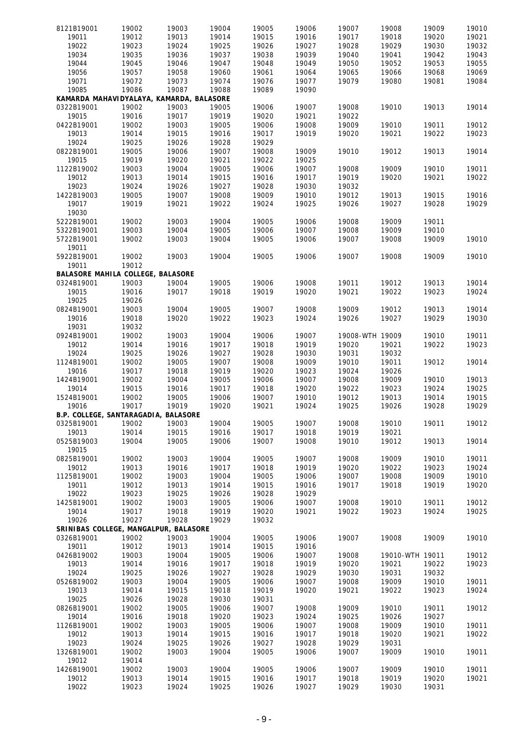| 8121B19001                               | 19002 | 19003 | 19004 | 19005 | 19006 | 19007           | 19008           | 19009 | 19010 |
|------------------------------------------|-------|-------|-------|-------|-------|-----------------|-----------------|-------|-------|
| 19011                                    | 19012 | 19013 | 19014 | 19015 | 19016 | 19017           | 19018           | 19020 | 19021 |
| 19022                                    | 19023 | 19024 | 19025 | 19026 | 19027 | 19028           | 19029           | 19030 | 19032 |
| 19034                                    |       |       | 19037 |       | 19039 | 19040           |                 | 19042 |       |
|                                          | 19035 | 19036 |       | 19038 |       |                 | 19041           |       | 19043 |
| 19044                                    | 19045 | 19046 | 19047 | 19048 | 19049 | 19050           | 19052           | 19053 | 19055 |
| 19056                                    | 19057 | 19058 | 19060 | 19061 | 19064 | 19065           | 19066           | 19068 | 19069 |
| 19071                                    | 19072 | 19073 | 19074 | 19076 | 19077 | 19079           | 19080           | 19081 | 19084 |
| 19085                                    | 19086 | 19087 | 19088 | 19089 | 19090 |                 |                 |       |       |
| KAMARDA MAHAVIDYALAYA, KAMARDA, BALASORE |       |       |       |       |       |                 |                 |       |       |
| 0322B19001                               | 19002 | 19003 | 19005 | 19006 | 19007 | 19008           | 19010           | 19013 | 19014 |
|                                          |       |       |       | 19020 |       | 19022           |                 |       |       |
| 19015                                    | 19016 | 19017 | 19019 |       | 19021 |                 |                 |       |       |
| 0422B19001                               | 19002 | 19003 | 19005 | 19006 | 19008 | 19009           | 19010           | 19011 | 19012 |
| 19013                                    | 19014 | 19015 | 19016 | 19017 | 19019 | 19020           | 19021           | 19022 | 19023 |
| 19024                                    | 19025 | 19026 | 19028 | 19029 |       |                 |                 |       |       |
| 0822B19001                               | 19005 | 19006 | 19007 | 19008 | 19009 | 19010           | 19012           | 19013 | 19014 |
| 19015                                    | 19019 | 19020 | 19021 | 19022 | 19025 |                 |                 |       |       |
| 1122B19002                               | 19003 | 19004 | 19005 | 19006 | 19007 | 19008           | 19009           | 19010 | 19011 |
|                                          |       |       |       |       |       |                 |                 |       |       |
| 19012                                    | 19013 | 19014 | 19015 | 19016 | 19017 | 19019           | 19020           | 19021 | 19022 |
| 19023                                    | 19024 | 19026 | 19027 | 19028 | 19030 | 19032           |                 |       |       |
| 1422B19003                               | 19005 | 19007 | 19008 | 19009 | 19010 | 19012           | 19013           | 19015 | 19016 |
| 19017                                    | 19019 | 19021 | 19022 | 19024 | 19025 | 19026           | 19027           | 19028 | 19029 |
| 19030                                    |       |       |       |       |       |                 |                 |       |       |
| 5222B19001                               | 19002 | 19003 | 19004 | 19005 | 19006 | 19008           | 19009           | 19011 |       |
|                                          |       |       |       |       |       |                 |                 |       |       |
| 5322B19001                               | 19003 | 19004 | 19005 | 19006 | 19007 | 19008           | 19009           | 19010 |       |
| 5722B19001                               | 19002 | 19003 | 19004 | 19005 | 19006 | 19007           | 19008           | 19009 | 19010 |
| 19011                                    |       |       |       |       |       |                 |                 |       |       |
| 5922B19001                               | 19002 | 19003 | 19004 | 19005 | 19006 | 19007           | 19008           | 19009 | 19010 |
| 19011                                    | 19012 |       |       |       |       |                 |                 |       |       |
| BALASORE MAHILA COLLEGE, BALASORE        |       |       |       |       |       |                 |                 |       |       |
|                                          |       |       |       |       |       |                 |                 |       |       |
| 0324B19001                               | 19003 | 19004 | 19005 | 19006 | 19008 | 19011           | 19012           | 19013 | 19014 |
| 19015                                    | 19016 | 19017 | 19018 | 19019 | 19020 | 19021           | 19022           | 19023 | 19024 |
| 19025                                    | 19026 |       |       |       |       |                 |                 |       |       |
| 0824B19001                               | 19003 | 19004 | 19005 | 19007 | 19008 | 19009           | 19012           | 19013 | 19014 |
| 19016                                    | 19018 | 19020 | 19022 | 19023 | 19024 | 19026           | 19027           | 19029 | 19030 |
| 19031                                    | 19032 |       |       |       |       |                 |                 |       |       |
| 0924B19001                               | 19002 | 19003 | 19004 | 19006 | 19007 | 19008-WTH 19009 |                 | 19010 | 19011 |
|                                          |       |       |       |       |       |                 |                 |       |       |
| 19012                                    | 19014 | 19016 | 19017 | 19018 | 19019 | 19020           | 19021           | 19022 | 19023 |
| 19024                                    | 19025 | 19026 | 19027 | 19028 | 19030 | 19031           | 19032           |       |       |
| 1124B19001                               | 19002 | 19005 | 19007 | 19008 | 19009 | 19010           | 19011           | 19012 | 19014 |
| 19016                                    | 19017 | 19018 | 19019 | 19020 | 19023 | 19024           | 19026           |       |       |
| 1424B19001                               | 19002 | 19004 | 19005 | 19006 | 19007 | 19008           | 19009           | 19010 | 19013 |
| 19014                                    | 19015 | 19016 | 19017 | 19018 | 19020 | 19022           | 19023           | 19024 | 19025 |
| 1524B19001                               |       |       |       |       |       |                 |                 |       |       |
|                                          | 19002 | 19005 | 19006 | 19007 | 19010 | 19012           | 19013           | 19014 | 19015 |
| 19016                                    | 19017 | 19019 | 19020 | 19021 | 19024 | 19025           | 19026           | 19028 | 19029 |
| B.P. COLLEGE, SANTARAGADIA, BALASORE     |       |       |       |       |       |                 |                 |       |       |
| 0325B19001                               | 19002 | 19003 | 19004 | 19005 | 19007 | 19008           | 19010           | 19011 | 19012 |
| 19013                                    | 19014 | 19015 | 19016 | 19017 | 19018 | 19019           | 19021           |       |       |
| 0525B19003                               | 19004 | 19005 | 19006 | 19007 | 19008 | 19010           | 19012           | 19013 | 19014 |
| 19015                                    |       |       |       |       |       |                 |                 |       |       |
|                                          |       |       | 19004 | 19005 | 19007 |                 | 19009           | 19010 |       |
| 0825B19001                               | 19002 | 19003 |       |       |       | 19008           |                 |       | 19011 |
| 19012                                    | 19013 | 19016 | 19017 | 19018 | 19019 | 19020           | 19022           | 19023 | 19024 |
| 1125B19001                               | 19002 | 19003 | 19004 | 19005 | 19006 | 19007           | 19008           | 19009 | 19010 |
| 19011                                    | 19012 | 19013 | 19014 | 19015 | 19016 | 19017           | 19018           | 19019 | 19020 |
| 19022                                    | 19023 | 19025 | 19026 | 19028 | 19029 |                 |                 |       |       |
| 1425B19001                               | 19002 | 19003 | 19005 | 19006 | 19007 | 19008           | 19010           | 19011 | 19012 |
| 19014                                    | 19017 | 19018 | 19019 | 19020 | 19021 | 19022           | 19023           | 19024 | 19025 |
| 19026                                    | 19027 | 19028 | 19029 |       |       |                 |                 |       |       |
|                                          |       |       |       | 19032 |       |                 |                 |       |       |
| SRINIBAS COLLEGE, MANGALPUR, BALASORE    |       |       |       |       |       |                 |                 |       |       |
| 0326B19001                               | 19002 | 19003 | 19004 | 19005 | 19006 | 19007           | 19008           | 19009 | 19010 |
| 19011                                    | 19012 | 19013 | 19014 | 19015 | 19016 |                 |                 |       |       |
| 0426B19002                               | 19003 | 19004 | 19005 | 19006 | 19007 | 19008           | 19010-WTH 19011 |       | 19012 |
| 19013                                    | 19014 | 19016 | 19017 | 19018 | 19019 | 19020           | 19021           | 19022 | 19023 |
| 19024                                    | 19025 | 19026 | 19027 | 19028 | 19029 | 19030           | 19031           | 19032 |       |
|                                          |       |       |       |       |       |                 |                 |       |       |
| 0526B19002                               | 19003 | 19004 | 19005 | 19006 | 19007 | 19008           | 19009           | 19010 | 19011 |
| 19013                                    | 19014 | 19015 | 19018 | 19019 | 19020 | 19021           | 19022           | 19023 | 19024 |
| 19025                                    | 19026 | 19028 | 19030 | 19031 |       |                 |                 |       |       |
| 0826B19001                               | 19002 | 19005 | 19006 | 19007 | 19008 | 19009           | 19010           | 19011 | 19012 |
| 19014                                    | 19016 | 19018 | 19020 | 19023 | 19024 | 19025           | 19026           | 19027 |       |
| 1126B19001                               | 19002 | 19003 | 19005 | 19006 | 19007 | 19008           | 19009           | 19010 | 19011 |
| 19012                                    | 19013 | 19014 | 19015 | 19016 | 19017 | 19018           | 19020           | 19021 | 19022 |
|                                          |       |       |       |       |       |                 |                 |       |       |
| 19023                                    | 19024 | 19025 | 19026 | 19027 | 19028 | 19029           | 19031           |       |       |
| 1326B19001                               | 19002 | 19003 | 19004 | 19005 | 19006 | 19007           | 19009           | 19010 | 19011 |
| 19012                                    | 19014 |       |       |       |       |                 |                 |       |       |
| 1426B19001                               | 19002 | 19003 | 19004 | 19005 | 19006 | 19007           | 19009           | 19010 | 19011 |
| 19012                                    | 19013 | 19014 | 19015 | 19016 | 19017 | 19018           | 19019           | 19020 | 19021 |
| 19022                                    | 19023 | 19024 | 19025 | 19026 | 19027 | 19029           | 19030           | 19031 |       |
|                                          |       |       |       |       |       |                 |                 |       |       |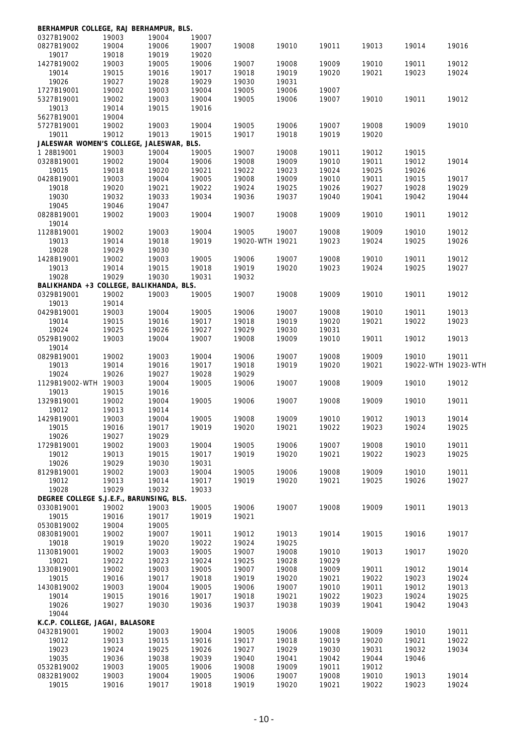| BERHAMPUR COLLEGE, RAJ BERHAMPUR, BLS.   |                                          |                |                |                 |                |                |                |                     |                |
|------------------------------------------|------------------------------------------|----------------|----------------|-----------------|----------------|----------------|----------------|---------------------|----------------|
| 0327B19002                               | 19003<br>19004                           | 19004<br>19006 | 19007          |                 |                |                |                |                     |                |
| 0827B19002<br>19017                      | 19018                                    | 19019          | 19007<br>19020 | 19008           | 19010          | 19011          | 19013          | 19014               | 19016          |
| 1427B19002                               | 19003                                    | 19005          | 19006          | 19007           | 19008          | 19009          | 19010          | 19011               | 19012          |
| 19014                                    | 19015                                    | 19016          | 19017          | 19018           | 19019          | 19020          | 19021          | 19023               | 19024          |
| 19026                                    | 19027                                    | 19028          | 19029          | 19030           | 19031          |                |                |                     |                |
| 1727B19001                               | 19002                                    | 19003          | 19004          | 19005           | 19006          | 19007          |                |                     |                |
| 5327B19001                               | 19002                                    | 19003          | 19004          | 19005           | 19006          | 19007          | 19010          | 19011               | 19012          |
| 19013                                    | 19014                                    | 19015          | 19016          |                 |                |                |                |                     |                |
| 5627B19001                               | 19004                                    |                |                |                 |                |                |                |                     |                |
| 5727B19001                               | 19002                                    | 19003          | 19004          | 19005           | 19006          | 19007          | 19008          | 19009               | 19010          |
| 19011                                    | 19012                                    | 19013          | 19015          | 19017           | 19018          | 19019          | 19020          |                     |                |
| JALESWAR WOMEN'S COLLEGE, JALESWAR, BLS. |                                          |                |                |                 |                |                |                |                     |                |
| 1 28B19001                               | 19003                                    | 19004          | 19005          | 19007           | 19008          | 19011          | 19012          | 19015               |                |
| 0328B19001                               | 19002                                    | 19004          | 19006          | 19008           | 19009          | 19010          | 19011          | 19012               | 19014          |
| 19015                                    | 19018                                    | 19020          | 19021          | 19022           | 19023          | 19024          | 19025          | 19026               |                |
| 0428B19001                               | 19003                                    | 19004          | 19005          | 19008           | 19009          | 19010          | 19011          | 19015               | 19017          |
| 19018                                    | 19020                                    | 19021          | 19022          | 19024           | 19025          | 19026          | 19027          | 19028               | 19029          |
| 19030                                    | 19032                                    | 19033          | 19034          | 19036           | 19037          | 19040          | 19041          | 19042               | 19044          |
| 19045                                    | 19046                                    | 19047          |                |                 |                |                |                |                     |                |
| 0828B19001                               | 19002                                    | 19003          | 19004          | 19007           | 19008          | 19009          | 19010          | 19011               | 19012          |
| 19014                                    |                                          |                |                |                 |                |                |                |                     |                |
| 1128B19001                               | 19002                                    | 19003          | 19004          | 19005           | 19007          | 19008          | 19009          | 19010               | 19012          |
| 19013                                    | 19014                                    | 19018          | 19019          | 19020-WTH 19021 |                | 19023          | 19024          | 19025               | 19026          |
| 19028                                    | 19029                                    | 19030          |                |                 |                |                |                |                     |                |
| 1428B19001                               | 19002                                    | 19003          | 19005          | 19006           | 19007          | 19008          | 19010          | 19011               | 19012          |
| 19013                                    | 19014                                    | 19015          | 19018          | 19019           | 19020          | 19023          | 19024          | 19025               | 19027          |
| 19028                                    | 19029                                    | 19030          | 19031          | 19032           |                |                |                |                     |                |
| BALIKHANDA +3 COLLEGE, BALIKHANDA, BLS.  |                                          |                |                |                 |                |                |                |                     |                |
| 0329B19001                               | 19002                                    | 19003          | 19005          | 19007           | 19008          | 19009          | 19010          | 19011               | 19012          |
| 19013                                    | 19014                                    |                |                |                 |                |                |                |                     |                |
| 0429B19001                               | 19003                                    | 19004          | 19005          | 19006           | 19007          | 19008          | 19010          | 19011               | 19013          |
| 19014                                    | 19015                                    | 19016          | 19017          | 19018           | 19019          | 19020          | 19021          | 19022               | 19023          |
| 19024                                    | 19025                                    | 19026          | 19027          | 19029           | 19030          | 19031          |                |                     |                |
| 0529B19002                               | 19003                                    | 19004          | 19007          | 19008           | 19009          | 19010          | 19011          | 19012               | 19013          |
| 19014                                    |                                          |                |                |                 |                |                |                |                     |                |
| 0829B19001                               | 19002                                    | 19003          | 19004          | 19006           | 19007          | 19008          | 19009          | 19010               | 19011          |
| 19013                                    | 19014                                    | 19016          | 19017          | 19018           | 19019          | 19020          | 19021          | 19022-WTH 19023-WTH |                |
| 19024                                    | 19026                                    | 19027          | 19028          | 19029           |                |                |                |                     |                |
| 1129B19002-WTH 19003                     |                                          | 19004          | 19005          | 19006           | 19007          | 19008          | 19009          | 19010               | 19012          |
| 19013                                    | 19015                                    | 19016          |                |                 |                |                |                |                     |                |
| 1329B19001                               | 19002                                    | 19004          | 19005          | 19006           | 19007          | 19008          | 19009          | 19010               | 19011          |
| 19012                                    | 19013                                    | 19014          |                |                 |                |                |                |                     |                |
| 1429B19001                               | 19003                                    | 19004          | 19005          | 19008           | 19009          | 19010          | 19012          | 19013               | 19014          |
| 19015                                    | 19016                                    | 19017          | 19019          | 19020           | 19021          | 19022          | 19023          | 19024               | 19025          |
| 19026                                    | 19027                                    | 19029          |                |                 |                |                |                |                     |                |
| 1729B19001                               | 19002                                    | 19003          | 19004          | 19005           | 19006          | 19007          | 19008          | 19010               | 19011          |
| 19012                                    | 19013                                    | 19015          | 19017          | 19019           | 19020          | 19021          | 19022          | 19023               | 19025          |
| 19026                                    | 19029                                    | 19030          | 19031          |                 |                |                |                |                     |                |
| 8129B19001                               | 19002                                    | 19003          | 19004          | 19005           | 19006          | 19008          | 19009          | 19010               | 19011          |
| 19012                                    | 19013                                    | 19014          | 19017          | 19019           | 19020          | 19021          | 19025          | 19026               | 19027          |
| 19028                                    | 19029                                    |                |                |                 |                |                |                |                     |                |
|                                          |                                          | 19032          | 19033          |                 |                |                |                |                     |                |
|                                          | DEGREE COLLEGE S.J.E.F., BARUNSING, BLS. |                |                |                 |                |                |                |                     |                |
| 0330B19001                               | 19002                                    | 19003          | 19005          | 19006           | 19007          | 19008          | 19009          | 19011               | 19013          |
| 19015                                    | 19016                                    | 19017          | 19019          | 19021           |                |                |                |                     |                |
| 0530B19002                               | 19004                                    | 19005          |                |                 |                |                |                |                     |                |
| 0830B19001                               | 19002                                    | 19007          | 19011          | 19012           | 19013          | 19014          | 19015          | 19016               | 19017          |
| 19018                                    | 19019                                    | 19020          | 19022          | 19024           | 19025          |                |                |                     |                |
| 1130B19001                               | 19002                                    | 19003          | 19005          | 19007           | 19008          | 19010          | 19013          | 19017               | 19020          |
| 19021                                    | 19022                                    | 19023          | 19024          | 19025           | 19028          | 19029          |                |                     |                |
| 1330B19001                               | 19002                                    | 19003          | 19005          | 19007           | 19008          | 19009          | 19011          | 19012               | 19014          |
| 19015                                    | 19016                                    | 19017          | 19018          | 19019           | 19020          | 19021          | 19022          | 19023               | 19024          |
| 1430B19002                               | 19003                                    | 19004          | 19005          | 19006           | 19007          | 19010          | 19011          | 19012               | 19013          |
| 19014                                    | 19015                                    | 19016          | 19017          | 19018           | 19021          | 19022          | 19023          | 19024               | 19025          |
| 19026                                    | 19027                                    | 19030          | 19036          | 19037           | 19038          | 19039          | 19041          | 19042               | 19043          |
| 19044                                    |                                          |                |                |                 |                |                |                |                     |                |
| K.C.P. COLLEGE, JAGAI, BALASORE          |                                          |                |                |                 |                |                |                |                     |                |
| 0432B19001                               | 19002                                    | 19003          | 19004          | 19005           | 19006          | 19008          | 19009          | 19010               | 19011          |
| 19012                                    | 19013                                    | 19015          | 19016          | 19017           | 19018          | 19019          | 19020          | 19021               | 19022          |
| 19023                                    | 19024                                    | 19025          | 19026          | 19027           | 19029          | 19030          | 19031          | 19032               | 19034          |
| 19035                                    | 19036                                    | 19038          | 19039          | 19040           | 19041          | 19042          | 19044          | 19046               |                |
| 0532B19002                               | 19003                                    | 19005          | 19006          | 19008           | 19009          | 19011          | 19012          |                     |                |
| 0832B19002<br>19015                      | 19003<br>19016                           | 19004<br>19017 | 19005<br>19018 | 19006<br>19019  | 19007<br>19020 | 19008<br>19021 | 19010<br>19022 | 19013<br>19023      | 19014<br>19024 |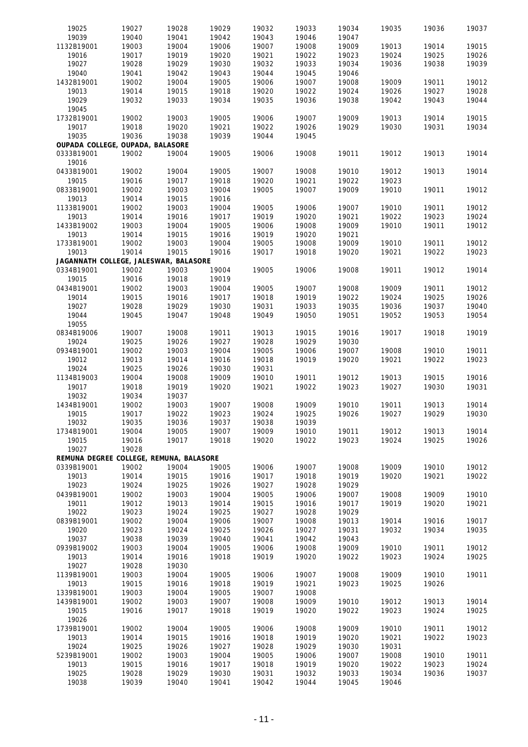| 19025                                   | 19027 | 19028          | 19029 | 19032 | 19033 | 19034 | 19035 | 19036 | 19037 |
|-----------------------------------------|-------|----------------|-------|-------|-------|-------|-------|-------|-------|
| 19039                                   | 19040 | 19041          | 19042 | 19043 | 19046 | 19047 |       |       |       |
| 1132B19001                              | 19003 | 19004          | 19006 | 19007 | 19008 | 19009 | 19013 | 19014 | 19015 |
| 19016                                   | 19017 | 19019          | 19020 | 19021 | 19022 | 19023 | 19024 | 19025 | 19026 |
| 19027                                   | 19028 | 19029          | 19030 | 19032 | 19033 | 19034 | 19036 | 19038 | 19039 |
| 19040                                   | 19041 | 19042          | 19043 | 19044 | 19045 | 19046 |       |       |       |
| 1432B19001                              | 19002 | 19004          | 19005 | 19006 | 19007 | 19008 | 19009 | 19011 | 19012 |
| 19013                                   | 19014 | 19015          | 19018 | 19020 | 19022 | 19024 | 19026 | 19027 | 19028 |
| 19029                                   | 19032 | 19033          | 19034 | 19035 | 19036 | 19038 | 19042 | 19043 | 19044 |
| 19045                                   |       |                |       |       |       |       |       |       |       |
| 1732B19001                              |       |                | 19005 |       | 19007 | 19009 |       |       |       |
| 19017                                   | 19002 | 19003<br>19020 | 19021 | 19006 | 19026 |       | 19013 | 19014 | 19015 |
|                                         | 19018 |                |       | 19022 |       | 19029 | 19030 | 19031 | 19034 |
| 19035                                   | 19036 | 19038          | 19039 | 19044 | 19045 |       |       |       |       |
| OUPADA COLLEGE, OUPADA, BALASORE        |       |                |       |       |       |       |       |       |       |
| 0333B19001                              | 19002 | 19004          | 19005 | 19006 | 19008 | 19011 | 19012 | 19013 | 19014 |
| 19016                                   |       |                |       |       |       |       |       |       |       |
| 0433B19001                              | 19002 | 19004          | 19005 | 19007 | 19008 | 19010 | 19012 | 19013 | 19014 |
| 19015                                   | 19016 | 19017          | 19018 | 19020 | 19021 | 19022 | 19023 |       |       |
| 0833B19001                              | 19002 | 19003          | 19004 | 19005 | 19007 | 19009 | 19010 | 19011 | 19012 |
| 19013                                   | 19014 | 19015          | 19016 |       |       |       |       |       |       |
| 1133B19001                              | 19002 | 19003          | 19004 | 19005 | 19006 | 19007 | 19010 | 19011 | 19012 |
| 19013                                   | 19014 | 19016          | 19017 | 19019 | 19020 | 19021 | 19022 | 19023 | 19024 |
| 1433B19002                              | 19003 | 19004          | 19005 | 19006 | 19008 | 19009 | 19010 | 19011 | 19012 |
| 19013                                   | 19014 | 19015          | 19016 | 19019 | 19020 | 19021 |       |       |       |
| 1733B19001                              | 19002 | 19003          | 19004 | 19005 | 19008 | 19009 | 19010 | 19011 | 19012 |
| 19013                                   | 19014 | 19015          | 19016 | 19017 | 19018 | 19020 | 19021 | 19022 | 19023 |
| JAGANNATH COLLEGE, JALESWAR, BALASORE   |       |                |       |       |       |       |       |       |       |
| 0334B19001                              | 19002 | 19003          | 19004 | 19005 | 19006 | 19008 | 19011 | 19012 | 19014 |
| 19015                                   | 19016 | 19018          | 19019 |       |       |       |       |       |       |
| 0434B19001                              | 19002 | 19003          | 19004 | 19005 | 19007 | 19008 | 19009 | 19011 | 19012 |
| 19014                                   | 19015 | 19016          | 19017 | 19018 | 19019 | 19022 | 19024 | 19025 | 19026 |
| 19027                                   | 19028 | 19029          | 19030 | 19031 | 19033 | 19035 | 19036 | 19037 | 19040 |
| 19044                                   | 19045 | 19047          | 19048 | 19049 | 19050 | 19051 | 19052 | 19053 | 19054 |
| 19055                                   |       |                |       |       |       |       |       |       |       |
|                                         |       |                |       |       |       |       |       |       |       |
| 0834B19006                              | 19007 | 19008          | 19011 | 19013 | 19015 | 19016 | 19017 | 19018 | 19019 |
| 19024                                   | 19025 | 19026          | 19027 | 19028 | 19029 | 19030 |       |       |       |
| 0934B19001                              | 19002 | 19003          | 19004 | 19005 | 19006 | 19007 | 19008 | 19010 | 19011 |
| 19012                                   | 19013 | 19014          | 19016 | 19018 | 19019 | 19020 | 19021 | 19022 | 19023 |
| 19024                                   | 19025 | 19026          | 19030 | 19031 |       |       |       |       |       |
| 1134B19003                              | 19004 | 19008          | 19009 | 19010 | 19011 | 19012 | 19013 | 19015 | 19016 |
| 19017                                   | 19018 | 19019          | 19020 | 19021 | 19022 | 19023 | 19027 | 19030 | 19031 |
| 19032                                   | 19034 | 19037          |       |       |       |       |       |       |       |
| 1434B19001                              | 19002 | 19003          | 19007 | 19008 | 19009 | 19010 | 19011 | 19013 | 19014 |
| 19015                                   | 19017 | 19022          | 19023 | 19024 | 19025 | 19026 | 19027 | 19029 | 19030 |
| 19032                                   | 19035 | 19036          | 19037 | 19038 | 19039 |       |       |       |       |
| 1734B19001                              | 19004 | 19005          | 19007 | 19009 | 19010 | 19011 | 19012 | 19013 | 19014 |
| 19015                                   | 19016 | 19017          | 19018 | 19020 | 19022 | 19023 | 19024 | 19025 | 19026 |
| 19027                                   | 19028 |                |       |       |       |       |       |       |       |
| REMUNA DEGREE COLLEGE, REMUNA, BALASORE |       |                |       |       |       |       |       |       |       |
| 0339B19001                              | 19002 | 19004          | 19005 | 19006 | 19007 | 19008 | 19009 | 19010 | 19012 |
| 19013                                   | 19014 | 19015          | 19016 | 19017 | 19018 | 19019 | 19020 | 19021 | 19022 |
| 19023                                   | 19024 | 19025          | 19026 | 19027 | 19028 | 19029 |       |       |       |
| 0439B19001                              | 19002 | 19003          | 19004 | 19005 | 19006 | 19007 | 19008 | 19009 | 19010 |
| 19011                                   | 19012 | 19013          | 19014 | 19015 | 19016 | 19017 | 19019 | 19020 | 19021 |
| 19022                                   | 19023 | 19024          | 19025 | 19027 | 19028 | 19029 |       |       |       |
| 0839B19001                              | 19002 | 19004          | 19006 | 19007 | 19008 | 19013 | 19014 | 19016 | 19017 |
|                                         |       | 19024          |       |       |       |       |       |       |       |
| 19020                                   | 19023 |                | 19025 | 19026 | 19027 | 19031 | 19032 | 19034 | 19035 |
| 19037                                   | 19038 | 19039          | 19040 | 19041 | 19042 | 19043 |       |       |       |
| 0939B19002                              | 19003 | 19004          | 19005 | 19006 | 19008 | 19009 | 19010 | 19011 | 19012 |
| 19013                                   | 19014 | 19016          | 19018 | 19019 | 19020 | 19022 | 19023 | 19024 | 19025 |
| 19027                                   | 19028 | 19030          |       |       |       |       |       |       |       |
| 1139B19001                              | 19003 | 19004          | 19005 | 19006 | 19007 | 19008 | 19009 | 19010 | 19011 |
| 19013                                   | 19015 | 19016          | 19018 | 19019 | 19021 | 19023 | 19025 | 19026 |       |
| 1339B19001                              | 19003 | 19004          | 19005 | 19007 | 19008 |       |       |       |       |
| 1439B19001                              | 19002 | 19003          | 19007 | 19008 | 19009 | 19010 | 19012 | 19013 | 19014 |
| 19015                                   | 19016 | 19017          | 19018 | 19019 | 19020 | 19022 | 19023 | 19024 | 19025 |
| 19026                                   |       |                |       |       |       |       |       |       |       |
| 1739B19001                              | 19002 | 19004          | 19005 | 19006 | 19008 | 19009 | 19010 | 19011 | 19012 |
| 19013                                   | 19014 | 19015          | 19016 | 19018 | 19019 | 19020 | 19021 | 19022 | 19023 |
| 19024                                   | 19025 | 19026          | 19027 | 19028 | 19029 | 19030 | 19031 |       |       |
| 5239B19001                              | 19002 | 19003          | 19004 | 19005 | 19006 | 19007 | 19008 | 19010 | 19011 |
| 19013                                   | 19015 | 19016          | 19017 | 19018 | 19019 | 19020 | 19022 | 19023 | 19024 |
| 19025                                   | 19028 | 19029          | 19030 | 19031 | 19032 | 19033 | 19034 | 19036 | 19037 |
| 19038                                   | 19039 | 19040          | 19041 | 19042 | 19044 | 19045 | 19046 |       |       |
|                                         |       |                |       |       |       |       |       |       |       |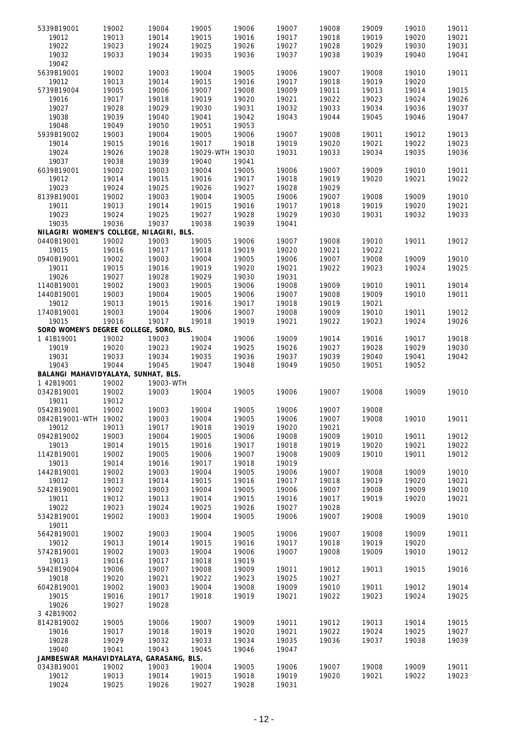| 5339B19001                               |                |           |                 |       |       |       |       |       |       |
|------------------------------------------|----------------|-----------|-----------------|-------|-------|-------|-------|-------|-------|
|                                          | 19002          | 19004     | 19005           | 19006 | 19007 | 19008 | 19009 | 19010 | 19011 |
| 19012                                    | 19013          | 19014     | 19015           | 19016 | 19017 | 19018 | 19019 | 19020 | 19021 |
| 19022                                    | 19023          | 19024     | 19025           | 19026 | 19027 | 19028 | 19029 | 19030 | 19031 |
|                                          |                |           |                 |       |       |       |       |       |       |
| 19032                                    | 19033          | 19034     | 19035           | 19036 | 19037 | 19038 | 19039 | 19040 | 19041 |
| 19042                                    |                |           |                 |       |       |       |       |       |       |
| 5639B19001                               | 19002          | 19003     | 19004           | 19005 | 19006 | 19007 | 19008 | 19010 | 19011 |
|                                          |                |           |                 |       |       |       |       |       |       |
| 19012                                    | 19013          | 19014     | 19015           | 19016 | 19017 | 19018 | 19019 | 19020 |       |
| 5739B19004                               | 19005          | 19006     | 19007           | 19008 | 19009 | 19011 | 19013 | 19014 | 19015 |
|                                          |                |           |                 |       |       |       |       |       |       |
| 19016                                    | 19017          | 19018     | 19019           | 19020 | 19021 | 19022 | 19023 | 19024 | 19026 |
| 19027                                    | 19028          | 19029     | 19030           | 19031 | 19032 | 19033 | 19034 | 19036 | 19037 |
| 19038                                    | 19039          | 19040     | 19041           | 19042 | 19043 | 19044 | 19045 | 19046 | 19047 |
|                                          |                |           |                 |       |       |       |       |       |       |
| 19048                                    | 19049          | 19050     | 19051           | 19053 |       |       |       |       |       |
| 5939B19002                               | 19003          | 19004     | 19005           | 19006 | 19007 | 19008 | 19011 | 19012 | 19013 |
|                                          |                |           |                 |       |       |       |       |       |       |
| 19014                                    | 19015          | 19016     | 19017           | 19018 | 19019 | 19020 | 19021 | 19022 | 19023 |
| 19024                                    | 19026          | 19028     | 19029-WTH 19030 |       | 19031 | 19033 | 19034 | 19035 | 19036 |
| 19037                                    | 19038          | 19039     | 19040           | 19041 |       |       |       |       |       |
|                                          |                |           |                 |       |       |       |       |       |       |
| 6039B19001                               | 19002          | 19003     | 19004           | 19005 | 19006 | 19007 | 19009 | 19010 | 19011 |
| 19012                                    | 19014          | 19015     | 19016           | 19017 | 19018 | 19019 | 19020 | 19021 | 19022 |
|                                          |                |           |                 |       |       |       |       |       |       |
| 19023                                    | 19024          | 19025     | 19026           | 19027 | 19028 | 19029 |       |       |       |
| 8139B19001                               | 19002          | 19003     | 19004           | 19005 | 19006 | 19007 | 19008 | 19009 | 19010 |
| 19011                                    | 19013          | 19014     | 19015           | 19016 | 19017 | 19018 | 19019 | 19020 | 19021 |
|                                          |                |           |                 |       |       |       |       |       |       |
| 19023                                    | 19024          | 19025     | 19027           | 19028 | 19029 | 19030 | 19031 | 19032 | 19033 |
| 19035                                    | 19036          | 19037     | 19038           | 19039 | 19041 |       |       |       |       |
|                                          |                |           |                 |       |       |       |       |       |       |
| NILAGIRI WOMEN'S COLLEGE, NILAGIRI, BLS. |                |           |                 |       |       |       |       |       |       |
| 0440B19001                               | 19002          | 19003     | 19005           | 19006 | 19007 | 19008 | 19010 | 19011 | 19012 |
| 19015                                    | 19016          | 19017     | 19018           | 19019 | 19020 | 19021 | 19022 |       |       |
|                                          |                |           |                 |       |       |       |       |       |       |
| 0940B19001                               | 19002          | 19003     | 19004           | 19005 | 19006 | 19007 | 19008 | 19009 | 19010 |
| 19011                                    | 19015          | 19016     | 19019           | 19020 | 19021 | 19022 | 19023 | 19024 | 19025 |
|                                          |                |           |                 |       |       |       |       |       |       |
| 19026                                    | 19027          | 19028     | 19029           | 19030 | 19031 |       |       |       |       |
| 1140B19001                               | 19002          | 19003     | 19005           | 19006 | 19008 | 19009 | 19010 | 19011 | 19014 |
| 1440B19001                               | 19003          | 19004     | 19005           | 19006 | 19007 | 19008 | 19009 | 19010 | 19011 |
|                                          |                |           |                 |       |       |       |       |       |       |
| 19012                                    | 19013          | 19015     | 19016           | 19017 | 19018 | 19019 | 19021 |       |       |
| 1740B19001                               | 19003          | 19004     | 19006           | 19007 | 19008 | 19009 | 19010 | 19011 | 19012 |
|                                          |                |           |                 |       |       |       |       |       |       |
| 19015                                    | 19016          | 19017     | 19018           | 19019 | 19021 | 19022 | 19023 | 19024 | 19026 |
| SORO WOMEN'S DEGREE COLLEGE, SORO, BLS.  |                |           |                 |       |       |       |       |       |       |
| 1 41B19001                               | 19002          | 19003     | 19004           | 19006 | 19009 | 19014 | 19016 | 19017 | 19018 |
|                                          |                |           |                 |       |       |       |       |       |       |
| 19019                                    | 19020          | 19023     | 19024           | 19025 | 19026 | 19027 | 19028 | 19029 | 19030 |
| 19031                                    | 19033          |           |                 |       |       |       |       |       |       |
|                                          |                |           |                 |       |       |       |       |       |       |
|                                          |                | 19034     | 19035           | 19036 | 19037 | 19039 | 19040 | 19041 | 19042 |
| 19043                                    | 19044          | 19045     | 19047           | 19048 | 19049 | 19050 | 19051 | 19052 |       |
|                                          |                |           |                 |       |       |       |       |       |       |
| BALANGI MAHAVIDYALAYA, SUNHAT, BLS.      |                |           |                 |       |       |       |       |       |       |
| 1 42B19001                               | 19002          | 19003-WTH |                 |       |       |       |       |       |       |
| 0342B19001                               | 19002          | 19003     | 19004           | 19005 | 19006 | 19007 | 19008 | 19009 | 19010 |
|                                          |                |           |                 |       |       |       |       |       |       |
| 19011                                    | 19012          |           |                 |       |       |       |       |       |       |
| 0542B19001                               | 19002          | 19003     | 19004           | 19005 | 19006 | 19007 | 19008 |       |       |
| 0842B19001-WTH 19002                     |                | 19003     |                 | 19005 |       |       |       |       |       |
|                                          |                |           | 19004           |       | 19006 | 19007 | 19008 | 19010 | 19011 |
| 19012                                    | 19013          | 19017     | 19018           | 19019 | 19020 | 19021 |       |       |       |
| 0942B19002                               | 19003          | 19004     | 19005           | 19006 | 19008 | 19009 | 19010 | 19011 | 19012 |
| 19013                                    | 19014          | 19015     | 19016           | 19017 | 19018 | 19019 | 19020 | 19021 | 19022 |
|                                          |                |           |                 |       |       |       |       |       |       |
| 1142B19001                               | 19002          | 19005     | 19006           | 19007 | 19008 | 19009 | 19010 | 19011 | 19012 |
| 19013                                    | 19014          | 19016     | 19017           | 19018 | 19019 |       |       |       |       |
|                                          |                |           |                 |       |       |       |       |       |       |
| 1442B19001                               | 19002          | 19003     | 19004           | 19005 | 19006 | 19007 | 19008 | 19009 | 19010 |
| 19012                                    | 19013          | 19014     | 19015           | 19016 | 19017 | 19018 | 19019 | 19020 | 19021 |
| 5242B19001                               | 19002          | 19003     | 19004           | 19005 | 19006 | 19007 | 19008 | 19009 | 19010 |
|                                          |                |           |                 |       |       |       |       | 19020 |       |
| 19011                                    | 19012          | 19013     | 19014           | 19015 | 19016 | 19017 | 19019 |       | 19021 |
| 19022                                    | 19023          | 19024     | 19025           | 19026 | 19027 | 19028 |       |       |       |
| 5342B19001                               | 19002          | 19003     | 19004           | 19005 | 19006 | 19007 | 19008 | 19009 | 19010 |
|                                          |                |           |                 |       |       |       |       |       |       |
| 19011                                    |                |           |                 |       |       |       |       |       |       |
| 5642B19001                               | 19002          | 19003     | 19004           | 19005 | 19006 | 19007 | 19008 | 19009 | 19011 |
| 19012                                    |                |           |                 |       | 19017 | 19018 | 19019 | 19020 |       |
|                                          | 19013          | 19014     | 19015           | 19016 |       |       |       |       |       |
| 5742B19001                               | 19002          | 19003     | 19004           | 19006 | 19007 | 19008 | 19009 | 19010 | 19012 |
| 19013                                    | 19016          | 19017     | 19018           | 19019 |       |       |       |       |       |
|                                          |                |           |                 |       |       |       |       |       |       |
| 5942B19004                               | 19006          | 19007     | 19008           | 19009 | 19011 | 19012 | 19013 | 19015 | 19016 |
| 19018                                    | 19020          | 19021     | 19022           | 19023 | 19025 | 19027 |       |       |       |
| 6042B19001                               | 19002          | 19003     | 19004           |       | 19009 | 19010 | 19011 | 19012 | 19014 |
|                                          |                |           |                 | 19008 |       |       |       |       |       |
| 19015                                    | 19016          | 19017     | 19018           | 19019 | 19021 | 19022 | 19023 | 19024 | 19025 |
| 19026                                    | 19027          | 19028     |                 |       |       |       |       |       |       |
|                                          |                |           |                 |       |       |       |       |       |       |
| 3 42B19002                               |                |           |                 |       |       |       |       |       |       |
| 8142B19002                               | 19005          | 19006     | 19007           | 19009 | 19011 | 19012 | 19013 | 19014 | 19015 |
| 19016                                    | 19017          | 19018     | 19019           | 19020 | 19021 | 19022 | 19024 | 19025 | 19027 |
|                                          |                |           |                 |       |       |       |       |       |       |
| 19028                                    | 19029          | 19032     | 19033           | 19034 | 19035 | 19036 | 19037 | 19038 | 19039 |
| 19040                                    | 19041          | 19043     | 19045           | 19046 | 19047 |       |       |       |       |
|                                          |                |           |                 |       |       |       |       |       |       |
| JAMBESWAR MAHAVIDYALAYA, GARASANG, BLS.  |                |           |                 |       |       |       |       |       |       |
| 0343B19001                               | 19002          | 19003     | 19004           | 19005 | 19006 | 19007 | 19008 | 19009 | 19011 |
| 19012<br>19024                           | 19013<br>19025 | 19014     | 19015           | 19018 | 19019 | 19020 | 19021 | 19022 | 19023 |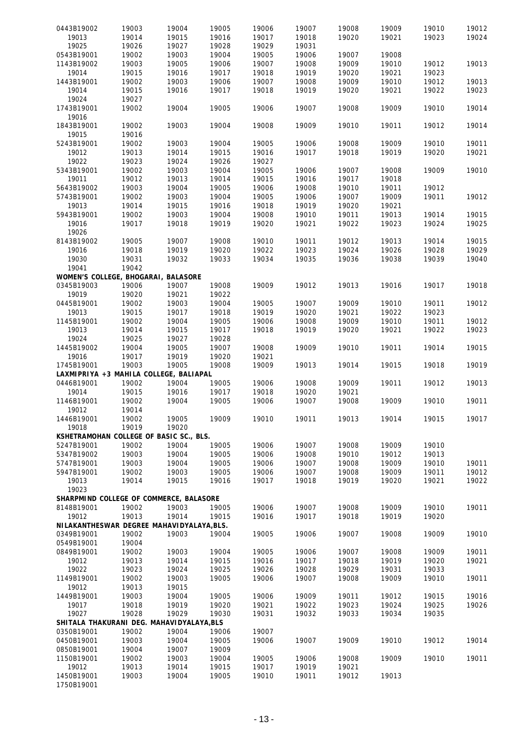| 0443B19002                                | 19003 | 19004 | 19005 | 19006 | 19007 | 19008 | 19009 | 19010 | 19012 |
|-------------------------------------------|-------|-------|-------|-------|-------|-------|-------|-------|-------|
| 19013                                     | 19014 | 19015 | 19016 | 19017 | 19018 | 19020 | 19021 | 19023 | 19024 |
| 19025                                     | 19026 | 19027 | 19028 | 19029 | 19031 |       |       |       |       |
| 0543B19001                                | 19002 | 19003 | 19004 | 19005 | 19006 | 19007 | 19008 |       |       |
|                                           | 19003 |       | 19006 | 19007 | 19008 | 19009 | 19010 |       |       |
| 1143B19002                                |       | 19005 |       |       |       |       |       | 19012 | 19013 |
| 19014                                     | 19015 | 19016 | 19017 | 19018 | 19019 | 19020 | 19021 | 19023 |       |
| 1443B19001                                | 19002 | 19003 | 19006 | 19007 | 19008 | 19009 | 19010 | 19012 | 19013 |
| 19014                                     | 19015 | 19016 | 19017 | 19018 | 19019 | 19020 | 19021 | 19022 | 19023 |
| 19024                                     | 19027 |       |       |       |       |       |       |       |       |
| 1743B19001                                | 19002 | 19004 | 19005 | 19006 | 19007 | 19008 | 19009 | 19010 | 19014 |
| 19016                                     |       |       |       |       |       |       |       |       |       |
| 1843B19001                                | 19002 | 19003 | 19004 | 19008 | 19009 | 19010 | 19011 | 19012 | 19014 |
| 19015                                     | 19016 |       |       |       |       |       |       |       |       |
| 5243B19001                                | 19002 | 19003 | 19004 | 19005 | 19006 | 19008 | 19009 | 19010 | 19011 |
| 19012                                     | 19013 | 19014 | 19015 | 19016 | 19017 | 19018 | 19019 | 19020 | 19021 |
|                                           |       |       |       |       |       |       |       |       |       |
| 19022                                     | 19023 | 19024 | 19026 | 19027 |       |       |       |       |       |
| 5343B19001                                | 19002 | 19003 | 19004 | 19005 | 19006 | 19007 | 19008 | 19009 | 19010 |
| 19011                                     | 19012 | 19013 | 19014 | 19015 | 19016 | 19017 | 19018 |       |       |
| 5643B19002                                | 19003 | 19004 | 19005 | 19006 | 19008 | 19010 | 19011 | 19012 |       |
| 5743B19001                                | 19002 | 19003 | 19004 | 19005 | 19006 | 19007 | 19009 | 19011 | 19012 |
| 19013                                     | 19014 | 19015 | 19016 | 19018 | 19019 | 19020 | 19021 |       |       |
| 5943B19001                                | 19002 | 19003 | 19004 | 19008 | 19010 | 19011 | 19013 | 19014 | 19015 |
| 19016                                     | 19017 | 19018 | 19019 | 19020 | 19021 | 19022 | 19023 | 19024 | 19025 |
| 19026                                     |       |       |       |       |       |       |       |       |       |
| 8143B19002                                | 19005 | 19007 | 19008 | 19010 | 19011 | 19012 | 19013 | 19014 | 19015 |
|                                           |       | 19019 |       |       |       |       |       |       | 19029 |
| 19016                                     | 19018 |       | 19020 | 19022 | 19023 | 19024 | 19026 | 19028 |       |
| 19030                                     | 19031 | 19032 | 19033 | 19034 | 19035 | 19036 | 19038 | 19039 | 19040 |
| 19041                                     | 19042 |       |       |       |       |       |       |       |       |
| WOMEN'S COLLEGE, BHOGARAI, BALASORE       |       |       |       |       |       |       |       |       |       |
| 0345B19003                                | 19006 | 19007 | 19008 | 19009 | 19012 | 19013 | 19016 | 19017 | 19018 |
| 19019                                     | 19020 | 19021 | 19022 |       |       |       |       |       |       |
| 0445B19001                                | 19002 | 19003 | 19004 | 19005 | 19007 | 19009 | 19010 | 19011 | 19012 |
| 19013                                     | 19015 | 19017 | 19018 | 19019 | 19020 | 19021 | 19022 | 19023 |       |
| 1145B19001                                | 19002 | 19004 | 19005 | 19006 | 19008 | 19009 | 19010 | 19011 | 19012 |
| 19013                                     | 19014 | 19015 | 19017 | 19018 | 19019 | 19020 | 19021 | 19022 | 19023 |
| 19024                                     | 19025 | 19027 | 19028 |       |       |       |       |       |       |
|                                           |       |       |       |       |       |       |       |       |       |
| 1445B19002                                | 19004 | 19005 | 19007 | 19008 | 19009 | 19010 | 19011 | 19014 | 19015 |
| 19016                                     | 19017 | 19019 | 19020 | 19021 |       |       |       |       |       |
| 1745B19001                                | 19003 | 19005 | 19008 | 19009 | 19013 | 19014 | 19015 | 19018 | 19019 |
| LAXMIPRIYA +3 MAHILA COLLEGE, BALIAPAL    |       |       |       |       |       |       |       |       |       |
|                                           |       | 19004 |       |       | 19008 | 19009 | 19011 | 19012 | 19013 |
| 0446B19001                                | 19002 |       | 19005 | 19006 |       |       |       |       |       |
| 19014                                     | 19015 | 19016 | 19017 | 19018 | 19020 | 19021 |       |       |       |
|                                           | 19002 | 19004 | 19005 | 19006 | 19007 | 19008 | 19009 | 19010 | 19011 |
| 1146B19001                                |       |       |       |       |       |       |       |       |       |
| 19012                                     | 19014 |       |       |       |       |       |       |       |       |
| 1446B19001                                | 19002 | 19005 | 19009 | 19010 | 19011 | 19013 | 19014 | 19015 | 19017 |
| 19018                                     | 19019 | 19020 |       |       |       |       |       |       |       |
| KSHETRAMOHAN COLLEGE OF BASIC SC., BLS.   |       |       |       |       |       |       |       |       |       |
| 5247B19001                                | 19002 | 19004 | 19005 | 19006 | 19007 | 19008 | 19009 | 19010 |       |
| 5347B19002                                | 19003 | 19004 | 19005 | 19006 | 19008 | 19010 | 19012 | 19013 |       |
| 5747B19001                                | 19003 | 19004 | 19005 | 19006 | 19007 | 19008 | 19009 | 19010 | 19011 |
| 5947B19001                                | 19002 | 19003 | 19005 | 19006 | 19007 | 19008 | 19009 | 19011 | 19012 |
| 19013                                     | 19014 | 19015 | 19016 | 19017 | 19018 | 19019 | 19020 | 19021 | 19022 |
| 19023                                     |       |       |       |       |       |       |       |       |       |
|                                           |       |       |       |       |       |       |       |       |       |
| SHARPMIND COLLEGE OF COMMERCE, BALASORE   |       |       |       |       |       |       |       |       |       |
| 8148B19001                                | 19002 | 19003 | 19005 | 19006 | 19007 | 19008 | 19009 | 19010 | 19011 |
| 19012                                     | 19013 | 19014 | 19015 | 19016 | 19017 | 19018 | 19019 | 19020 |       |
| NILAKANTHESWAR DEGREE MAHAVIDYALAYA, BLS. |       |       |       |       |       |       |       |       |       |
| 0349B19001                                | 19002 | 19003 | 19004 | 19005 | 19006 | 19007 | 19008 | 19009 | 19010 |
| 0549B19001                                | 19004 |       |       |       |       |       |       |       |       |
| 0849B19001                                | 19002 | 19003 | 19004 | 19005 | 19006 | 19007 | 19008 | 19009 | 19011 |
| 19012                                     | 19013 | 19014 | 19015 | 19016 | 19017 | 19018 | 19019 | 19020 | 19021 |
| 19022                                     | 19023 | 19024 | 19025 | 19026 | 19028 | 19029 | 19031 | 19033 |       |
| 1149B19001                                | 19002 | 19003 | 19005 | 19006 | 19007 | 19008 | 19009 | 19010 | 19011 |
| 19012                                     | 19013 | 19015 |       |       |       |       |       |       |       |
| 1449B19001                                | 19003 | 19004 | 19005 | 19006 | 19009 | 19011 | 19012 | 19015 |       |
|                                           |       |       |       |       |       |       |       |       | 19016 |
| 19017                                     | 19018 | 19019 | 19020 | 19021 | 19022 | 19023 | 19024 | 19025 | 19026 |
| 19027                                     | 19028 | 19029 | 19030 | 19031 | 19032 | 19033 | 19034 | 19035 |       |
| SHITALA THAKURANI DEG. MAHAVIDYALAYA, BLS |       |       |       |       |       |       |       |       |       |
| 0350B19001                                | 19002 | 19004 | 19006 | 19007 |       |       |       |       |       |
| 0450B19001                                | 19003 | 19004 | 19005 | 19006 | 19007 | 19009 | 19010 | 19012 | 19014 |
| 0850B19001                                | 19004 | 19007 | 19009 |       |       |       |       |       |       |
| 1150B19001                                | 19002 | 19003 | 19004 | 19005 | 19006 | 19008 | 19009 | 19010 | 19011 |
| 19012                                     | 19013 | 19014 | 19015 | 19017 | 19019 | 19021 |       |       |       |
| 1450B19001                                | 19003 | 19004 | 19005 | 19010 | 19011 | 19012 | 19013 |       |       |
| 1750B19001                                |       |       |       |       |       |       |       |       |       |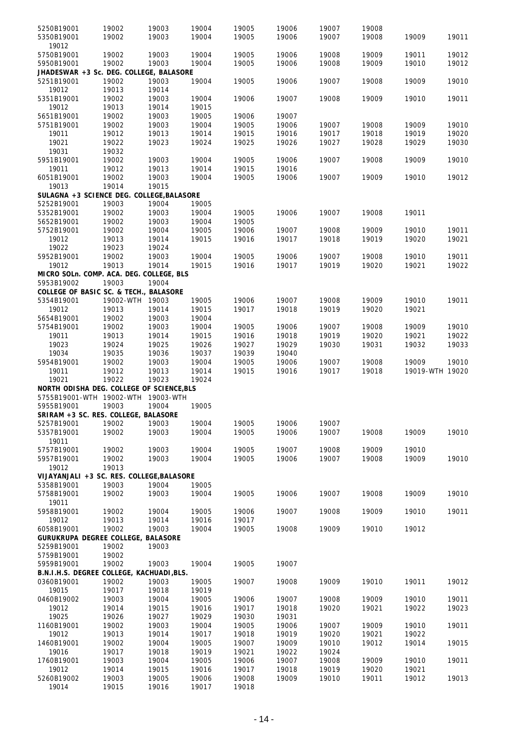| 5250B19001 |                                           |       | 19004 |       | 19006 |       |       |                 |       |
|------------|-------------------------------------------|-------|-------|-------|-------|-------|-------|-----------------|-------|
|            | 19002                                     | 19003 |       | 19005 |       | 19007 | 19008 |                 |       |
| 5350B19001 | 19002                                     | 19003 | 19004 | 19005 | 19006 | 19007 | 19008 | 19009           | 19011 |
| 19012      |                                           |       |       |       |       |       |       |                 |       |
| 5750B19001 | 19002                                     | 19003 | 19004 | 19005 | 19006 | 19008 | 19009 | 19011           | 19012 |
| 5950B19001 | 19002                                     | 19003 | 19004 | 19005 | 19006 | 19008 | 19009 | 19010           | 19012 |
|            | JHADESWAR +3 Sc. DEG. COLLEGE, BALASORE   |       |       |       |       |       |       |                 |       |
|            |                                           |       |       |       |       |       |       |                 |       |
| 5251B19001 | 19002                                     | 19003 | 19004 | 19005 | 19006 | 19007 | 19008 | 19009           | 19010 |
| 19012      | 19013                                     | 19014 |       |       |       |       |       |                 |       |
| 5351B19001 | 19002                                     | 19003 | 19004 | 19006 | 19007 | 19008 | 19009 | 19010           | 19011 |
| 19012      | 19013                                     | 19014 | 19015 |       |       |       |       |                 |       |
| 5651B19001 | 19002                                     | 19003 | 19005 | 19006 | 19007 |       |       |                 |       |
| 5751B19001 | 19002                                     | 19003 | 19004 | 19005 | 19006 | 19007 | 19008 | 19009           | 19010 |
|            |                                           |       |       |       |       |       |       |                 |       |
| 19011      | 19012                                     | 19013 | 19014 | 19015 | 19016 | 19017 | 19018 | 19019           | 19020 |
| 19021      | 19022                                     | 19023 | 19024 | 19025 | 19026 | 19027 | 19028 | 19029           | 19030 |
| 19031      | 19032                                     |       |       |       |       |       |       |                 |       |
| 5951B19001 | 19002                                     | 19003 | 19004 | 19005 | 19006 | 19007 | 19008 | 19009           | 19010 |
| 19011      | 19012                                     | 19013 | 19014 | 19015 | 19016 |       |       |                 |       |
|            |                                           |       |       |       |       |       |       |                 |       |
| 6051B19001 | 19002                                     | 19003 | 19004 | 19005 | 19006 | 19007 | 19009 | 19010           | 19012 |
| 19013      | 19014                                     | 19015 |       |       |       |       |       |                 |       |
|            | SULAGNA +3 SCIENCE DEG. COLLEGE, BALASORE |       |       |       |       |       |       |                 |       |
| 5252B19001 | 19003                                     | 19004 | 19005 |       |       |       |       |                 |       |
| 5352B19001 | 19002                                     | 19003 | 19004 | 19005 | 19006 | 19007 | 19008 | 19011           |       |
| 5652B19001 | 19002                                     | 19003 | 19004 | 19005 |       |       |       |                 |       |
|            |                                           |       |       |       |       |       |       |                 |       |
| 5752B19001 | 19002                                     | 19004 | 19005 | 19006 | 19007 | 19008 | 19009 | 19010           | 19011 |
| 19012      | 19013                                     | 19014 | 19015 | 19016 | 19017 | 19018 | 19019 | 19020           | 19021 |
| 19022      | 19023                                     | 19024 |       |       |       |       |       |                 |       |
| 5952B19001 | 19002                                     | 19003 | 19004 | 19005 | 19006 | 19007 | 19008 | 19010           | 19011 |
| 19012      | 19013                                     | 19014 | 19015 | 19016 | 19017 | 19019 | 19020 | 19021           | 19022 |
|            |                                           |       |       |       |       |       |       |                 |       |
|            | MICRO SOLn. COMP. ACA. DEG. COLLEGE, BLS  |       |       |       |       |       |       |                 |       |
| 5953B19002 | 19003                                     | 19004 |       |       |       |       |       |                 |       |
|            | COLLEGE OF BASIC SC. & TECH., BALASORE    |       |       |       |       |       |       |                 |       |
| 5354B19001 | 19002-WTH 19003                           |       | 19005 | 19006 | 19007 | 19008 | 19009 | 19010           | 19011 |
| 19012      | 19013                                     | 19014 | 19015 | 19017 | 19018 | 19019 | 19020 | 19021           |       |
| 5654B19001 | 19002                                     | 19003 | 19004 |       |       |       |       |                 |       |
|            |                                           |       |       |       |       |       |       |                 |       |
| 5754B19001 | 19002                                     | 19003 | 19004 | 19005 | 19006 | 19007 | 19008 | 19009           | 19010 |
| 19011      | 19013                                     | 19014 | 19015 | 19016 | 19018 | 19019 | 19020 | 19021           | 19022 |
| 19023      | 19024                                     | 19025 | 19026 | 19027 | 19029 | 19030 | 19031 | 19032           | 19033 |
|            |                                           |       |       |       |       |       |       |                 |       |
|            |                                           |       |       |       |       |       |       |                 |       |
| 19034      | 19035                                     | 19036 | 19037 | 19039 | 19040 |       |       |                 |       |
| 5954B19001 | 19002                                     | 19003 | 19004 | 19005 | 19006 | 19007 | 19008 | 19009           | 19010 |
| 19011      | 19012                                     | 19013 | 19014 | 19015 | 19016 | 19017 | 19018 | 19019-WTH 19020 |       |
| 19021      | 19022                                     | 19023 | 19024 |       |       |       |       |                 |       |
|            | NORTH ODISHA DEG. COLLEGE OF SCIENCE, BLS |       |       |       |       |       |       |                 |       |
|            | 5755B19001-WTH 19002-WTH 19003-WTH        |       |       |       |       |       |       |                 |       |
|            |                                           | 19004 |       |       |       |       |       |                 |       |
| 5955B19001 | 19003                                     |       | 19005 |       |       |       |       |                 |       |
|            | SRIRAM +3 SC. RES. COLLEGE, BALASORE      |       |       |       |       |       |       |                 |       |
| 5257B19001 | 19002                                     | 19003 | 19004 | 19005 | 19006 | 19007 |       |                 |       |
| 5357B19001 | 19002                                     | 19003 | 19004 | 19005 | 19006 | 19007 | 19008 | 19009           | 19010 |
| 19011      |                                           |       |       |       |       |       |       |                 |       |
| 5757B19001 | 19002                                     | 19003 | 19004 | 19005 | 19007 | 19008 | 19009 | 19010           |       |
|            |                                           |       |       |       |       |       |       |                 |       |
| 5957B19001 | 19002                                     | 19003 | 19004 | 19005 | 19006 | 19007 | 19008 | 19009           | 19010 |
| 19012      | 19013                                     |       |       |       |       |       |       |                 |       |
|            | VIJAYANJALI +3 SC. RES. COLLEGE, BALASORE |       |       |       |       |       |       |                 |       |
| 5358B19001 | 19003                                     | 19004 | 19005 |       |       |       |       |                 |       |
| 5758B19001 | 19002                                     | 19003 | 19004 | 19005 | 19006 | 19007 | 19008 | 19009           | 19010 |
| 19011      |                                           |       |       |       |       |       |       |                 |       |
|            |                                           |       |       |       |       |       |       |                 |       |
| 5958B19001 | 19002                                     | 19004 | 19005 | 19006 | 19007 | 19008 | 19009 | 19010           | 19011 |
| 19012      | 19013                                     | 19014 | 19016 | 19017 |       |       |       |                 |       |
| 6058B19001 | 19002                                     | 19003 | 19004 | 19005 | 19008 | 19009 | 19010 | 19012           |       |
|            | GURUKRUPA DEGREE COLLEGE, BALASORE        |       |       |       |       |       |       |                 |       |
| 5259B19001 | 19002                                     | 19003 |       |       |       |       |       |                 |       |
| 5759B19001 | 19002                                     |       |       |       |       |       |       |                 |       |
| 5959B19001 | 19002                                     | 19003 | 19004 | 19005 | 19007 |       |       |                 |       |
|            |                                           |       |       |       |       |       |       |                 |       |
|            | B.N.I.H.S. DEGREE COLLEGE, KACHUADI, BLS. |       |       |       |       |       |       |                 |       |
| 0360B19001 | 19002                                     | 19003 | 19005 | 19007 | 19008 | 19009 | 19010 | 19011           | 19012 |
| 19015      | 19017                                     | 19018 | 19019 |       |       |       |       |                 |       |
| 0460B19002 | 19003                                     | 19004 | 19005 | 19006 | 19007 | 19008 | 19009 | 19010           | 19011 |
| 19012      | 19014                                     | 19015 | 19016 | 19017 | 19018 | 19020 | 19021 | 19022           | 19023 |
| 19025      | 19026                                     | 19027 | 19029 | 19030 | 19031 |       |       |                 |       |
|            |                                           |       |       |       | 19006 |       | 19009 | 19010           | 19011 |
| 1160B19001 | 19002                                     | 19003 | 19004 | 19005 |       | 19007 |       |                 |       |
| 19012      | 19013                                     | 19014 | 19017 | 19018 | 19019 | 19020 | 19021 | 19022           |       |
| 1460B19001 | 19002                                     | 19004 | 19005 | 19007 | 19009 | 19010 | 19012 | 19014           | 19015 |
| 19016      | 19017                                     | 19018 | 19019 | 19021 | 19022 | 19024 |       |                 |       |
| 1760B19001 | 19003                                     | 19004 | 19005 | 19006 | 19007 | 19008 | 19009 | 19010           | 19011 |
| 19012      | 19014                                     | 19015 | 19016 | 19017 | 19018 | 19019 | 19020 | 19021           |       |
| 5260B19002 | 19003                                     | 19005 | 19006 | 19008 | 19009 | 19010 | 19011 | 19012           | 19013 |
| 19014      | 19015                                     | 19016 | 19017 | 19018 |       |       |       |                 |       |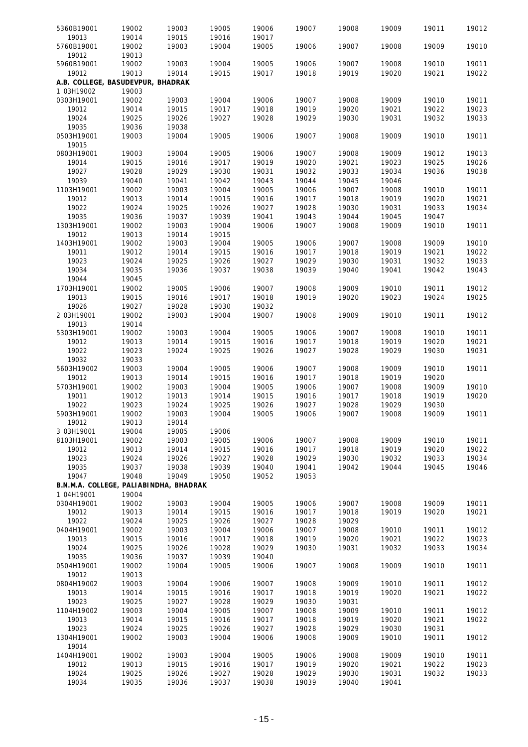| 5360B19001 | 19002                                  | 19003 | 19005 | 19006 | 19007 | 19008 | 19009 | 19011 | 19012 |
|------------|----------------------------------------|-------|-------|-------|-------|-------|-------|-------|-------|
| 19013      | 19014                                  | 19015 | 19016 | 19017 |       |       |       |       |       |
| 5760B19001 | 19002                                  | 19003 | 19004 | 19005 | 19006 | 19007 | 19008 | 19009 | 19010 |
| 19012      | 19013                                  |       |       |       |       |       |       |       |       |
| 5960B19001 | 19002                                  | 19003 | 19004 | 19005 | 19006 | 19007 | 19008 | 19010 | 19011 |
| 19012      | 19013                                  | 19014 | 19015 | 19017 | 19018 | 19019 | 19020 | 19021 | 19022 |
|            | A.B. COLLEGE, BASUDEVPUR, BHADRAK      |       |       |       |       |       |       |       |       |
| 1 03H19002 | 19003                                  |       |       |       |       |       |       |       |       |
| 0303H19001 | 19002                                  | 19003 | 19004 | 19006 | 19007 | 19008 | 19009 | 19010 | 19011 |
| 19012      | 19014                                  | 19015 | 19017 | 19018 | 19019 | 19020 | 19021 | 19022 | 19023 |
| 19024      | 19025                                  | 19026 | 19027 | 19028 | 19029 | 19030 | 19031 | 19032 | 19033 |
| 19035      | 19036                                  | 19038 |       |       |       |       |       |       |       |
| 0503H19001 | 19003                                  | 19004 | 19005 | 19006 | 19007 | 19008 | 19009 | 19010 | 19011 |
| 19015      |                                        |       |       |       |       |       |       |       |       |
| 0803H19001 | 19003                                  | 19004 | 19005 | 19006 | 19007 | 19008 | 19009 | 19012 | 19013 |
| 19014      | 19015                                  | 19016 | 19017 | 19019 | 19020 | 19021 | 19023 | 19025 | 19026 |
| 19027      | 19028                                  | 19029 | 19030 | 19031 | 19032 | 19033 | 19034 | 19036 | 19038 |
| 19039      | 19040                                  | 19041 | 19042 | 19043 | 19044 | 19045 | 19046 |       |       |
| 1103H19001 | 19002                                  | 19003 | 19004 | 19005 | 19006 | 19007 | 19008 | 19010 | 19011 |
| 19012      | 19013                                  | 19014 | 19015 | 19016 | 19017 | 19018 | 19019 | 19020 | 19021 |
| 19022      | 19024                                  | 19025 | 19026 | 19027 | 19028 | 19030 | 19031 | 19033 | 19034 |
| 19035      | 19036                                  | 19037 | 19039 | 19041 | 19043 | 19044 | 19045 | 19047 |       |
| 1303H19001 | 19002                                  | 19003 | 19004 | 19006 | 19007 | 19008 | 19009 | 19010 | 19011 |
| 19012      | 19013                                  | 19014 | 19015 |       |       |       |       |       |       |
| 1403H19001 | 19002                                  | 19003 | 19004 | 19005 | 19006 | 19007 | 19008 | 19009 | 19010 |
| 19011      | 19012                                  | 19014 | 19015 | 19016 | 19017 | 19018 | 19019 | 19021 | 19022 |
| 19023      | 19024                                  | 19025 | 19026 | 19027 | 19029 | 19030 | 19031 | 19032 | 19033 |
| 19034      | 19035                                  | 19036 | 19037 | 19038 | 19039 | 19040 | 19041 | 19042 | 19043 |
| 19044      | 19045                                  |       |       |       |       |       |       |       |       |
| 1703H19001 | 19002                                  | 19005 | 19006 | 19007 | 19008 | 19009 | 19010 | 19011 | 19012 |
| 19013      | 19015                                  | 19016 | 19017 | 19018 | 19019 | 19020 | 19023 | 19024 | 19025 |
| 19026      | 19027                                  | 19028 | 19030 | 19032 |       |       |       |       |       |
| 2 03H19001 | 19002                                  | 19003 | 19004 | 19007 | 19008 | 19009 | 19010 | 19011 | 19012 |
| 19013      | 19014                                  |       |       |       |       |       |       |       |       |
| 5303H19001 | 19002                                  | 19003 | 19004 | 19005 | 19006 | 19007 | 19008 | 19010 | 19011 |
| 19012      | 19013                                  | 19014 | 19015 | 19016 | 19017 | 19018 | 19019 | 19020 | 19021 |
| 19022      | 19023                                  | 19024 | 19025 | 19026 | 19027 | 19028 | 19029 | 19030 | 19031 |
| 19032      | 19033                                  |       |       |       |       |       |       |       |       |
| 5603H19002 | 19003                                  | 19004 | 19005 | 19006 | 19007 | 19008 | 19009 | 19010 | 19011 |
| 19012      | 19013                                  | 19014 | 19015 | 19016 | 19017 | 19018 | 19019 | 19020 |       |
| 5703H19001 | 19002                                  | 19003 | 19004 | 19005 | 19006 | 19007 | 19008 | 19009 | 19010 |
| 19011      | 19012                                  | 19013 | 19014 | 19015 | 19016 | 19017 | 19018 | 19019 | 19020 |
| 19022      | 19023                                  | 19024 | 19025 | 19026 | 19027 | 19028 | 19029 | 19030 |       |
| 5903H19001 | 19002                                  | 19003 | 19004 | 19005 | 19006 | 19007 | 19008 | 19009 | 19011 |
| 19012      | 19013                                  | 19014 |       |       |       |       |       |       |       |
| 3 03H19001 | 19004                                  | 19005 | 19006 |       |       |       |       |       |       |
| 8103H19001 | 19002                                  | 19003 | 19005 | 19006 | 19007 | 19008 | 19009 | 19010 | 19011 |
| 19012      | 19013                                  | 19014 | 19015 | 19016 | 19017 | 19018 | 19019 | 19020 | 19022 |
| 19023      | 19024                                  | 19026 | 19027 | 19028 | 19029 | 19030 | 19032 | 19033 | 19034 |
| 19035      | 19037                                  | 19038 | 19039 | 19040 | 19041 | 19042 | 19044 | 19045 | 19046 |
| 19047      | 19048                                  | 19049 | 19050 | 19052 | 19053 |       |       |       |       |
|            | B.N.M.A. COLLEGE, PALIABINDHA, BHADRAK |       |       |       |       |       |       |       |       |
| 1 04H19001 | 19004                                  |       |       |       |       |       |       |       |       |
| 0304H19001 | 19002                                  | 19003 | 19004 | 19005 | 19006 | 19007 | 19008 | 19009 | 19011 |
| 19012      | 19013                                  | 19014 | 19015 | 19016 | 19017 | 19018 | 19019 | 19020 | 19021 |
| 19022      | 19024                                  | 19025 | 19026 | 19027 | 19028 | 19029 |       |       |       |
| 0404H19001 | 19002                                  | 19003 | 19004 | 19006 | 19007 | 19008 | 19010 | 19011 | 19012 |
| 19013      | 19015                                  | 19016 | 19017 | 19018 | 19019 | 19020 | 19021 | 19022 | 19023 |
| 19024      | 19025                                  | 19026 | 19028 | 19029 | 19030 | 19031 | 19032 | 19033 | 19034 |
| 19035      | 19036                                  | 19037 | 19039 | 19040 |       |       |       |       |       |
| 0504H19001 | 19002                                  | 19004 | 19005 | 19006 | 19007 | 19008 | 19009 | 19010 | 19011 |
| 19012      | 19013                                  |       |       |       |       |       |       |       |       |
| 0804H19002 | 19003                                  | 19004 | 19006 | 19007 | 19008 | 19009 | 19010 | 19011 | 19012 |
| 19013      | 19014                                  | 19015 | 19016 | 19017 | 19018 | 19019 | 19020 | 19021 | 19022 |
| 19023      | 19025                                  | 19027 | 19028 | 19029 | 19030 | 19031 |       |       |       |
| 1104H19002 | 19003                                  | 19004 | 19005 | 19007 | 19008 | 19009 | 19010 | 19011 | 19012 |
| 19013      | 19014                                  | 19015 | 19016 | 19017 | 19018 | 19019 | 19020 | 19021 | 19022 |
| 19023      | 19024                                  | 19025 | 19026 | 19027 | 19028 | 19029 | 19030 | 19031 |       |
| 1304H19001 | 19002                                  | 19003 | 19004 | 19006 | 19008 | 19009 | 19010 | 19011 | 19012 |
| 19014      |                                        |       |       |       |       |       |       |       |       |
| 1404H19001 | 19002                                  | 19003 | 19004 | 19005 | 19006 | 19008 | 19009 | 19010 | 19011 |
| 19012      | 19013                                  | 19015 | 19016 | 19017 | 19019 | 19020 | 19021 | 19022 | 19023 |
| 19024      | 19025                                  | 19026 | 19027 | 19028 | 19029 | 19030 | 19031 | 19032 | 19033 |
| 19034      | 19035                                  | 19036 | 19037 | 19038 | 19039 | 19040 | 19041 |       |       |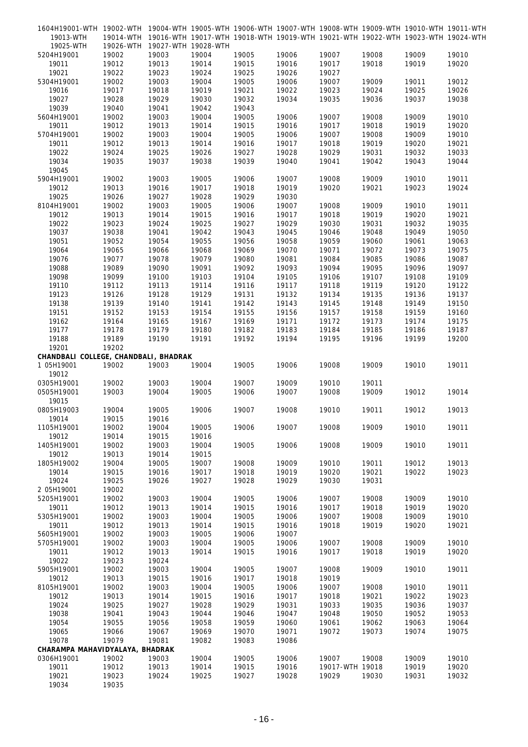| 1604H19001-WTH 19002-WTH 19004-WTH 19005-WTH 19006-WTH 19007-WTH 19008-WTH 19009-WTH 19010-WTH 19011-WTH |       |                                                                                           |       |       |       |                 |       |       |       |
|----------------------------------------------------------------------------------------------------------|-------|-------------------------------------------------------------------------------------------|-------|-------|-------|-----------------|-------|-------|-------|
| 19013-WTH                                                                                                |       | 19014-WTH 19016-WTH 19017-WTH 19018-WTH 19019-WTH 19021-WTH 19022-WTH 19023-WTH 19024-WTH |       |       |       |                 |       |       |       |
| 19025-WTH                                                                                                |       | 19026-WTH 19027-WTH 19028-WTH                                                             |       |       |       |                 |       |       |       |
| 5204H19001                                                                                               | 19002 | 19003                                                                                     | 19004 | 19005 | 19006 | 19007           | 19008 | 19009 | 19010 |
| 19011                                                                                                    | 19012 | 19013                                                                                     | 19014 | 19015 | 19016 | 19017           | 19018 | 19019 | 19020 |
| 19021                                                                                                    | 19022 | 19023                                                                                     | 19024 | 19025 | 19026 | 19027           |       |       |       |
| 5304H19001                                                                                               | 19002 | 19003                                                                                     | 19004 | 19005 | 19006 | 19007           | 19009 | 19011 | 19012 |
| 19016                                                                                                    | 19017 | 19018                                                                                     | 19019 | 19021 | 19022 | 19023           | 19024 | 19025 | 19026 |
| 19027                                                                                                    | 19028 | 19029                                                                                     | 19030 | 19032 | 19034 | 19035           | 19036 | 19037 | 19038 |
| 19039                                                                                                    | 19040 | 19041                                                                                     | 19042 | 19043 |       |                 |       |       |       |
| 5604H19001                                                                                               | 19002 | 19003                                                                                     | 19004 | 19005 | 19006 | 19007           | 19008 | 19009 | 19010 |
| 19011                                                                                                    | 19012 | 19013                                                                                     | 19014 | 19015 | 19016 | 19017           | 19018 | 19019 | 19020 |
| 5704H19001                                                                                               | 19002 | 19003                                                                                     | 19004 | 19005 | 19006 | 19007           | 19008 | 19009 | 19010 |
| 19011                                                                                                    | 19012 | 19013                                                                                     | 19014 | 19016 | 19017 | 19018           | 19019 | 19020 | 19021 |
| 19022                                                                                                    | 19024 | 19025                                                                                     | 19026 | 19027 | 19028 | 19029           | 19031 | 19032 | 19033 |
| 19034                                                                                                    | 19035 | 19037                                                                                     | 19038 | 19039 | 19040 | 19041           | 19042 | 19043 | 19044 |
| 19045                                                                                                    |       |                                                                                           |       |       |       |                 |       |       |       |
| 5904H19001                                                                                               | 19002 | 19003                                                                                     | 19005 | 19006 | 19007 | 19008           | 19009 | 19010 | 19011 |
| 19012                                                                                                    | 19013 | 19016                                                                                     | 19017 | 19018 | 19019 | 19020           | 19021 | 19023 | 19024 |
| 19025                                                                                                    | 19026 | 19027                                                                                     | 19028 | 19029 | 19030 |                 |       |       |       |
| 8104H19001                                                                                               | 19002 | 19003                                                                                     | 19005 | 19006 | 19007 | 19008           | 19009 | 19010 | 19011 |
| 19012                                                                                                    | 19013 | 19014                                                                                     | 19015 | 19016 | 19017 | 19018           | 19019 | 19020 | 19021 |
| 19022                                                                                                    | 19023 | 19024                                                                                     | 19025 | 19027 | 19029 | 19030           | 19031 | 19032 | 19035 |
| 19037                                                                                                    | 19038 | 19041                                                                                     | 19042 | 19043 | 19045 | 19046           | 19048 | 19049 | 19050 |
|                                                                                                          | 19052 |                                                                                           |       |       |       |                 |       |       |       |
| 19051                                                                                                    |       | 19054                                                                                     | 19055 | 19056 | 19058 | 19059           | 19060 | 19061 | 19063 |
| 19064                                                                                                    | 19065 | 19066                                                                                     | 19068 | 19069 | 19070 | 19071           | 19072 | 19073 | 19075 |
| 19076                                                                                                    | 19077 | 19078                                                                                     | 19079 | 19080 | 19081 | 19084           | 19085 | 19086 | 19087 |
| 19088                                                                                                    | 19089 | 19090                                                                                     | 19091 | 19092 | 19093 | 19094           | 19095 | 19096 | 19097 |
| 19098                                                                                                    | 19099 | 19100                                                                                     | 19103 | 19104 | 19105 | 19106           | 19107 | 19108 | 19109 |
| 19110                                                                                                    | 19112 | 19113                                                                                     | 19114 | 19116 | 19117 | 19118           | 19119 | 19120 | 19122 |
| 19123                                                                                                    | 19126 | 19128                                                                                     | 19129 | 19131 | 19132 | 19134           | 19135 | 19136 | 19137 |
| 19138                                                                                                    | 19139 | 19140                                                                                     | 19141 | 19142 | 19143 | 19145           | 19148 | 19149 | 19150 |
| 19151                                                                                                    | 19152 | 19153                                                                                     | 19154 | 19155 | 19156 | 19157           | 19158 | 19159 | 19160 |
| 19162                                                                                                    | 19164 | 19165                                                                                     | 19167 | 19169 | 19171 | 19172           | 19173 | 19174 | 19175 |
| 19177                                                                                                    | 19178 | 19179                                                                                     | 19180 | 19182 | 19183 | 19184           | 19185 | 19186 | 19187 |
| 19188                                                                                                    | 19189 | 19190                                                                                     | 19191 | 19192 | 19194 | 19195           | 19196 | 19199 | 19200 |
| 19201                                                                                                    | 19202 |                                                                                           |       |       |       |                 |       |       |       |
| CHANDBALI COLLEGE, CHANDBALI, BHADRAK                                                                    |       |                                                                                           |       |       |       |                 |       |       |       |
| 1 05H19001                                                                                               | 19002 | 19003                                                                                     | 19004 | 19005 | 19006 | 19008           | 19009 | 19010 | 19011 |
| 19012                                                                                                    |       |                                                                                           |       |       |       |                 |       |       |       |
| 0305H19001                                                                                               | 19002 | 19003                                                                                     | 19004 | 19007 | 19009 | 19010           | 19011 |       |       |
| 0505H19001                                                                                               | 19003 | 19004                                                                                     | 19005 | 19006 | 19007 | 19008           | 19009 | 19012 | 19014 |
| 19015                                                                                                    |       |                                                                                           |       |       |       |                 |       |       |       |
| 0805H19003                                                                                               | 19004 | 19005                                                                                     | 19006 | 19007 | 19008 | 19010           | 19011 | 19012 | 19013 |
| 19014                                                                                                    | 19015 | 19016                                                                                     |       |       |       |                 |       |       |       |
| 1105H19001                                                                                               | 19002 | 19004                                                                                     | 19005 | 19006 | 19007 | 19008           | 19009 | 19010 | 19011 |
| 19012                                                                                                    | 19014 | 19015                                                                                     | 19016 |       |       |                 |       |       |       |
| 1405H19001                                                                                               | 19002 | 19003                                                                                     | 19004 | 19005 | 19006 | 19008           | 19009 | 19010 | 19011 |
| 19012                                                                                                    | 19013 | 19014                                                                                     | 19015 |       |       |                 |       |       |       |
| 1805H19002                                                                                               | 19004 | 19005                                                                                     | 19007 | 19008 | 19009 | 19010           | 19011 | 19012 | 19013 |
| 19014                                                                                                    | 19015 | 19016                                                                                     | 19017 | 19018 | 19019 | 19020           | 19021 | 19022 | 19023 |
| 19024                                                                                                    | 19025 | 19026                                                                                     | 19027 | 19028 | 19029 | 19030           | 19031 |       |       |
| 2 05H19001                                                                                               | 19002 |                                                                                           |       |       |       |                 |       |       |       |
| 5205H19001                                                                                               | 19002 | 19003                                                                                     | 19004 | 19005 | 19006 | 19007           | 19008 | 19009 | 19010 |
| 19011                                                                                                    | 19012 | 19013                                                                                     | 19014 | 19015 | 19016 | 19017           | 19018 | 19019 | 19020 |
| 5305H19001                                                                                               | 19002 | 19003                                                                                     | 19004 | 19005 | 19006 | 19007           | 19008 | 19009 | 19010 |
| 19011                                                                                                    | 19012 | 19013                                                                                     | 19014 | 19015 | 19016 | 19018           | 19019 | 19020 | 19021 |
|                                                                                                          |       |                                                                                           |       |       |       |                 |       |       |       |
| 5605H19001                                                                                               | 19002 | 19003                                                                                     | 19005 | 19006 | 19007 |                 |       |       |       |
| 5705H19001                                                                                               | 19002 | 19003                                                                                     | 19004 | 19005 | 19006 | 19007           | 19008 | 19009 | 19010 |
| 19011                                                                                                    | 19012 | 19013                                                                                     | 19014 | 19015 | 19016 | 19017           | 19018 | 19019 | 19020 |
| 19022                                                                                                    | 19023 | 19024                                                                                     |       |       |       |                 |       |       |       |
| 5905H19001                                                                                               | 19002 | 19003                                                                                     | 19004 | 19005 | 19007 | 19008           | 19009 | 19010 | 19011 |
| 19012                                                                                                    | 19013 | 19015                                                                                     | 19016 | 19017 | 19018 | 19019           |       |       |       |
| 8105H19001                                                                                               | 19002 | 19003                                                                                     | 19004 | 19005 | 19006 | 19007           | 19008 | 19010 | 19011 |
| 19012                                                                                                    | 19013 | 19014                                                                                     | 19015 | 19016 | 19017 | 19018           | 19021 | 19022 | 19023 |
| 19024                                                                                                    | 19025 | 19027                                                                                     | 19028 | 19029 | 19031 | 19033           | 19035 | 19036 | 19037 |
| 19038                                                                                                    | 19041 | 19043                                                                                     | 19044 | 19046 | 19047 | 19048           | 19050 | 19052 | 19053 |
| 19054                                                                                                    | 19055 | 19056                                                                                     | 19058 | 19059 | 19060 | 19061           | 19062 | 19063 | 19064 |
| 19065                                                                                                    | 19066 | 19067                                                                                     | 19069 | 19070 | 19071 | 19072           | 19073 | 19074 | 19075 |
| 19078                                                                                                    | 19079 | 19081                                                                                     | 19082 | 19083 | 19086 |                 |       |       |       |
| CHARAMPA MAHAVIDYALAYA, BHADRAK                                                                          |       |                                                                                           |       |       |       |                 |       |       |       |
| 0306H19001                                                                                               | 19002 | 19003                                                                                     | 19004 | 19005 | 19006 | 19007           | 19008 | 19009 | 19010 |
| 19011                                                                                                    | 19012 | 19013                                                                                     | 19014 | 19015 | 19016 | 19017-WTH 19018 |       | 19019 | 19020 |
| 19021                                                                                                    | 19023 | 19024                                                                                     | 19025 | 19027 | 19028 | 19029           | 19030 | 19031 | 19032 |
| 19034                                                                                                    | 19035 |                                                                                           |       |       |       |                 |       |       |       |
|                                                                                                          |       |                                                                                           |       |       |       |                 |       |       |       |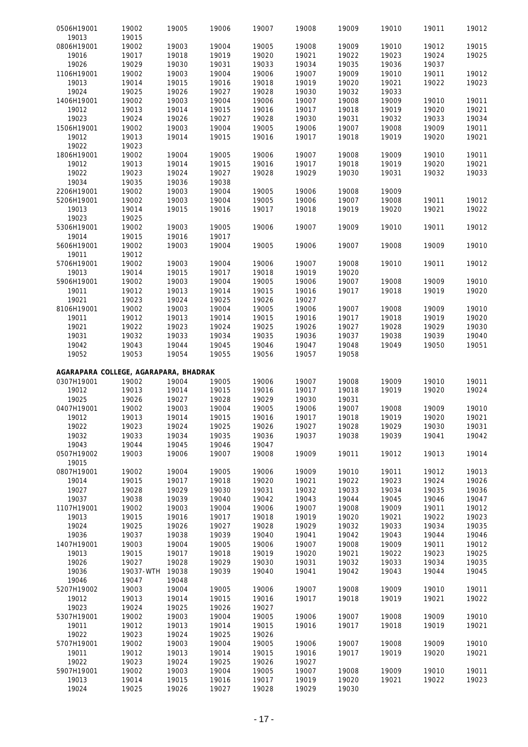| 0506H19001                            | 19002          | 19005          | 19006          | 19007 | 19008          | 19009          | 19010 | 19011          | 19012 |
|---------------------------------------|----------------|----------------|----------------|-------|----------------|----------------|-------|----------------|-------|
| 19013                                 | 19015          |                |                |       |                |                |       |                |       |
| 0806H19001                            | 19002          | 19003          | 19004          | 19005 | 19008          | 19009          | 19010 | 19012          | 19015 |
| 19016                                 | 19017          | 19018          | 19019          | 19020 | 19021          | 19022          | 19023 | 19024          | 19025 |
| 19026                                 | 19029          | 19030          | 19031          | 19033 | 19034          | 19035          | 19036 | 19037          |       |
| 1106H19001                            | 19002          | 19003          | 19004          | 19006 | 19007          | 19009          | 19010 | 19011          | 19012 |
| 19013                                 | 19014          | 19015          | 19016          | 19018 | 19019          | 19020          | 19021 | 19022          | 19023 |
| 19024                                 | 19025          | 19026          | 19027          | 19028 | 19030          | 19032          | 19033 |                |       |
| 1406H19001                            | 19002          | 19003          | 19004          | 19006 | 19007          | 19008          | 19009 | 19010          | 19011 |
| 19012                                 | 19013          | 19014          | 19015          | 19016 | 19017          | 19018          | 19019 | 19020          | 19021 |
| 19023                                 | 19024          | 19026          | 19027          | 19028 | 19030          | 19031          | 19032 | 19033          | 19034 |
|                                       |                | 19003          |                |       |                |                |       |                |       |
| 1506H19001                            | 19002          |                | 19004          | 19005 | 19006          | 19007          | 19008 | 19009          | 19011 |
| 19012                                 | 19013          | 19014          | 19015          | 19016 | 19017          | 19018          | 19019 | 19020          | 19021 |
| 19022                                 | 19023          |                |                |       |                |                |       |                |       |
| 1806H19001                            | 19002          | 19004          | 19005          | 19006 | 19007          | 19008          | 19009 | 19010          | 19011 |
| 19012                                 | 19013          | 19014          | 19015          | 19016 | 19017          | 19018          | 19019 | 19020          | 19021 |
| 19022                                 | 19023          | 19024          | 19027          | 19028 | 19029          | 19030          | 19031 | 19032          | 19033 |
| 19034                                 | 19035          | 19036          | 19038          |       |                |                |       |                |       |
| 2206H19001                            | 19002          | 19003          | 19004          | 19005 | 19006          | 19008          | 19009 |                |       |
| 5206H19001                            | 19002          | 19003          | 19004          | 19005 | 19006          | 19007          | 19008 | 19011          | 19012 |
| 19013                                 | 19014          | 19015          | 19016          | 19017 | 19018          | 19019          | 19020 | 19021          | 19022 |
| 19023                                 | 19025          |                |                |       |                |                |       |                |       |
| 5306H19001                            | 19002          | 19003          | 19005          | 19006 | 19007          | 19009          | 19010 | 19011          | 19012 |
| 19014                                 | 19015          | 19016          | 19017          |       |                |                |       |                |       |
| 5606H19001                            | 19002          | 19003          | 19004          | 19005 | 19006          | 19007          | 19008 | 19009          | 19010 |
| 19011                                 | 19012          |                |                |       |                |                |       |                |       |
| 5706H19001                            | 19002          | 19003          | 19004          | 19006 | 19007          | 19008          | 19010 | 19011          | 19012 |
| 19013                                 | 19014          | 19015          | 19017          | 19018 | 19019          | 19020          |       |                |       |
| 5906H19001                            | 19002          | 19003          | 19004          | 19005 | 19006          | 19007          | 19008 | 19009          | 19010 |
| 19011                                 | 19012          | 19013          | 19014          | 19015 | 19016          | 19017          | 19018 | 19019          | 19020 |
| 19021                                 | 19023          | 19024          | 19025          | 19026 | 19027          |                |       |                |       |
|                                       |                |                |                |       |                |                |       |                |       |
| 8106H19001                            | 19002          | 19003          | 19004          | 19005 | 19006          | 19007          | 19008 | 19009          | 19010 |
| 19011                                 | 19012          | 19013          | 19014          | 19015 | 19016          | 19017          | 19018 | 19019          | 19020 |
| 19021                                 | 19022          | 19023          | 19024          | 19025 | 19026          | 19027          | 19028 | 19029          | 19030 |
| 19031                                 | 19032          | 19033          | 19034          | 19035 | 19036          | 19037          | 19038 | 19039          | 19040 |
| 19042                                 | 19043          | 19044          | 19045          | 19046 | 19047          | 19048          | 19049 | 19050          | 19051 |
|                                       |                |                |                |       |                |                |       |                |       |
| 19052                                 | 19053          | 19054          | 19055          | 19056 | 19057          | 19058          |       |                |       |
|                                       |                |                |                |       |                |                |       |                |       |
| AGARAPARA COLLEGE, AGARAPARA, BHADRAK |                |                |                |       |                |                |       |                |       |
| 0307H19001                            | 19002          | 19004          | 19005          | 19006 | 19007          | 19008          | 19009 | 19010          | 19011 |
| 19012                                 | 19013          | 19014          | 19015          | 19016 | 19017          | 19018          | 19019 | 19020          | 19024 |
| 19025                                 |                |                |                | 19029 | 19030          |                |       |                |       |
| 0407H19001                            | 19026<br>19002 | 19027<br>19003 | 19028<br>19004 | 19005 | 19006          | 19031<br>19007 | 19008 | 19009          | 19010 |
|                                       |                | 19014          |                |       |                |                | 19019 |                |       |
| 19012                                 | 19013          |                | 19015          | 19016 | 19017          | 19018          |       | 19020          | 19021 |
| 19022                                 | 19023          | 19024          | 19025          | 19026 | 19027          | 19028          | 19029 | 19030          | 19031 |
| 19032                                 | 19033          | 19034          | 19035          | 19036 | 19037          | 19038          | 19039 | 19041          | 19042 |
| 19043                                 | 19044          | 19045          | 19046          | 19047 |                |                |       |                |       |
| 0507H19002                            | 19003          | 19006          | 19007          | 19008 | 19009          | 19011          | 19012 | 19013          | 19014 |
| 19015                                 |                |                |                |       |                |                |       |                |       |
| 0807H19001                            | 19002          | 19004          | 19005          | 19006 | 19009          | 19010          | 19011 | 19012          | 19013 |
| 19014                                 | 19015          | 19017          | 19018          | 19020 | 19021          | 19022          | 19023 | 19024          | 19026 |
| 19027                                 | 19028          | 19029          | 19030          | 19031 | 19032          | 19033          | 19034 | 19035          | 19036 |
| 19037                                 | 19038          | 19039          | 19040          | 19042 | 19043          | 19044          | 19045 | 19046          | 19047 |
| 1107H19001                            | 19002          | 19003          | 19004          | 19006 | 19007          | 19008          | 19009 | 19011          | 19012 |
| 19013                                 | 19015          | 19016          | 19017          | 19018 | 19019          | 19020          | 19021 | 19022          | 19023 |
| 19024                                 | 19025          | 19026          | 19027          | 19028 | 19029          | 19032          | 19033 | 19034          | 19035 |
| 19036                                 | 19037          | 19038          | 19039          | 19040 | 19041          | 19042          | 19043 | 19044          | 19046 |
|                                       |                | 19004          |                |       |                |                |       |                |       |
| 1407H19001<br>19013                   | 19003<br>19015 | 19017          | 19005          | 19006 | 19007<br>19020 | 19008<br>19021 | 19009 | 19011<br>19023 | 19012 |
|                                       |                |                | 19018          | 19019 |                |                | 19022 |                | 19025 |
| 19026                                 | 19027          | 19028          | 19029          | 19030 | 19031          | 19032          | 19033 | 19034          | 19035 |
| 19036                                 | 19037-WTH      | 19038          | 19039          | 19040 | 19041          | 19042          | 19043 | 19044          | 19045 |
| 19046                                 | 19047          | 19048          |                |       |                |                |       |                |       |
| 5207H19002                            | 19003          | 19004          | 19005          | 19006 | 19007          | 19008          | 19009 | 19010          | 19011 |
| 19012                                 | 19013          | 19014          | 19015          | 19016 | 19017          | 19018          | 19019 | 19021          | 19022 |
| 19023                                 | 19024          | 19025          | 19026          | 19027 |                |                |       |                |       |
| 5307H19001                            | 19002          | 19003          | 19004          | 19005 | 19006          | 19007          | 19008 | 19009          | 19010 |
| 19011                                 | 19012          | 19013          | 19014          | 19015 | 19016          | 19017          | 19018 | 19019          | 19021 |
| 19022                                 | 19023          | 19024          | 19025          | 19026 |                |                |       |                |       |
| 5707H19001                            | 19002          | 19003          | 19004          | 19005 | 19006          | 19007          | 19008 | 19009          | 19010 |
| 19011                                 | 19012          | 19013          | 19014          | 19015 | 19016          | 19017          | 19019 | 19020          | 19021 |
| 19022                                 | 19023          | 19024          | 19025          | 19026 | 19027          |                |       |                |       |
| 5907H19001                            | 19002          | 19003          | 19004          | 19005 | 19007          | 19008          | 19009 | 19010          | 19011 |
| 19013                                 | 19014          | 19015          | 19016          | 19017 | 19019          | 19020          | 19021 | 19022          | 19023 |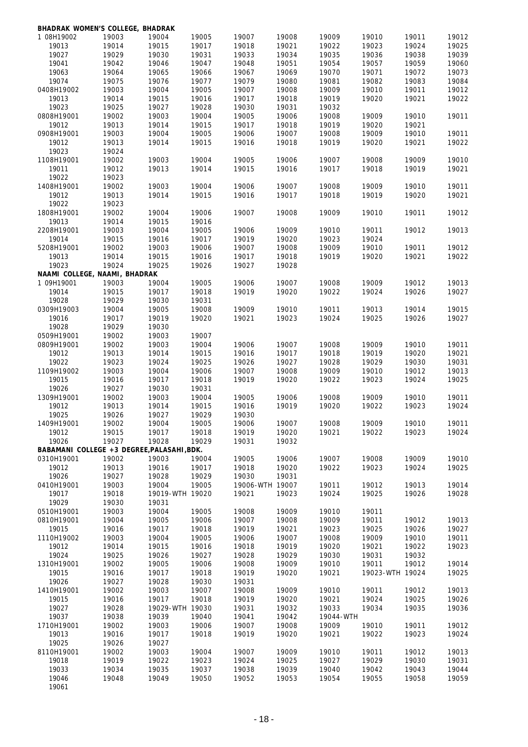| <b>BHADRAK WOMEN'S COLLEGE, BHADRAK</b>    |       |                 |       |                 |       |           |                 |       |       |
|--------------------------------------------|-------|-----------------|-------|-----------------|-------|-----------|-----------------|-------|-------|
| 1 08H19002                                 | 19003 | 19004           | 19005 | 19007           | 19008 | 19009     | 19010           | 19011 | 19012 |
| 19013                                      | 19014 | 19015           | 19017 | 19018           | 19021 | 19022     | 19023           | 19024 | 19025 |
| 19027                                      | 19029 | 19030           | 19031 | 19033           | 19034 | 19035     | 19036           | 19038 | 19039 |
| 19041                                      | 19042 | 19046           | 19047 | 19048           | 19051 | 19054     | 19057           | 19059 | 19060 |
| 19063                                      | 19064 | 19065           | 19066 | 19067           | 19069 | 19070     | 19071           | 19072 | 19073 |
|                                            |       | 19076           |       |                 |       |           |                 |       | 19084 |
| 19074                                      | 19075 |                 | 19077 | 19079           | 19080 | 19081     | 19082           | 19083 |       |
| 0408H19002                                 | 19003 | 19004           | 19005 | 19007           | 19008 | 19009     | 19010           | 19011 | 19012 |
| 19013                                      | 19014 | 19015           | 19016 | 19017           | 19018 | 19019     | 19020           | 19021 | 19022 |
| 19023                                      | 19025 | 19027           | 19028 | 19030           | 19031 | 19032     |                 |       |       |
| 0808H19001                                 | 19002 | 19003           | 19004 | 19005           | 19006 | 19008     | 19009           | 19010 | 19011 |
| 19012                                      | 19013 | 19014           | 19015 | 19017           | 19018 | 19019     | 19020           | 19021 |       |
| 0908H19001                                 | 19003 | 19004           | 19005 | 19006           | 19007 | 19008     | 19009           | 19010 | 19011 |
| 19012                                      | 19013 | 19014           | 19015 | 19016           | 19018 | 19019     | 19020           | 19021 | 19022 |
| 19023                                      | 19024 |                 |       |                 |       |           |                 |       |       |
|                                            |       |                 |       |                 |       |           |                 |       |       |
| 1108H19001                                 | 19002 | 19003           | 19004 | 19005           | 19006 | 19007     | 19008           | 19009 | 19010 |
| 19011                                      | 19012 | 19013           | 19014 | 19015           | 19016 | 19017     | 19018           | 19019 | 19021 |
| 19022                                      | 19023 |                 |       |                 |       |           |                 |       |       |
| 1408H19001                                 | 19002 | 19003           | 19004 | 19006           | 19007 | 19008     | 19009           | 19010 | 19011 |
| 19012                                      | 19013 | 19014           | 19015 | 19016           | 19017 | 19018     | 19019           | 19020 | 19021 |
| 19022                                      | 19023 |                 |       |                 |       |           |                 |       |       |
| 1808H19001                                 | 19002 | 19004           | 19006 | 19007           | 19008 | 19009     | 19010           | 19011 | 19012 |
| 19013                                      | 19014 | 19015           | 19016 |                 |       |           |                 |       |       |
|                                            |       |                 |       |                 |       |           |                 |       |       |
| 2208H19001                                 | 19003 | 19004           | 19005 | 19006           | 19009 | 19010     | 19011           | 19012 | 19013 |
| 19014                                      | 19015 | 19016           | 19017 | 19019           | 19020 | 19023     | 19024           |       |       |
| 5208H19001                                 | 19002 | 19003           | 19006 | 19007           | 19008 | 19009     | 19010           | 19011 | 19012 |
| 19013                                      | 19014 | 19015           | 19016 | 19017           | 19018 | 19019     | 19020           | 19021 | 19022 |
| 19023                                      | 19024 | 19025           | 19026 | 19027           | 19028 |           |                 |       |       |
| NAAMI COLLEGE, NAAMI, BHADRAK              |       |                 |       |                 |       |           |                 |       |       |
| 1 09H19001                                 | 19003 | 19004           | 19005 | 19006           | 19007 | 19008     | 19009           | 19012 | 19013 |
| 19014                                      | 19015 | 19017           | 19018 | 19019           | 19020 | 19022     | 19024           | 19026 | 19027 |
|                                            |       |                 |       |                 |       |           |                 |       |       |
| 19028                                      | 19029 | 19030           | 19031 |                 |       |           |                 |       |       |
| 0309H19003                                 | 19004 | 19005           | 19008 | 19009           | 19010 | 19011     | 19013           | 19014 | 19015 |
| 19016                                      | 19017 | 19019           | 19020 | 19021           | 19023 | 19024     | 19025           | 19026 | 19027 |
| 19028                                      | 19029 | 19030           |       |                 |       |           |                 |       |       |
| 0509H19001                                 | 19002 | 19003           | 19007 |                 |       |           |                 |       |       |
| 0809H19001                                 | 19002 | 19003           | 19004 | 19006           | 19007 | 19008     | 19009           | 19010 | 19011 |
| 19012                                      | 19013 | 19014           | 19015 | 19016           | 19017 | 19018     | 19019           | 19020 | 19021 |
| 19022                                      | 19023 | 19024           | 19025 | 19026           | 19027 | 19028     | 19029           | 19030 | 19031 |
| 1109H19002                                 |       |                 |       | 19007           |       | 19009     | 19010           | 19012 | 19013 |
|                                            | 19003 | 19004           | 19006 |                 | 19008 |           |                 |       |       |
| 19015                                      | 19016 | 19017           | 19018 | 19019           | 19020 | 19022     | 19023           | 19024 | 19025 |
| 19026                                      | 19027 | 19030           | 19031 |                 |       |           |                 |       |       |
| 1309H19001                                 | 19002 | 19003           | 19004 | 19005           | 19006 | 19008     | 19009           | 19010 | 19011 |
| 19012                                      | 19013 | 19014           | 19015 | 19016           | 19019 | 19020     | 19022           | 19023 | 19024 |
| 19025                                      | 19026 | 19027           | 19029 | 19030           |       |           |                 |       |       |
| 1409H19001                                 | 19002 | 19004           | 19005 | 19006           | 19007 | 19008     | 19009           | 19010 | 19011 |
| 19012                                      | 19015 | 19017           | 19018 | 19019           | 19020 | 19021     | 19022           | 19023 | 19024 |
| 19026                                      | 19027 | 19028           | 19029 | 19031           | 19032 |           |                 |       |       |
|                                            |       |                 |       |                 |       |           |                 |       |       |
| BABAMANI COLLEGE +3 DEGREE, PALASAHI, BDK. |       |                 |       |                 |       |           |                 |       |       |
| 0310H19001                                 | 19002 | 19003           | 19004 | 19005           | 19006 | 19007     | 19008           | 19009 | 19010 |
| 19012                                      | 19013 | 19016           | 19017 | 19018           | 19020 | 19022     | 19023           | 19024 | 19025 |
| 19026                                      | 19027 | 19028           | 19029 | 19030           | 19031 |           |                 |       |       |
| 0410H19001                                 | 19003 | 19004           | 19005 | 19006-WTH 19007 |       | 19011     | 19012           | 19013 | 19014 |
| 19017                                      | 19018 | 19019-WTH 19020 |       | 19021           | 19023 | 19024     | 19025           | 19026 | 19028 |
| 19029                                      | 19030 | 19031           |       |                 |       |           |                 |       |       |
| 0510H19001                                 | 19003 | 19004           | 19005 | 19008           | 19009 | 19010     | 19011           |       |       |
| 0810H19001                                 | 19004 | 19005           | 19006 | 19007           | 19008 | 19009     | 19011           | 19012 | 19013 |
|                                            |       |                 |       |                 |       |           |                 |       |       |
| 19015                                      | 19016 | 19017           | 19018 | 19019           | 19021 | 19023     | 19025           | 19026 | 19027 |
| 1110H19002                                 | 19003 | 19004           | 19005 | 19006           | 19007 | 19008     | 19009           | 19010 | 19011 |
| 19012                                      | 19014 | 19015           | 19016 | 19018           | 19019 | 19020     | 19021           | 19022 | 19023 |
| 19024                                      | 19025 | 19026           | 19027 | 19028           | 19029 | 19030     | 19031           | 19032 |       |
| 1310H19001                                 | 19002 | 19005           | 19006 | 19008           | 19009 | 19010     | 19011           | 19012 | 19014 |
| 19015                                      | 19016 | 19017           | 19018 | 19019           | 19020 | 19021     | 19023-WTH 19024 |       | 19025 |
| 19026                                      | 19027 | 19028           | 19030 | 19031           |       |           |                 |       |       |
| 1410H19001                                 | 19002 | 19003           | 19007 | 19008           | 19009 | 19010     | 19011           | 19012 | 19013 |
|                                            |       |                 |       |                 |       |           |                 |       |       |
| 19015                                      | 19016 | 19017           | 19018 | 19019           | 19020 | 19021     | 19024           | 19025 | 19026 |
| 19027                                      | 19028 | 19029-WTH 19030 |       | 19031           | 19032 | 19033     | 19034           | 19035 | 19036 |
| 19037                                      | 19038 | 19039           | 19040 | 19041           | 19042 | 19044-WTH |                 |       |       |
| 1710H19001                                 | 19002 | 19003           | 19006 | 19007           | 19008 | 19009     | 19010           | 19011 | 19012 |
| 19013                                      | 19016 | 19017           | 19018 | 19019           | 19020 | 19021     | 19022           | 19023 | 19024 |
| 19025                                      | 19026 | 19027           |       |                 |       |           |                 |       |       |
| 8110H19001                                 | 19002 | 19003           | 19004 | 19007           | 19009 | 19010     | 19011           | 19012 | 19013 |
| 19018                                      | 19019 | 19022           | 19023 | 19024           | 19025 | 19027     | 19029           | 19030 | 19031 |
| 19033                                      | 19034 | 19035           | 19037 | 19038           | 19039 | 19040     | 19042           | 19043 | 19044 |
|                                            |       |                 |       |                 |       |           |                 |       |       |
| 19046                                      | 19048 | 19049           | 19050 | 19052           | 19053 | 19054     | 19055           | 19058 | 19059 |
| 19061                                      |       |                 |       |                 |       |           |                 |       |       |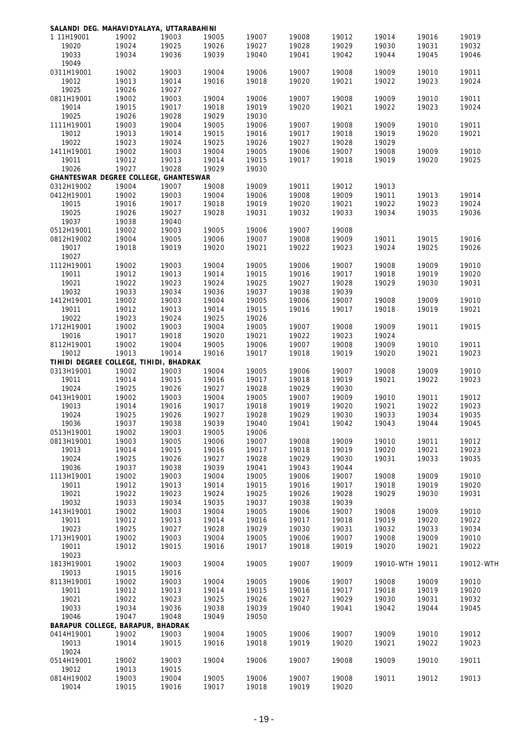|            | SALANDI DEG. MAHAVIDYALAYA, UTTARABAHINI |       |       |       |       |       |                 |       |           |
|------------|------------------------------------------|-------|-------|-------|-------|-------|-----------------|-------|-----------|
| 1 11H19001 | 19002                                    | 19003 | 19005 | 19007 | 19008 | 19012 | 19014           | 19016 | 19019     |
| 19020      | 19024                                    | 19025 | 19026 | 19027 | 19028 | 19029 | 19030           | 19031 | 19032     |
| 19033      | 19034                                    | 19036 | 19039 | 19040 | 19041 | 19042 | 19044           | 19045 | 19046     |
| 19049      |                                          |       |       |       |       |       |                 |       |           |
| 0311H19001 | 19002                                    | 19003 | 19004 | 19006 | 19007 | 19008 | 19009           | 19010 | 19011     |
| 19012      | 19013                                    | 19014 | 19016 | 19018 | 19020 | 19021 | 19022           | 19023 | 19024     |
| 19025      | 19026                                    | 19027 |       |       |       |       |                 |       |           |
|            |                                          |       |       |       |       |       |                 |       | 19011     |
| 0811H19001 | 19002                                    | 19003 | 19004 | 19006 | 19007 | 19008 | 19009           | 19010 |           |
| 19014      | 19015                                    | 19017 | 19018 | 19019 | 19020 | 19021 | 19022           | 19023 | 19024     |
| 19025      | 19026                                    | 19028 | 19029 | 19030 |       |       |                 |       |           |
| 1111H19001 | 19003                                    | 19004 | 19005 | 19006 | 19007 | 19008 | 19009           | 19010 | 19011     |
| 19012      | 19013                                    | 19014 | 19015 | 19016 | 19017 | 19018 | 19019           | 19020 | 19021     |
| 19022      | 19023                                    | 19024 | 19025 | 19026 | 19027 | 19028 | 19029           |       |           |
| 1411H19001 | 19002                                    | 19003 | 19004 | 19005 | 19006 | 19007 | 19008           | 19009 | 19010     |
| 19011      | 19012                                    | 19013 | 19014 | 19015 | 19017 | 19018 | 19019           | 19020 | 19025     |
| 19026      | 19027                                    | 19028 |       | 19030 |       |       |                 |       |           |
|            |                                          |       | 19029 |       |       |       |                 |       |           |
|            | GHANTESWAR DEGREE COLLEGE, GHANTESWAR    |       |       |       |       |       |                 |       |           |
| 0312H19002 | 19004                                    | 19007 | 19008 | 19009 | 19011 | 19012 | 19013           |       |           |
| 0412H19001 | 19002                                    | 19003 | 19004 | 19006 | 19008 | 19009 | 19011           | 19013 | 19014     |
| 19015      | 19016                                    | 19017 | 19018 | 19019 | 19020 | 19021 | 19022           | 19023 | 19024     |
| 19025      | 19026                                    | 19027 | 19028 | 19031 | 19032 | 19033 | 19034           | 19035 | 19036     |
| 19037      | 19038                                    | 19040 |       |       |       |       |                 |       |           |
| 0512H19001 | 19002                                    | 19003 | 19005 | 19006 | 19007 | 19008 |                 |       |           |
| 0812H19002 | 19004                                    | 19005 | 19006 | 19007 | 19008 | 19009 | 19011           | 19015 | 19016     |
|            |                                          |       |       |       |       |       |                 |       |           |
| 19017      | 19018                                    | 19019 | 19020 | 19021 | 19022 | 19023 | 19024           | 19025 | 19026     |
| 19027      |                                          |       |       |       |       |       |                 |       |           |
| 1112H19001 | 19002                                    | 19003 | 19004 | 19005 | 19006 | 19007 | 19008           | 19009 | 19010     |
| 19011      | 19012                                    | 19013 | 19014 | 19015 | 19016 | 19017 | 19018           | 19019 | 19020     |
| 19021      | 19022                                    | 19023 | 19024 | 19025 | 19027 | 19028 | 19029           | 19030 | 19031     |
| 19032      | 19033                                    | 19034 | 19036 | 19037 | 19038 | 19039 |                 |       |           |
| 1412H19001 | 19002                                    | 19003 | 19004 | 19005 | 19006 | 19007 | 19008           | 19009 | 19010     |
| 19011      | 19012                                    | 19013 | 19014 | 19015 | 19016 | 19017 | 19018           | 19019 | 19021     |
|            |                                          |       |       |       |       |       |                 |       |           |
| 19022      | 19023                                    | 19024 | 19025 | 19026 |       |       |                 |       |           |
| 1712H19001 | 19002                                    | 19003 | 19004 | 19005 | 19007 | 19008 | 19009           | 19011 | 19015     |
| 19016      | 19017                                    | 19018 | 19020 | 19021 | 19022 | 19023 | 19024           |       |           |
| 8112H19001 | 19002                                    | 19004 | 19005 | 19006 | 19007 | 19008 | 19009           | 19010 | 19011     |
| 19012      | 19013                                    | 19014 | 19016 | 19017 | 19018 | 19019 | 19020           | 19021 | 19023     |
|            | TIHIDI DEGREE COLLEGE, TIHIDI, BHADRAK   |       |       |       |       |       |                 |       |           |
| 0313H19001 | 19002                                    | 19003 | 19004 | 19005 | 19006 | 19007 | 19008           | 19009 | 19010     |
| 19011      | 19014                                    | 19015 | 19016 | 19017 | 19018 | 19019 | 19021           | 19022 | 19023     |
| 19024      | 19025                                    | 19026 | 19027 | 19028 | 19029 | 19030 |                 |       |           |
|            |                                          |       |       |       |       |       |                 |       |           |
| 0413H19001 | 19002                                    | 19003 | 19004 | 19005 | 19007 | 19009 | 19010           | 19011 | 19012     |
| 19013      | 19014                                    | 19016 | 19017 | 19018 | 19019 | 19020 | 19021           | 19022 | 19023     |
| 19024      | 19025                                    | 19026 | 19027 | 19028 | 19029 | 19030 | 19033           | 19034 | 19035     |
| 19036      | 19037                                    | 19038 | 19039 | 19040 | 19041 | 19042 | 19043           | 19044 | 19045     |
| 0513H19001 | 19002                                    | 19003 | 19005 | 19006 |       |       |                 |       |           |
| 0813H19001 | 19003                                    | 19005 | 19006 | 19007 | 19008 | 19009 | 19010           | 19011 | 19012     |
| 19013      | 19014                                    | 19015 | 19016 | 19017 | 19018 | 19019 | 19020           | 19021 | 19023     |
| 19024      | 19025                                    | 19026 | 19027 | 19028 | 19029 | 19030 | 19031           | 19033 | 19035     |
| 19036      |                                          |       | 19039 | 19041 | 19043 | 19044 |                 |       |           |
|            | 19037                                    | 19038 |       |       |       |       |                 |       |           |
| 1113H19001 | 19002                                    | 19003 | 19004 | 19005 | 19006 | 19007 | 19008           | 19009 | 19010     |
| 19011      | 19012                                    | 19013 | 19014 | 19015 | 19016 | 19017 | 19018           | 19019 | 19020     |
| 19021      | 19022                                    | 19023 | 19024 | 19025 | 19026 | 19028 | 19029           | 19030 | 19031     |
| 19032      | 19033                                    | 19034 | 19035 | 19037 | 19038 | 19039 |                 |       |           |
| 1413H19001 | 19002                                    | 19003 | 19004 | 19005 | 19006 | 19007 | 19008           | 19009 | 19010     |
| 19011      | 19012                                    | 19013 | 19014 | 19016 | 19017 | 19018 | 19019           | 19020 | 19022     |
| 19023      | 19025                                    | 19027 | 19028 | 19029 | 19030 | 19031 | 19032           | 19033 | 19034     |
| 1713H19001 | 19002                                    | 19003 | 19004 | 19005 | 19006 | 19007 | 19008           | 19009 | 19010     |
|            |                                          |       |       |       |       |       |                 |       |           |
| 19011      | 19012                                    | 19015 | 19016 | 19017 | 19018 | 19019 | 19020           | 19021 | 19022     |
| 19023      |                                          |       |       |       |       |       |                 |       |           |
| 1813H19001 | 19002                                    | 19003 | 19004 | 19005 | 19007 | 19009 | 19010-WTH 19011 |       | 19012-WTH |
| 19013      | 19015                                    | 19016 |       |       |       |       |                 |       |           |
| 8113H19001 | 19002                                    | 19003 | 19004 | 19005 | 19006 | 19007 | 19008           | 19009 | 19010     |
| 19011      | 19012                                    | 19013 | 19014 | 19015 | 19016 | 19017 | 19018           | 19019 | 19020     |
| 19021      | 19022                                    | 19023 | 19025 | 19026 | 19027 | 19029 | 19030           | 19031 | 19032     |
| 19033      | 19034                                    | 19036 | 19038 | 19039 | 19040 | 19041 | 19042           | 19044 | 19045     |
|            |                                          |       |       |       |       |       |                 |       |           |
| 19046      | 19047                                    | 19048 | 19049 | 19050 |       |       |                 |       |           |
|            | BARAPUR COLLEGE, BARAPUR, BHADRAK        |       |       |       |       |       |                 |       |           |
| 0414H19001 | 19002                                    | 19003 | 19004 | 19005 | 19006 | 19007 | 19009           | 19010 | 19012     |
| 19013      | 19014                                    | 19015 | 19016 | 19018 | 19019 | 19020 | 19021           | 19022 | 19023     |
| 19024      |                                          |       |       |       |       |       |                 |       |           |
| 0514H19001 | 19002                                    | 19003 | 19004 | 19006 | 19007 | 19008 | 19009           | 19010 | 19011     |
| 19012      | 19013                                    | 19015 |       |       |       |       |                 |       |           |
| 0814H19002 | 19003                                    | 19004 | 19005 | 19006 | 19007 | 19008 | 19011           | 19012 | 19013     |
| 19014      | 19015                                    | 19016 | 19017 | 19018 | 19019 | 19020 |                 |       |           |
|            |                                          |       |       |       |       |       |                 |       |           |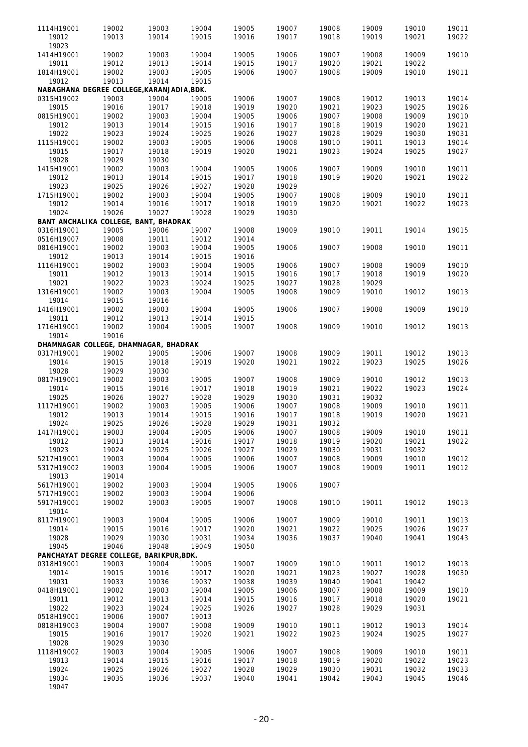| 1114H19001               | 19002                                               | 19003          | 19004          | 19005          | 19007          | 19008          | 19009          | 19010          | 19011          |
|--------------------------|-----------------------------------------------------|----------------|----------------|----------------|----------------|----------------|----------------|----------------|----------------|
| 19012<br>19023           | 19013                                               | 19014          | 19015          | 19016          | 19017          | 19018          | 19019          | 19021          | 19022          |
| 1414H19001               | 19002                                               | 19003          | 19004          | 19005          | 19006          | 19007          | 19008          | 19009          | 19010          |
| 19011                    | 19012                                               | 19013          | 19014          | 19015          | 19017          | 19020          | 19021          | 19022          |                |
| 1814H19001               | 19002                                               | 19003          | 19005          | 19006          | 19007          | 19008          | 19009          | 19010          | 19011          |
| 19012                    | 19013<br>NABAGHANA DEGREE COLLEGE, KARANJADIA, BDK. | 19014          | 19015          |                |                |                |                |                |                |
| 0315H19002               | 19003                                               | 19004          | 19005          | 19006          | 19007          | 19008          | 19012          | 19013          | 19014          |
| 19015                    | 19016                                               | 19017          | 19018          | 19019          | 19020          | 19021          | 19023          | 19025          | 19026          |
| 0815H19001               | 19002                                               | 19003          | 19004          | 19005          | 19006          | 19007          | 19008          | 19009          | 19010          |
| 19012                    | 19013                                               | 19014          | 19015          | 19016          | 19017          | 19018          | 19019          | 19020          | 19021          |
| 19022                    | 19023                                               | 19024          | 19025          | 19026          | 19027          | 19028          | 19029          | 19030          | 19031          |
| 1115H19001               | 19002                                               | 19003          | 19005          | 19006          | 19008          | 19010          | 19011          | 19013          | 19014          |
| 19015                    | 19017                                               | 19018          | 19019          | 19020          | 19021          | 19023          | 19024          | 19025          | 19027          |
| 19028<br>1415H19001      | 19029                                               | 19030<br>19003 |                |                |                | 19007          | 19009          |                |                |
| 19012                    | 19002<br>19013                                      | 19014          | 19004<br>19015 | 19005<br>19017 | 19006<br>19018 | 19019          | 19020          | 19010<br>19021 | 19011<br>19022 |
| 19023                    | 19025                                               | 19026          | 19027          | 19028          | 19029          |                |                |                |                |
| 1715H19001               | 19002                                               | 19003          | 19004          | 19005          | 19007          | 19008          | 19009          | 19010          | 19011          |
| 19012                    | 19014                                               | 19016          | 19017          | 19018          | 19019          | 19020          | 19021          | 19022          | 19023          |
| 19024                    | 19026                                               | 19027          | 19028          | 19029          | 19030          |                |                |                |                |
|                          | BANT ANCHALIKA COLLEGE, BANT, BHADRAK               |                |                |                |                |                |                |                |                |
| 0316H19001               | 19005                                               | 19006          | 19007          | 19008          | 19009          | 19010          | 19011          | 19014          | 19015          |
| 0516H19007<br>0816H19001 | 19008<br>19002                                      | 19011<br>19003 | 19012<br>19004 | 19014<br>19005 | 19006          | 19007          | 19008          | 19010          | 19011          |
| 19012                    | 19013                                               | 19014          | 19015          | 19016          |                |                |                |                |                |
| 1116H19001               | 19002                                               | 19003          | 19004          | 19005          | 19006          | 19007          | 19008          | 19009          | 19010          |
| 19011                    | 19012                                               | 19013          | 19014          | 19015          | 19016          | 19017          | 19018          | 19019          | 19020          |
| 19021                    | 19022                                               | 19023          | 19024          | 19025          | 19027          | 19028          | 19029          |                |                |
| 1316H19001               | 19002                                               | 19003          | 19004          | 19005          | 19008          | 19009          | 19010          | 19012          | 19013          |
| 19014                    | 19015                                               | 19016          |                |                |                |                |                |                |                |
| 1416H19001               | 19002                                               | 19003          | 19004<br>19014 | 19005          | 19006          | 19007          | 19008          | 19009          | 19010          |
| 19011<br>1716H19001      | 19012<br>19002                                      | 19013<br>19004 | 19005          | 19015<br>19007 | 19008          | 19009          | 19010          | 19012          | 19013          |
| 19014                    | 19016                                               |                |                |                |                |                |                |                |                |
|                          | DHAMNAGAR COLLEGE, DHAMNAGAR, BHADRAK               |                |                |                |                |                |                |                |                |
| 0317H19001               | 19002                                               | 19005          | 19006          | 19007          | 19008          | 19009          | 19011          | 19012          | 19013          |
| 19014                    | 19015                                               | 19018          | 19019          | 19020          | 19021          | 19022          | 19023          | 19025          | 19026          |
| 19028                    | 19029                                               | 19030          |                |                |                |                |                |                |                |
| 0817H19001               | 19002                                               | 19003          | 19005          | 19007          | 19008          | 19009          | 19010          | 19012          | 19013          |
| 19014<br>19025           | 19015                                               | 19016          | 19017          | 19018          | 19019          | 19021          | 19022          | 19023          | 19024          |
| 1117H19001               | 19026<br>19002                                      | 19027<br>19003 | 19028<br>19005 | 19029<br>19006 | 19030<br>19007 | 19031<br>19008 | 19032<br>19009 | 19010          | 19011          |
| 19012                    | 19013                                               | 19014          | 19015          | 19016          | 19017          | 19018          | 19019          | 19020          | 19021          |
| 19024                    | 19025                                               | 19026          | 19028          | 19029          | 19031          | 19032          |                |                |                |
| 1417H19001               | 19003                                               | 19004          | 19005          | 19006          | 19007          | 19008          | 19009          | 19010          | 19011          |
| 19012                    | 19013                                               | 19014          | 19016          | 19017          | 19018          | 19019          | 19020          | 19021          | 19022          |
| 19023                    | 19024                                               | 19025          | 19026          | 19027          | 19029          | 19030          | 19031          | 19032          |                |
| 5217H19001               | 19003                                               | 19004          | 19005          | 19006          | 19007          | 19008          | 19009          | 19010          | 19012          |
| 5317H19002               | 19003                                               | 19004          | 19005          | 19006          | 19007          | 19008          | 19009          | 19011          | 19012          |
| 19013<br>5617H19001      | 19014<br>19002                                      | 19003          | 19004          | 19005          | 19006          | 19007          |                |                |                |
| 5717H19001               | 19002                                               | 19003          | 19004          | 19006          |                |                |                |                |                |
| 5917H19001               | 19002                                               | 19003          | 19005          | 19007          | 19008          | 19010          | 19011          | 19012          | 19013          |
| 19014                    |                                                     |                |                |                |                |                |                |                |                |
| 8117H19001               | 19003                                               | 19004          | 19005          | 19006          | 19007          | 19009          | 19010          | 19011          | 19013          |
| 19014                    | 19015                                               | 19016          | 19017          | 19020          | 19021          | 19022          | 19025          | 19026          | 19027          |
| 19028                    | 19029                                               | 19030          | 19031          | 19034          | 19036          | 19037          | 19040          | 19041          | 19043          |
| 19045                    | 19046<br>PANCHAYAT DEGREE COLLEGE, BARIKPUR, BDK.   | 19048          | 19049          | 19050          |                |                |                |                |                |
| 0318H19001               | 19003                                               | 19004          | 19005          | 19007          | 19009          | 19010          | 19011          | 19012          | 19013          |
| 19014                    | 19015                                               | 19016          | 19017          | 19020          | 19021          | 19023          | 19027          | 19028          | 19030          |
| 19031                    | 19033                                               | 19036          | 19037          | 19038          | 19039          | 19040          | 19041          | 19042          |                |
| 0418H19001               | 19002                                               | 19003          | 19004          | 19005          | 19006          | 19007          | 19008          | 19009          | 19010          |
| 19011                    | 19012                                               | 19013          | 19014          | 19015          | 19016          | 19017          | 19018          | 19020          | 19021          |
| 19022                    | 19023                                               | 19024          | 19025          | 19026          | 19027          | 19028          | 19029          | 19031          |                |
| 0518H19001               | 19006                                               | 19007          | 19013          |                |                |                |                |                |                |
| 0818H19003               | 19004                                               | 19007          | 19008          | 19009          | 19010          | 19011          | 19012          | 19013          | 19014          |
| 19015<br>19028           | 19016<br>19029                                      | 19017<br>19030 | 19020          | 19021          | 19022          | 19023          | 19024          | 19025          | 19027          |
| 1118H19002               | 19003                                               | 19004          | 19005          | 19006          | 19007          | 19008          | 19009          | 19010          | 19011          |
| 19013                    | 19014                                               | 19015          | 19016          | 19017          | 19018          | 19019          | 19020          | 19022          | 19023          |
| 19024                    | 19025                                               | 19026          | 19027          | 19028          | 19029          | 19030          | 19031          | 19032          | 19033          |
| 19034                    | 19035                                               | 19036          | 19037          | 19040          | 19041          | 19042          | 19043          | 19045          | 19046          |
| 19047                    |                                                     |                |                |                |                |                |                |                |                |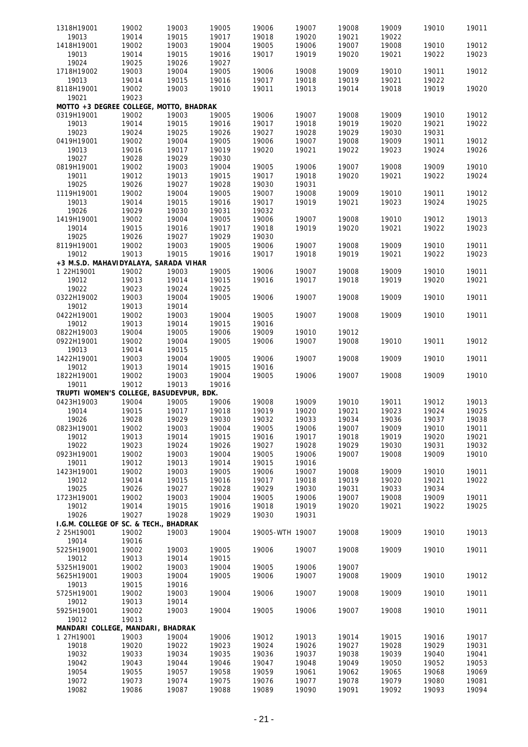| 1318H19001                               | 19002          | 19003          | 19005          | 19006           | 19007          | 19008          | 19009          | 19010          | 19011          |
|------------------------------------------|----------------|----------------|----------------|-----------------|----------------|----------------|----------------|----------------|----------------|
| 19013                                    | 19014          | 19015          | 19017          | 19018           | 19020          | 19021          | 19022          |                |                |
| 1418H19001                               | 19002          | 19003          | 19004          | 19005           | 19006          | 19007          | 19008          | 19010          | 19012          |
|                                          |                |                |                |                 |                |                |                |                |                |
| 19013                                    | 19014          | 19015          | 19016          | 19017           | 19019          | 19020          | 19021          | 19022          | 19023          |
| 19024                                    | 19025          | 19026          | 19027          |                 |                |                |                |                |                |
| 1718H19002                               | 19003          | 19004          | 19005          | 19006           | 19008          | 19009          | 19010          | 19011          | 19012          |
|                                          |                |                |                |                 |                |                |                |                |                |
| 19013                                    | 19014          | 19015          | 19016          | 19017           | 19018          | 19019          | 19021          | 19022          |                |
| 8118H19001                               | 19002          | 19003          | 19010          | 19011           | 19013          | 19014          | 19018          | 19019          | 19020          |
| 19021                                    | 19023          |                |                |                 |                |                |                |                |                |
|                                          |                |                |                |                 |                |                |                |                |                |
| MOTTO +3 DEGREE COLLEGE, MOTTO, BHADRAK  |                |                |                |                 |                |                |                |                |                |
| 0319H19001                               | 19002          | 19003          | 19005          | 19006           | 19007          | 19008          | 19009          | 19010          | 19012          |
| 19013                                    | 19014          | 19015          | 19016          | 19017           | 19018          | 19019          | 19020          | 19021          | 19022          |
|                                          |                |                |                |                 |                |                |                |                |                |
| 19023                                    | 19024          | 19025          | 19026          | 19027           | 19028          | 19029          | 19030          | 19031          |                |
| 0419H19001                               | 19002          | 19004          | 19005          | 19006           | 19007          | 19008          | 19009          | 19011          | 19012          |
| 19013                                    | 19016          | 19017          | 19019          | 19020           | 19021          | 19022          | 19023          | 19024          | 19026          |
|                                          |                |                |                |                 |                |                |                |                |                |
| 19027                                    | 19028          | 19029          | 19030          |                 |                |                |                |                |                |
| 0819H19001                               | 19002          | 19003          | 19004          | 19005           | 19006          | 19007          | 19008          | 19009          | 19010          |
| 19011                                    | 19012          | 19013          | 19015          | 19017           | 19018          | 19020          | 19021          | 19022          | 19024          |
|                                          |                |                |                |                 |                |                |                |                |                |
| 19025                                    | 19026          | 19027          | 19028          | 19030           | 19031          |                |                |                |                |
| 1119H19001                               | 19002          | 19004          | 19005          | 19007           | 19008          | 19009          | 19010          | 19011          | 19012          |
| 19013                                    | 19014          | 19015          | 19016          | 19017           | 19019          | 19021          | 19023          | 19024          | 19025          |
|                                          |                |                |                |                 |                |                |                |                |                |
| 19026                                    | 19029          | 19030          | 19031          | 19032           |                |                |                |                |                |
| 1419H19001                               | 19002          | 19004          | 19005          | 19006           | 19007          | 19008          | 19010          | 19012          | 19013          |
| 19014                                    | 19015          | 19016          | 19017          | 19018           | 19019          | 19020          | 19021          | 19022          | 19023          |
|                                          |                |                |                |                 |                |                |                |                |                |
| 19025                                    | 19026          | 19027          | 19029          | 19030           |                |                |                |                |                |
| 8119H19001                               | 19002          | 19003          | 19005          | 19006           | 19007          | 19008          | 19009          | 19010          | 19011          |
| 19012                                    | 19013          | 19015          | 19016          | 19017           | 19018          | 19019          | 19021          | 19022          | 19023          |
|                                          |                |                |                |                 |                |                |                |                |                |
| +3 M.S.D. MAHAVIDYALAYA, SARADA VIHAR    |                |                |                |                 |                |                |                |                |                |
| 1 22H19001                               | 19002          | 19003          | 19005          | 19006           | 19007          | 19008          | 19009          | 19010          | 19011          |
| 19012                                    | 19013          | 19014          | 19015          | 19016           | 19017          | 19018          | 19019          | 19020          | 19021          |
| 19022                                    | 19023          | 19024          | 19025          |                 |                |                |                |                |                |
|                                          |                |                |                |                 |                |                |                |                |                |
| 0322H19002                               | 19003          | 19004          | 19005          | 19006           | 19007          | 19008          | 19009          | 19010          | 19011          |
| 19012                                    | 19013          | 19014          |                |                 |                |                |                |                |                |
| 0422H19001                               | 19002          | 19003          | 19004          | 19005           | 19007          | 19008          | 19009          | 19010          | 19011          |
|                                          |                |                |                |                 |                |                |                |                |                |
| 19012                                    | 19013          | 19014          | 19015          | 19016           |                |                |                |                |                |
| 0822H19003                               | 19004          | 19005          | 19006          | 19009           | 19010          | 19012          |                |                |                |
| 0922H19001                               | 19002          | 19004          | 19005          | 19006           | 19007          | 19008          | 19010          | 19011          | 19012          |
| 19013                                    | 19014          | 19015          |                |                 |                |                |                |                |                |
|                                          |                |                |                |                 |                |                |                |                |                |
| 1422H19001                               | 19003          | 19004          | 19005          | 19006           | 19007          | 19008          | 19009          | 19010          | 19011          |
| 19012                                    | 19013          | 19014          | 19015          | 19016           |                |                |                |                |                |
| 1822H19001                               | 19002          | 19003          | 19004          | 19005           | 19006          | 19007          | 19008          | 19009          | 19010          |
| 19011                                    | 19012          |                |                |                 |                |                |                |                |                |
|                                          |                | 19013          | 19016          |                 |                |                |                |                |                |
| TRUPTI WOMEN'S COLLEGE, BASUDEVPUR, BDK. |                |                |                |                 |                |                |                |                |                |
| 0423H19003                               | 19004          | 19005          | 19006          | 19008           | 19009          | 19010          | 19011          | 19012          | 19013          |
| 19014                                    | 19015          | 19017          | 19018          | 19019           | 19020          | 19021          | 19023          | 19024          | 19025          |
|                                          |                |                |                |                 |                |                |                |                |                |
| 19026                                    | 19028          | 19029          | 19030          | 19032           | 19033          | 19034          | 19036          | 19037          | 19038          |
| 0823H19001                               | 19002          | 19003          | 19004          | 19005           | 19006          | 19007          | 19009          | 19010          | 19011          |
| 19012                                    | 19013          | 19014          | 19015          | 19016           | 19017          | 19018          | 19019          | 19020          | 19021          |
|                                          |                |                |                |                 |                |                |                |                |                |
| 19022                                    | 19023          | 19024          | 19026          | 19027           | 19028          | 19029          | 19030          | 19031          | 19032          |
| 0923H19001                               | 19002          | 19003          | 19004          | 19005           | 19006          | 19007          | 19008          | 19009          | 19010          |
| 19011                                    | 19012          | 19013          | 19014          | 19015           | 19016          |                |                |                |                |
|                                          |                |                |                |                 |                |                |                |                |                |
| 1423H19001                               | 19002          | 19003          | 19005          | 19006           | 19007          | 19008          | 19009          | 19010          | 19011          |
| 19012                                    | 19014          | 19015          | 19016          | 19017           | 19018          | 19019          | 19020          | 19021          | 19022          |
| 19025                                    | 19026          | 19027          | 19028          | 19029           | 19030          | 19031          | 19033          | 19034          |                |
| 1723H19001                               | 19002          | 19003          | 19004          | 19005           | 19006          | 19007          | 19008          | 19009          | 19011          |
|                                          |                |                |                |                 |                |                |                |                |                |
| 19012                                    | 19014          | 19015          | 19016          | 19018           | 19019          | 19020          | 19021          | 19022          | 19025          |
| 19026                                    | 19027          | 19028          | 19029          | 19030           | 19031          |                |                |                |                |
| I.G.M. COLLEGE OF SC. & TECH., BHADRAK   |                |                |                |                 |                |                |                |                |                |
|                                          |                |                |                |                 |                |                |                |                |                |
| 2 25H19001                               | 19002          | 19003          | 19004          | 19005-WTH 19007 |                | 19008          | 19009          | 19010          | 19013          |
| 19014                                    | 19016          |                |                |                 |                |                |                |                |                |
| 5225H19001                               | 19002          | 19003          | 19005          | 19006           | 19007          | 19008          | 19009          | 19010          | 19011          |
| 19012                                    | 19013          | 19014          | 19015          |                 |                |                |                |                |                |
|                                          |                |                |                |                 |                |                |                |                |                |
| 5325H19001                               | 19002          | 19003          | 19004          | 19005           | 19006          | 19007          |                |                |                |
| 5625H19001                               | 19003          | 19004          | 19005          | 19006           | 19007          | 19008          | 19009          | 19010          | 19012          |
| 19013                                    | 19015          | 19016          |                |                 |                |                |                |                |                |
| 5725H19001                               |                |                |                | 19006           | 19007          | 19008          | 19009          | 19010          | 19011          |
|                                          | 19002          | 19003          | 19004          |                 |                |                |                |                |                |
| 19012                                    | 19013          | 19014          |                |                 |                |                |                |                |                |
| 5925H19001                               | 19002          | 19003          | 19004          | 19005           | 19006          | 19007          | 19008          | 19010          | 19011          |
| 19012                                    | 19013          |                |                |                 |                |                |                |                |                |
|                                          |                |                |                |                 |                |                |                |                |                |
| MANDARI COLLEGE, MANDARI, BHADRAK        |                |                |                |                 |                |                |                |                |                |
| 1 27H19001                               | 19003          | 19004          | 19006          | 19012           | 19013          | 19014          | 19015          | 19016          | 19017          |
| 19018                                    | 19020          | 19022          | 19023          | 19024           | 19026          | 19027          | 19028          | 19029          | 19031          |
|                                          |                |                |                |                 |                |                | 19039          | 19040          | 19041          |
|                                          |                |                |                |                 |                | 19038          |                |                |                |
| 19032                                    | 19033          | 19034          | 19035          | 19036           | 19037          |                |                |                |                |
| 19042                                    | 19043          | 19044          | 19046          | 19047           | 19048          | 19049          | 19050          | 19052          | 19053          |
|                                          |                |                |                |                 |                |                |                |                |                |
| 19054                                    | 19055          | 19057          | 19058          | 19059           | 19061          | 19062          | 19065          | 19068          | 19069          |
| 19072<br>19082                           | 19073<br>19086 | 19074<br>19087 | 19075<br>19088 | 19076<br>19089  | 19077<br>19090 | 19078<br>19091 | 19079<br>19092 | 19080<br>19093 | 19081<br>19094 |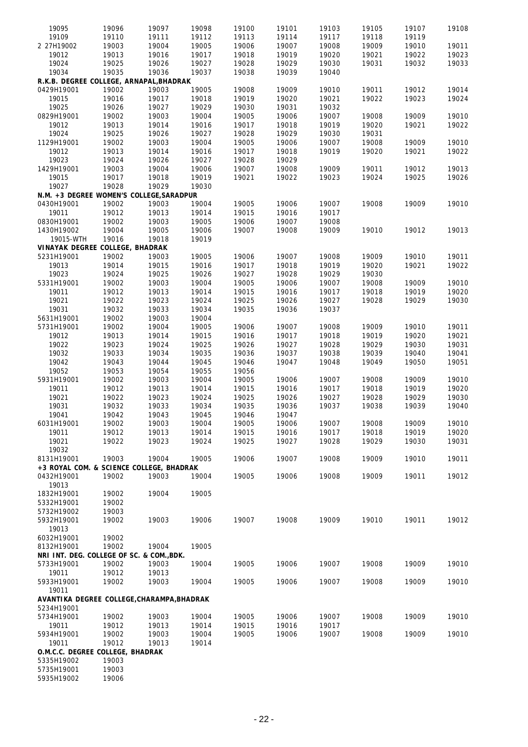| 19095                                      | 19096          | 19097 | 19098 | 19100 | 19101          | 19103 | 19105 | 19107 | 19108 |
|--------------------------------------------|----------------|-------|-------|-------|----------------|-------|-------|-------|-------|
| 19109                                      | 19110          | 19111 | 19112 | 19113 | 19114          | 19117 | 19118 | 19119 |       |
| 2 27H19002                                 | 19003          | 19004 | 19005 | 19006 | 19007          | 19008 | 19009 | 19010 | 19011 |
| 19012                                      | 19013          | 19016 | 19017 | 19018 | 19019          | 19020 | 19021 | 19022 | 19023 |
| 19024                                      | 19025          | 19026 | 19027 | 19028 | 19029          | 19030 | 19031 | 19032 | 19033 |
| 19034                                      | 19035          | 19036 | 19037 | 19038 | 19039          | 19040 |       |       |       |
| R.K.B. DEGREE COLLEGE, ARNAPAL, BHADRAK    |                |       |       |       |                |       |       |       |       |
| 0429H19001                                 | 19002          | 19003 | 19005 | 19008 | 19009          | 19010 | 19011 | 19012 | 19014 |
| 19015                                      | 19016          | 19017 | 19018 | 19019 | 19020          | 19021 | 19022 | 19023 | 19024 |
| 19025                                      | 19026          | 19027 | 19029 | 19030 | 19031          | 19032 |       |       |       |
| 0829H19001                                 | 19002          | 19003 | 19004 | 19005 | 19006          | 19007 | 19008 | 19009 | 19010 |
|                                            |                |       |       |       |                |       |       |       |       |
| 19012<br>19024                             | 19013<br>19025 | 19014 | 19016 | 19017 | 19018<br>19029 | 19019 | 19020 | 19021 | 19022 |
|                                            |                | 19026 | 19027 | 19028 |                | 19030 | 19031 |       |       |
| 1129H19001                                 | 19002          | 19003 | 19004 | 19005 | 19006          | 19007 | 19008 | 19009 | 19010 |
| 19012                                      | 19013          | 19014 | 19016 | 19017 | 19018          | 19019 | 19020 | 19021 | 19022 |
| 19023                                      | 19024          | 19026 | 19027 | 19028 | 19029          |       |       |       |       |
| 1429H19001                                 | 19003          | 19004 | 19006 | 19007 | 19008          | 19009 | 19011 | 19012 | 19013 |
| 19015                                      | 19017          | 19018 | 19019 | 19021 | 19022          | 19023 | 19024 | 19025 | 19026 |
| 19027                                      | 19028          | 19029 | 19030 |       |                |       |       |       |       |
| N.M. +3 DEGREE WOMEN'S COLLEGE, SARADPUR   |                |       |       |       |                |       |       |       |       |
| 0430H19001                                 | 19002          | 19003 | 19004 | 19005 | 19006          | 19007 | 19008 | 19009 | 19010 |
| 19011                                      | 19012          | 19013 | 19014 | 19015 | 19016          | 19017 |       |       |       |
| 0830H19001                                 | 19002          | 19003 | 19005 | 19006 | 19007          | 19008 |       |       |       |
| 1430H19002                                 | 19004          | 19005 | 19006 | 19007 | 19008          | 19009 | 19010 | 19012 | 19013 |
| 19015-WTH                                  | 19016          | 19018 | 19019 |       |                |       |       |       |       |
| VINAYAK DEGREE COLLEGE, BHADRAK            |                |       |       |       |                |       |       |       |       |
| 5231H19001                                 | 19002          | 19003 | 19005 | 19006 | 19007          | 19008 | 19009 | 19010 | 19011 |
| 19013                                      | 19014          | 19015 | 19016 | 19017 | 19018          | 19019 | 19020 | 19021 | 19022 |
| 19023                                      | 19024          | 19025 | 19026 | 19027 | 19028          | 19029 | 19030 |       |       |
|                                            |                |       |       |       |                |       |       |       |       |
| 5331H19001                                 | 19002          | 19003 | 19004 | 19005 | 19006          | 19007 | 19008 | 19009 | 19010 |
| 19011                                      | 19012          | 19013 | 19014 | 19015 | 19016          | 19017 | 19018 | 19019 | 19020 |
| 19021                                      | 19022          | 19023 | 19024 | 19025 | 19026          | 19027 | 19028 | 19029 | 19030 |
| 19031                                      | 19032          | 19033 | 19034 | 19035 | 19036          | 19037 |       |       |       |
| 5631H19001                                 | 19002          | 19003 | 19004 |       |                |       |       |       |       |
| 5731H19001                                 | 19002          | 19004 | 19005 | 19006 | 19007          | 19008 | 19009 | 19010 | 19011 |
| 19012                                      | 19013          | 19014 | 19015 | 19016 | 19017          | 19018 | 19019 | 19020 | 19021 |
| 19022                                      | 19023          | 19024 | 19025 | 19026 | 19027          | 19028 | 19029 | 19030 | 19031 |
| 19032                                      | 19033          | 19034 | 19035 | 19036 | 19037          | 19038 | 19039 | 19040 | 19041 |
| 19042                                      | 19043          | 19044 | 19045 | 19046 | 19047          | 19048 | 19049 | 19050 | 19051 |
| 19052                                      | 19053          | 19054 | 19055 | 19056 |                |       |       |       |       |
| 5931H19001                                 | 19002          | 19003 | 19004 | 19005 | 19006          | 19007 | 19008 | 19009 | 19010 |
| 19011                                      | 19012          | 19013 | 19014 | 19015 | 19016          | 19017 | 19018 | 19019 | 19020 |
| 19021                                      | 19022          | 19023 | 19024 | 19025 | 19026          | 19027 | 19028 | 19029 | 19030 |
| 19031                                      | 19032          | 19033 | 19034 | 19035 | 19036          | 19037 | 19038 | 19039 | 19040 |
| 19041                                      | 19042          | 19043 | 19045 | 19046 | 19047          |       |       |       |       |
| 6031H19001                                 | 19002          | 19003 | 19004 | 19005 | 19006          | 19007 | 19008 | 19009 | 19010 |
| 19011                                      | 19012          | 19013 | 19014 | 19015 | 19016          | 19017 | 19018 | 19019 | 19020 |
| 19021                                      | 19022          | 19023 | 19024 | 19025 | 19027          | 19028 | 19029 | 19030 | 19031 |
|                                            |                |       |       |       |                |       |       |       |       |
| 19032                                      |                |       |       |       |                |       |       |       |       |
| 8131H19001                                 | 19003          | 19004 | 19005 | 19006 | 19007          | 19008 | 19009 | 19010 | 19011 |
| +3 ROYAL COM. & SCIENCE COLLEGE, BHADRAK   |                |       |       |       |                |       |       |       |       |
| 0432H19001                                 | 19002          | 19003 | 19004 | 19005 | 19006          | 19008 | 19009 | 19011 | 19012 |
| 19013                                      |                |       |       |       |                |       |       |       |       |
| 1832H19001                                 | 19002          | 19004 | 19005 |       |                |       |       |       |       |
| 5332H19001                                 | 19002          |       |       |       |                |       |       |       |       |
| 5732H19002                                 | 19003          |       |       |       |                |       |       |       |       |
| 5932H19001                                 | 19002          | 19003 | 19006 | 19007 | 19008          | 19009 | 19010 | 19011 | 19012 |
| 19013                                      |                |       |       |       |                |       |       |       |       |
| 6032H19001                                 | 19002          |       |       |       |                |       |       |       |       |
| 8132H19001                                 | 19002          | 19004 | 19005 |       |                |       |       |       |       |
| NRI INT. DEG. COLLEGE OF SC. & COM., BDK.  |                |       |       |       |                |       |       |       |       |
| 5733H19001                                 | 19002          | 19003 | 19004 | 19005 | 19006          | 19007 | 19008 | 19009 | 19010 |
| 19011                                      | 19012          | 19013 |       |       |                |       |       |       |       |
| 5933H19001                                 | 19002          | 19003 | 19004 | 19005 | 19006          | 19007 | 19008 | 19009 | 19010 |
| 19011                                      |                |       |       |       |                |       |       |       |       |
| AVANTIKA DEGREE COLLEGE, CHARAMPA, BHADRAK |                |       |       |       |                |       |       |       |       |
|                                            |                |       |       |       |                |       |       |       |       |
| 5234H19001                                 |                |       |       |       |                |       |       |       |       |
| 5734H19001                                 | 19002          | 19003 | 19004 | 19005 | 19006          | 19007 | 19008 | 19009 | 19010 |
| 19011                                      | 19012          | 19013 | 19014 | 19015 | 19016          | 19017 |       |       |       |
| 5934H19001                                 | 19002          | 19003 | 19004 | 19005 | 19006          | 19007 | 19008 | 19009 | 19010 |
| 19011                                      | 19012          | 19013 | 19014 |       |                |       |       |       |       |
| O.M.C.C. DEGREE COLLEGE, BHADRAK           |                |       |       |       |                |       |       |       |       |
| 5335H19002                                 | 19003          |       |       |       |                |       |       |       |       |

5735H19001 19003 5935H19002 19006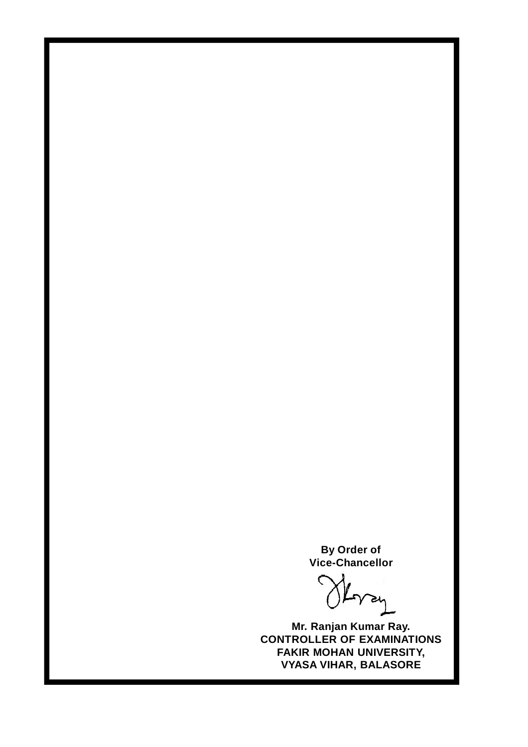**By Order of Vice-Chancellor**

Herry

**Mr. Ranjan Kumar Ray. CONTROLLER OF EXAMINATIONS FAKIR MOHAN UNIVERSITY, VYASA VIHAR, BALASORE**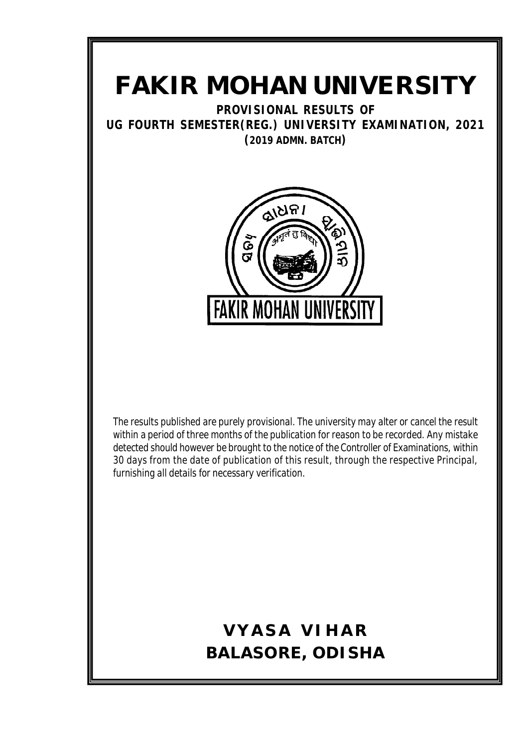# **FAKIR MOHAN UNIVERSITY**

**PROVISIONAL RESULTS OF UG FOURTH SEMESTER(REG.) UNIVERSITY EXAMINATION, 2021 (2019 ADMN. BATCH)**



The results published are purely provisional. The university may alter or cancel the result within a period of three months of the publication for reason to be recorded. Any mistake detected should however be brought to the notice of the Controller of Examinations, within 30 days from the date of publication of this result, through the respective Principal, furnishing all details for necessary verification.

# **VYASA VIHAR BALASORE, ODISHA**